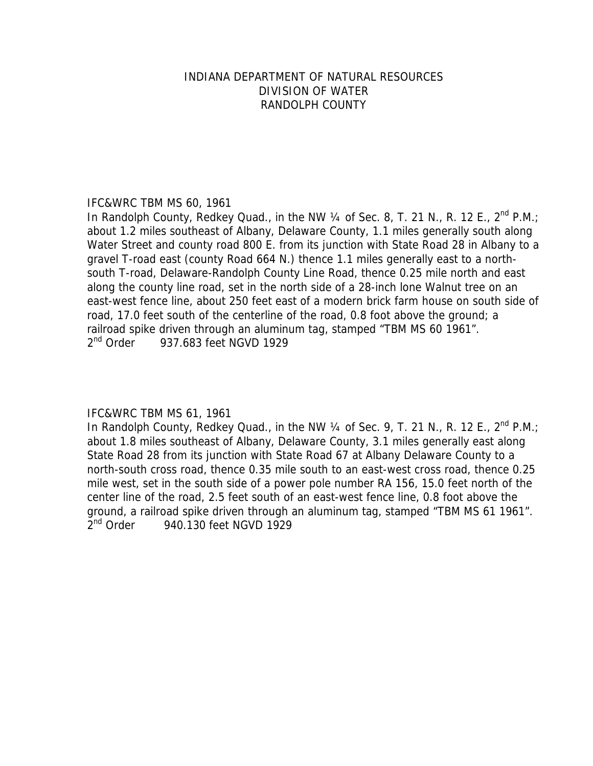## INDIANA DEPARTMENT OF NATURAL RESOURCES DIVISION OF WATER RANDOLPH COUNTY

## IFC&WRC TBM MS 60, 1961

In Randolph County, Redkey Quad., in the NW  $\frac{1}{4}$  of Sec. 8, T. 21 N., R. 12 E., 2<sup>nd</sup> P.M.; about 1.2 miles southeast of Albany, Delaware County, 1.1 miles generally south along Water Street and county road 800 E. from its junction with State Road 28 in Albany to a gravel T-road east (county Road 664 N.) thence 1.1 miles generally east to a northsouth T-road, Delaware-Randolph County Line Road, thence 0.25 mile north and east along the county line road, set in the north side of a 28-inch lone Walnut tree on an east-west fence line, about 250 feet east of a modern brick farm house on south side of road, 17.0 feet south of the centerline of the road, 0.8 foot above the ground; a railroad spike driven through an aluminum tag, stamped "TBM MS 60 1961". 2<sup>nd</sup> Order 937.683 feet NGVD 1929

# IFC&WRC TBM MS 61, 1961

In Randolph County, Redkey Quad., in the NW  $\frac{1}{4}$  of Sec. 9, T. 21 N., R. 12 E.,  $2^{nd}$  P.M.; about 1.8 miles southeast of Albany, Delaware County, 3.1 miles generally east along State Road 28 from its junction with State Road 67 at Albany Delaware County to a north-south cross road, thence 0.35 mile south to an east-west cross road, thence 0.25 mile west, set in the south side of a power pole number RA 156, 15.0 feet north of the center line of the road, 2.5 feet south of an east-west fence line, 0.8 foot above the ground, a railroad spike driven through an aluminum tag, stamped "TBM MS 61 1961".  $2<sup>nd</sup>$  Order 940.130 feet NGVD 1929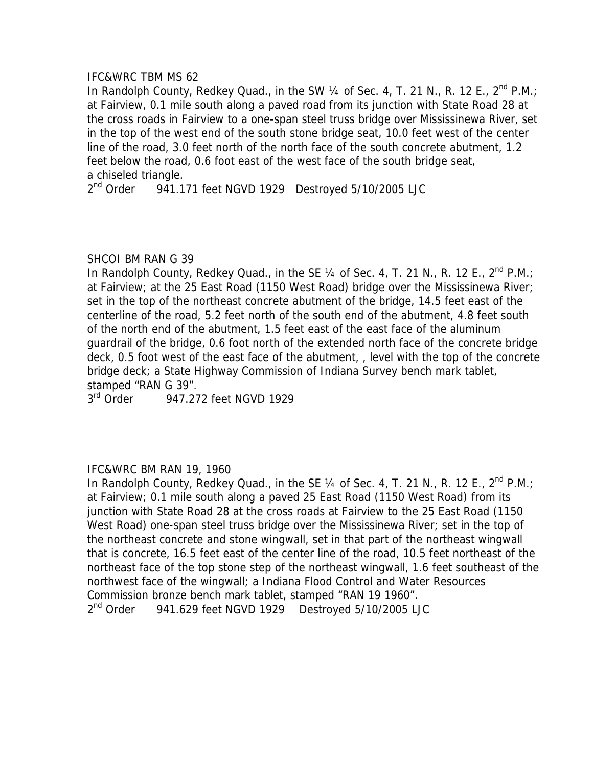In Randolph County, Redkey Quad., in the SW 1/4 of Sec. 4, T. 21 N., R. 12 E., 2<sup>nd</sup> P.M.; at Fairview, 0.1 mile south along a paved road from its junction with State Road 28 at the cross roads in Fairview to a one-span steel truss bridge over Mississinewa River, set in the top of the west end of the south stone bridge seat, 10.0 feet west of the center line of the road, 3.0 feet north of the north face of the south concrete abutment, 1.2 feet below the road, 0.6 foot east of the west face of the south bridge seat, a chiseled triangle.

2<sup>nd</sup> Order 941.171 feet NGVD 1929 Destroyed 5/10/2005 LJC

## SHCOI BM RAN G 39

In Randolph County, Redkey Quad., in the SE 1/4 of Sec. 4, T. 21 N., R. 12 E., 2<sup>nd</sup> P.M.; at Fairview; at the 25 East Road (1150 West Road) bridge over the Mississinewa River; set in the top of the northeast concrete abutment of the bridge, 14.5 feet east of the centerline of the road, 5.2 feet north of the south end of the abutment, 4.8 feet south of the north end of the abutment, 1.5 feet east of the east face of the aluminum guardrail of the bridge, 0.6 foot north of the extended north face of the concrete bridge deck, 0.5 foot west of the east face of the abutment, , level with the top of the concrete bridge deck; a State Highway Commission of Indiana Survey bench mark tablet, stamped "RAN G 39".

3<sup>rd</sup> Order 947.272 feet NGVD 1929

### IFC&WRC BM RAN 19, 1960

In Randolph County, Redkey Quad., in the SE 1/4 of Sec. 4, T. 21 N., R. 12 E., 2<sup>nd</sup> P.M.; at Fairview; 0.1 mile south along a paved 25 East Road (1150 West Road) from its junction with State Road 28 at the cross roads at Fairview to the 25 East Road (1150 West Road) one-span steel truss bridge over the Mississinewa River; set in the top of the northeast concrete and stone wingwall, set in that part of the northeast wingwall that is concrete, 16.5 feet east of the center line of the road, 10.5 feet northeast of the northeast face of the top stone step of the northeast wingwall, 1.6 feet southeast of the northwest face of the wingwall; a Indiana Flood Control and Water Resources Commission bronze bench mark tablet, stamped "RAN 19 1960". 2<sup>nd</sup> Order 941.629 feet NGVD 1929 Destroyed 5/10/2005 LJC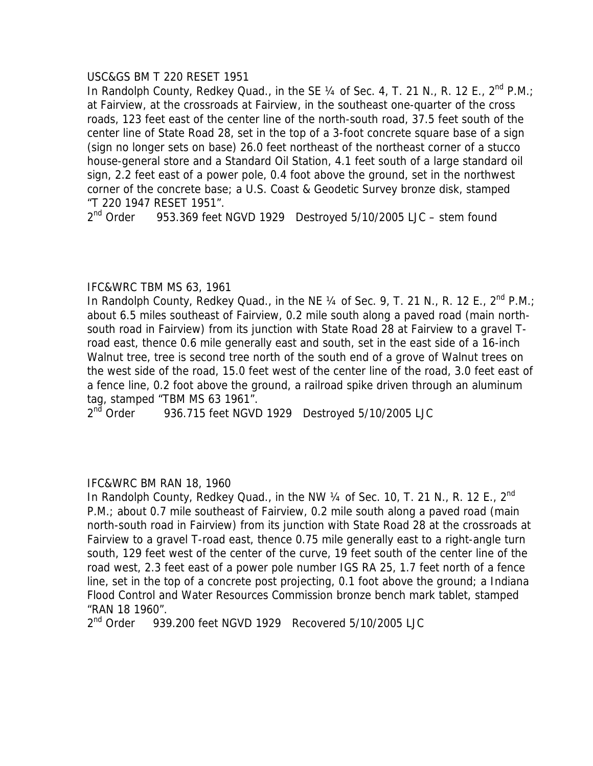## USC&GS BM T 220 RESET 1951

In Randolph County, Redkey Quad., in the SE  $\frac{1}{4}$  of Sec. 4, T. 21 N., R. 12 E.,  $2^{nd}$  P.M.; at Fairview, at the crossroads at Fairview, in the southeast one-quarter of the cross roads, 123 feet east of the center line of the north-south road, 37.5 feet south of the center line of State Road 28, set in the top of a 3-foot concrete square base of a sign (sign no longer sets on base) 26.0 feet northeast of the northeast corner of a stucco house-general store and a Standard Oil Station, 4.1 feet south of a large standard oil sign, 2.2 feet east of a power pole, 0.4 foot above the ground, set in the northwest corner of the concrete base; a U.S. Coast & Geodetic Survey bronze disk, stamped "T 220 1947 RESET 1951".

 $2<sup>nd</sup>$  Order 953.369 feet NGVD 1929 Destroyed 5/10/2005 LJC – stem found

# IFC&WRC TBM MS 63, 1961

In Randolph County, Redkey Quad., in the NE  $\frac{1}{4}$  of Sec. 9, T. 21 N., R. 12 E.,  $2^{nd}$  P.M.; about 6.5 miles southeast of Fairview, 0.2 mile south along a paved road (main northsouth road in Fairview) from its junction with State Road 28 at Fairview to a gravel Troad east, thence 0.6 mile generally east and south, set in the east side of a 16-inch Walnut tree, tree is second tree north of the south end of a grove of Walnut trees on the west side of the road, 15.0 feet west of the center line of the road, 3.0 feet east of a fence line, 0.2 foot above the ground, a railroad spike driven through an aluminum tag, stamped "TBM MS 63 1961".

 $2<sup>nd</sup>$  Order 936.715 feet NGVD 1929 Destroyed 5/10/2005 LJC

# IFC&WRC BM RAN 18, 1960

In Randolph County, Redkey Quad., in the NW  $\frac{1}{4}$  of Sec. 10, T. 21 N., R. 12 E., 2<sup>nd</sup> P.M.; about 0.7 mile southeast of Fairview, 0.2 mile south along a paved road (main north-south road in Fairview) from its junction with State Road 28 at the crossroads at Fairview to a gravel T-road east, thence 0.75 mile generally east to a right-angle turn south, 129 feet west of the center of the curve, 19 feet south of the center line of the road west, 2.3 feet east of a power pole number IGS RA 25, 1.7 feet north of a fence line, set in the top of a concrete post projecting, 0.1 foot above the ground; a Indiana Flood Control and Water Resources Commission bronze bench mark tablet, stamped "RAN 18 1960".

2<sup>nd</sup> Order 939.200 feet NGVD 1929 Recovered 5/10/2005 LJC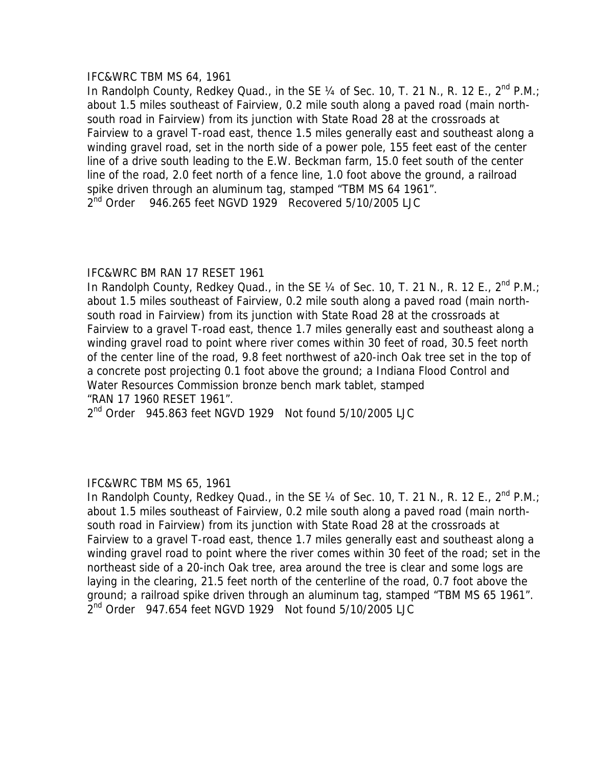# IFC&WRC TBM MS 64, 1961

In Randolph County, Redkey Quad., in the SE  $\frac{1}{4}$  of Sec. 10, T. 21 N., R. 12 E., 2<sup>nd</sup> P.M.; about 1.5 miles southeast of Fairview, 0.2 mile south along a paved road (main northsouth road in Fairview) from its junction with State Road 28 at the crossroads at Fairview to a gravel T-road east, thence 1.5 miles generally east and southeast along a winding gravel road, set in the north side of a power pole, 155 feet east of the center line of a drive south leading to the E.W. Beckman farm, 15.0 feet south of the center line of the road, 2.0 feet north of a fence line, 1.0 foot above the ground, a railroad spike driven through an aluminum tag, stamped "TBM MS 64 1961".  $2<sup>nd</sup>$  Order 946.265 feet NGVD 1929 Recovered 5/10/2005 LJC

# IFC&WRC BM RAN 17 RESET 1961

In Randolph County, Redkey Quad., in the SE  $\frac{1}{4}$  of Sec. 10, T. 21 N., R. 12 E., 2<sup>nd</sup> P.M.; about 1.5 miles southeast of Fairview, 0.2 mile south along a paved road (main northsouth road in Fairview) from its junction with State Road 28 at the crossroads at Fairview to a gravel T-road east, thence 1.7 miles generally east and southeast along a winding gravel road to point where river comes within 30 feet of road, 30.5 feet north of the center line of the road, 9.8 feet northwest of a20-inch Oak tree set in the top of a concrete post projecting 0.1 foot above the ground; a Indiana Flood Control and Water Resources Commission bronze bench mark tablet, stamped "RAN 17 1960 RESET 1961".

 $2<sup>nd</sup>$  Order 945.863 feet NGVD 1929 Not found 5/10/2005 LJC

# IFC&WRC TBM MS 65, 1961

In Randolph County, Redkey Quad., in the SE  $\frac{1}{4}$  of Sec. 10, T. 21 N., R. 12 E.,  $2^{nd}$  P.M.; about 1.5 miles southeast of Fairview, 0.2 mile south along a paved road (main northsouth road in Fairview) from its junction with State Road 28 at the crossroads at Fairview to a gravel T-road east, thence 1.7 miles generally east and southeast along a winding gravel road to point where the river comes within 30 feet of the road; set in the northeast side of a 20-inch Oak tree, area around the tree is clear and some logs are laying in the clearing, 21.5 feet north of the centerline of the road, 0.7 foot above the ground; a railroad spike driven through an aluminum tag, stamped "TBM MS 65 1961".  $2<sup>nd</sup>$  Order 947.654 feet NGVD 1929 Not found 5/10/2005 LJC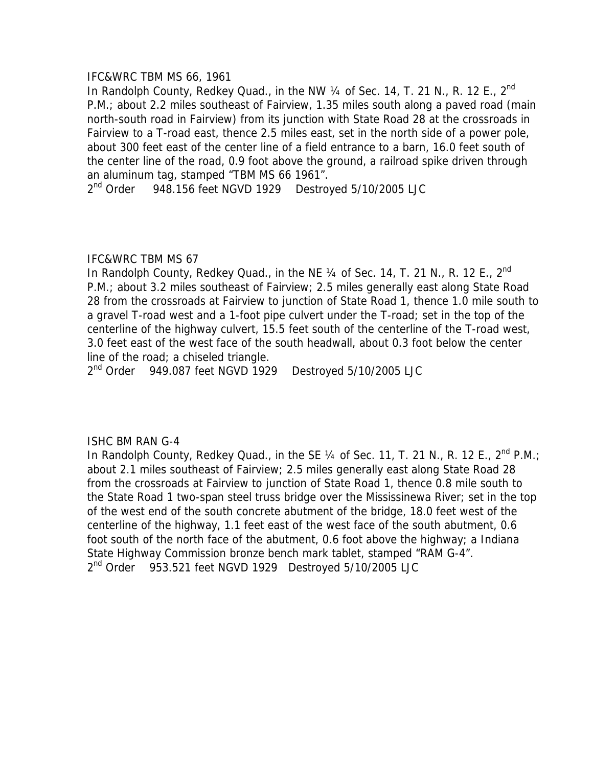## IFC&WRC TBM MS 66, 1961

In Randolph County, Redkey Quad., in the NW  $\frac{1}{4}$  of Sec. 14, T. 21 N., R. 12 E., 2<sup>nd</sup> P.M.; about 2.2 miles southeast of Fairview, 1.35 miles south along a paved road (main north-south road in Fairview) from its junction with State Road 28 at the crossroads in Fairview to a T-road east, thence 2.5 miles east, set in the north side of a power pole, about 300 feet east of the center line of a field entrance to a barn, 16.0 feet south of the center line of the road, 0.9 foot above the ground, a railroad spike driven through an aluminum tag, stamped "TBM MS 66 1961".

 $2<sup>nd</sup>$  Order 948.156 feet NGVD 1929 Destroyed 5/10/2005 LJC

## IFC&WRC TBM MS 67

In Randolph County, Redkey Quad., in the NE 1/4 of Sec. 14, T. 21 N., R. 12 E., 2<sup>nd</sup> P.M.; about 3.2 miles southeast of Fairview; 2.5 miles generally east along State Road 28 from the crossroads at Fairview to junction of State Road 1, thence 1.0 mile south to a gravel T-road west and a 1-foot pipe culvert under the T-road; set in the top of the centerline of the highway culvert, 15.5 feet south of the centerline of the T-road west, 3.0 feet east of the west face of the south headwall, about 0.3 foot below the center line of the road; a chiseled triangle.

2<sup>nd</sup> Order 949.087 feet NGVD 1929 Destroyed 5/10/2005 LJC

# ISHC BM RAN G-4

In Randolph County, Redkey Quad., in the SE  $\frac{1}{4}$  of Sec. 11, T. 21 N., R. 12 E.,  $2^{nd}$  P.M.; about 2.1 miles southeast of Fairview; 2.5 miles generally east along State Road 28 from the crossroads at Fairview to junction of State Road 1, thence 0.8 mile south to the State Road 1 two-span steel truss bridge over the Mississinewa River; set in the top of the west end of the south concrete abutment of the bridge, 18.0 feet west of the centerline of the highway, 1.1 feet east of the west face of the south abutment, 0.6 foot south of the north face of the abutment, 0.6 foot above the highway; a Indiana State Highway Commission bronze bench mark tablet, stamped "RAM G-4". 2<sup>nd</sup> Order 953.521 feet NGVD 1929 Destroyed 5/10/2005 LJC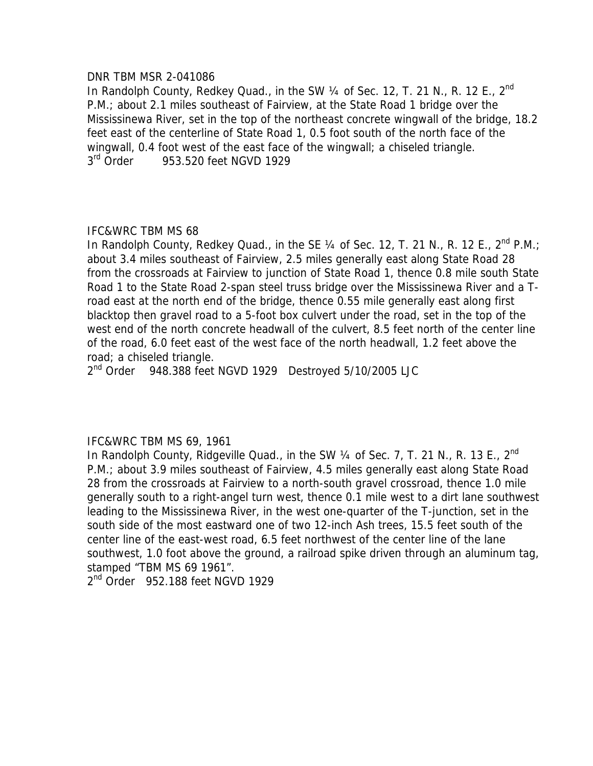### DNR TBM MSR 2-041086

In Randolph County, Redkey Quad., in the SW 1/4 of Sec. 12, T. 21 N., R. 12 E., 2<sup>nd</sup> P.M.; about 2.1 miles southeast of Fairview, at the State Road 1 bridge over the Mississinewa River, set in the top of the northeast concrete wingwall of the bridge, 18.2 feet east of the centerline of State Road 1, 0.5 foot south of the north face of the wingwall, 0.4 foot west of the east face of the wingwall; a chiseled triangle. 3<sup>rd</sup> Order 953.520 feet NGVD 1929

# IFC&WRC TBM MS 68

In Randolph County, Redkey Quad., in the SE  $\frac{1}{4}$  of Sec. 12, T. 21 N., R. 12 E.,  $2^{nd}$  P.M.; about 3.4 miles southeast of Fairview, 2.5 miles generally east along State Road 28 from the crossroads at Fairview to junction of State Road 1, thence 0.8 mile south State Road 1 to the State Road 2-span steel truss bridge over the Mississinewa River and a Troad east at the north end of the bridge, thence 0.55 mile generally east along first blacktop then gravel road to a 5-foot box culvert under the road, set in the top of the west end of the north concrete headwall of the culvert, 8.5 feet north of the center line of the road, 6.0 feet east of the west face of the north headwall, 1.2 feet above the road; a chiseled triangle.

 $2<sup>nd</sup>$  Order 948.388 feet NGVD 1929 Destroyed 5/10/2005 LJC

# IFC&WRC TBM MS 69, 1961

In Randolph County, Ridgeville Quad., in the SW  $\frac{1}{4}$  of Sec. 7, T. 21 N., R. 13 E., 2<sup>nd</sup> P.M.; about 3.9 miles southeast of Fairview, 4.5 miles generally east along State Road 28 from the crossroads at Fairview to a north-south gravel crossroad, thence 1.0 mile generally south to a right-angel turn west, thence 0.1 mile west to a dirt lane southwest leading to the Mississinewa River, in the west one-quarter of the T-junction, set in the south side of the most eastward one of two 12-inch Ash trees, 15.5 feet south of the center line of the east-west road, 6.5 feet northwest of the center line of the lane southwest, 1.0 foot above the ground, a railroad spike driven through an aluminum tag, stamped "TBM MS 69 1961".

2<sup>nd</sup> Order 952.188 feet NGVD 1929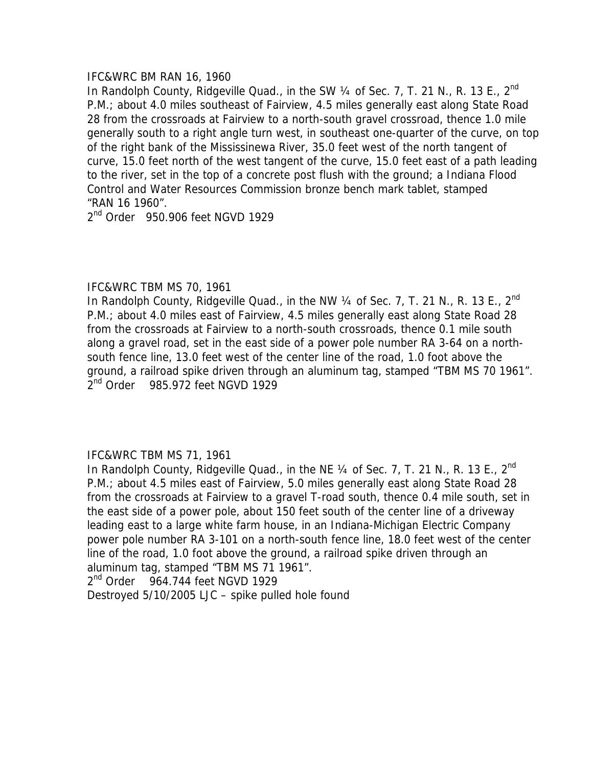### IFC&WRC BM RAN 16, 1960

In Randolph County, Ridgeville Quad., in the SW  $\frac{1}{4}$  of Sec. 7, T. 21 N., R. 13 E., 2<sup>nd</sup> P.M.; about 4.0 miles southeast of Fairview, 4.5 miles generally east along State Road 28 from the crossroads at Fairview to a north-south gravel crossroad, thence 1.0 mile generally south to a right angle turn west, in southeast one-quarter of the curve, on top of the right bank of the Mississinewa River, 35.0 feet west of the north tangent of curve, 15.0 feet north of the west tangent of the curve, 15.0 feet east of a path leading to the river, set in the top of a concrete post flush with the ground; a Indiana Flood Control and Water Resources Commission bronze bench mark tablet, stamped "RAN 16 1960".

 $2<sup>nd</sup>$  Order 950.906 feet NGVD 1929

## IFC&WRC TBM MS 70, 1961

In Randolph County, Ridgeville Quad., in the NW  $\frac{1}{4}$  of Sec. 7, T. 21 N., R. 13 E., 2<sup>nd</sup> P.M.; about 4.0 miles east of Fairview, 4.5 miles generally east along State Road 28 from the crossroads at Fairview to a north-south crossroads, thence 0.1 mile south along a gravel road, set in the east side of a power pole number RA 3-64 on a northsouth fence line, 13.0 feet west of the center line of the road, 1.0 foot above the ground, a railroad spike driven through an aluminum tag, stamped "TBM MS 70 1961". 2<sup>nd</sup> Order 985.972 feet NGVD 1929

# IFC&WRC TBM MS 71, 1961

In Randolph County, Ridgeville Quad., in the NE  $\frac{1}{4}$  of Sec. 7, T. 21 N., R. 13 E., 2<sup>nd</sup> P.M.; about 4.5 miles east of Fairview, 5.0 miles generally east along State Road 28 from the crossroads at Fairview to a gravel T-road south, thence 0.4 mile south, set in the east side of a power pole, about 150 feet south of the center line of a driveway leading east to a large white farm house, in an Indiana-Michigan Electric Company power pole number RA 3-101 on a north-south fence line, 18.0 feet west of the center line of the road, 1.0 foot above the ground, a railroad spike driven through an aluminum tag, stamped "TBM MS 71 1961".

 $2<sup>nd</sup>$  Order 964.744 feet NGVD 1929

Destroyed 5/10/2005 LJC – spike pulled hole found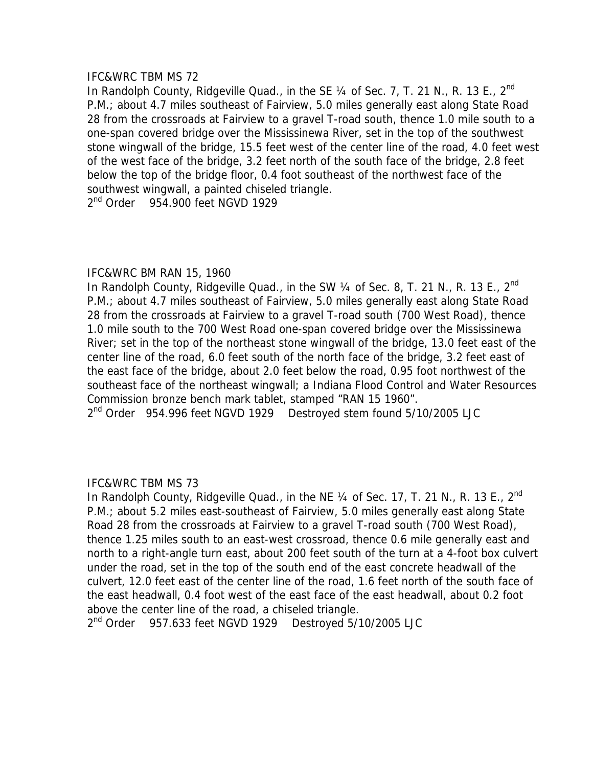In Randolph County, Ridgeville Quad., in the SE 1/4 of Sec. 7, T. 21 N., R. 13 E., 2<sup>nd</sup> P.M.; about 4.7 miles southeast of Fairview, 5.0 miles generally east along State Road 28 from the crossroads at Fairview to a gravel T-road south, thence 1.0 mile south to a one-span covered bridge over the Mississinewa River, set in the top of the southwest stone wingwall of the bridge, 15.5 feet west of the center line of the road, 4.0 feet west of the west face of the bridge, 3.2 feet north of the south face of the bridge, 2.8 feet below the top of the bridge floor, 0.4 foot southeast of the northwest face of the southwest wingwall, a painted chiseled triangle.

2<sup>nd</sup> Order 954.900 feet NGVD 1929

# IFC&WRC BM RAN 15, 1960

In Randolph County, Ridgeville Quad., in the SW  $\frac{1}{4}$  of Sec. 8, T. 21 N., R. 13 E., 2<sup>nd</sup> P.M.; about 4.7 miles southeast of Fairview, 5.0 miles generally east along State Road 28 from the crossroads at Fairview to a gravel T-road south (700 West Road), thence 1.0 mile south to the 700 West Road one-span covered bridge over the Mississinewa River; set in the top of the northeast stone wingwall of the bridge, 13.0 feet east of the center line of the road, 6.0 feet south of the north face of the bridge, 3.2 feet east of the east face of the bridge, about 2.0 feet below the road, 0.95 foot northwest of the southeast face of the northeast wingwall; a Indiana Flood Control and Water Resources Commission bronze bench mark tablet, stamped "RAN 15 1960".

2<sup>nd</sup> Order 954.996 feet NGVD 1929 Destroyed stem found 5/10/2005 LJC

# IFC&WRC TBM MS 73

In Randolph County, Ridgeville Quad., in the NE  $\frac{1}{4}$  of Sec. 17, T. 21 N., R. 13 E., 2<sup>nd</sup> P.M.; about 5.2 miles east-southeast of Fairview, 5.0 miles generally east along State Road 28 from the crossroads at Fairview to a gravel T-road south (700 West Road), thence 1.25 miles south to an east-west crossroad, thence 0.6 mile generally east and north to a right-angle turn east, about 200 feet south of the turn at a 4-foot box culvert under the road, set in the top of the south end of the east concrete headwall of the culvert, 12.0 feet east of the center line of the road, 1.6 feet north of the south face of the east headwall, 0.4 foot west of the east face of the east headwall, about 0.2 foot above the center line of the road, a chiseled triangle.

2<sup>nd</sup> Order 957.633 feet NGVD 1929 Destroyed 5/10/2005 LJC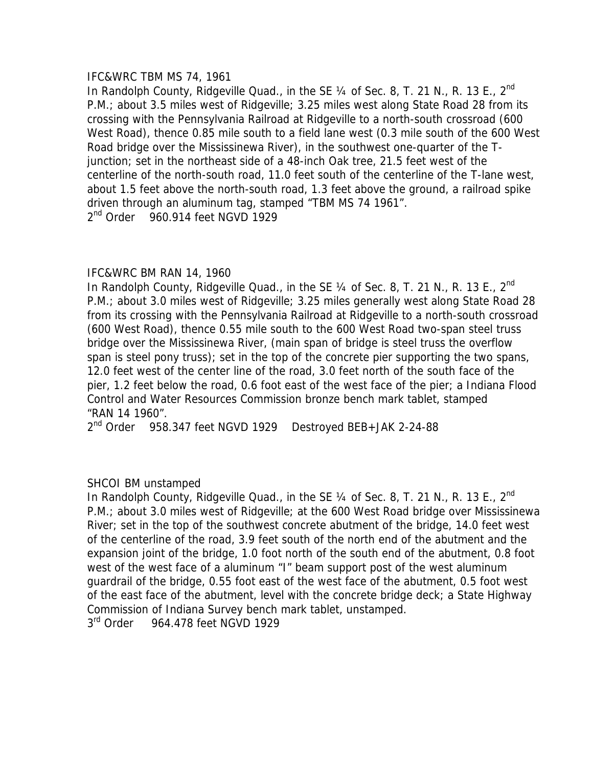## IFC&WRC TBM MS 74, 1961

In Randolph County, Ridgeville Quad., in the SE 1/4 of Sec. 8, T. 21 N., R. 13 E., 2<sup>nd</sup> P.M.; about 3.5 miles west of Ridgeville; 3.25 miles west along State Road 28 from its crossing with the Pennsylvania Railroad at Ridgeville to a north-south crossroad (600 West Road), thence 0.85 mile south to a field lane west (0.3 mile south of the 600 West Road bridge over the Mississinewa River), in the southwest one-quarter of the Tjunction; set in the northeast side of a 48-inch Oak tree, 21.5 feet west of the centerline of the north-south road, 11.0 feet south of the centerline of the T-lane west, about 1.5 feet above the north-south road, 1.3 feet above the ground, a railroad spike driven through an aluminum tag, stamped "TBM MS 74 1961".  $2<sup>nd</sup>$  Order 960.914 feet NGVD 1929

# IFC&WRC BM RAN 14, 1960

In Randolph County, Ridgeville Quad., in the SE  $\frac{1}{4}$  of Sec. 8, T. 21 N., R. 13 E., 2<sup>nd</sup> P.M.; about 3.0 miles west of Ridgeville; 3.25 miles generally west along State Road 28 from its crossing with the Pennsylvania Railroad at Ridgeville to a north-south crossroad (600 West Road), thence 0.55 mile south to the 600 West Road two-span steel truss bridge over the Mississinewa River, (main span of bridge is steel truss the overflow span is steel pony truss); set in the top of the concrete pier supporting the two spans, 12.0 feet west of the center line of the road, 3.0 feet north of the south face of the pier, 1.2 feet below the road, 0.6 foot east of the west face of the pier; a Indiana Flood Control and Water Resources Commission bronze bench mark tablet, stamped "RAN 14 1960".

2<sup>nd</sup> Order 958.347 feet NGVD 1929 Destroyed BEB+JAK 2-24-88

# SHCOI BM unstamped

In Randolph County, Ridgeville Quad., in the SE 1/4 of Sec. 8, T. 21 N., R. 13 E., 2<sup>nd</sup> P.M.; about 3.0 miles west of Ridgeville; at the 600 West Road bridge over Mississinewa River; set in the top of the southwest concrete abutment of the bridge, 14.0 feet west of the centerline of the road, 3.9 feet south of the north end of the abutment and the expansion joint of the bridge, 1.0 foot north of the south end of the abutment, 0.8 foot west of the west face of a aluminum "I" beam support post of the west aluminum guardrail of the bridge, 0.55 foot east of the west face of the abutment, 0.5 foot west of the east face of the abutment, level with the concrete bridge deck; a State Highway Commission of Indiana Survey bench mark tablet, unstamped.

3<sup>rd</sup> Order 964.478 feet NGVD 1929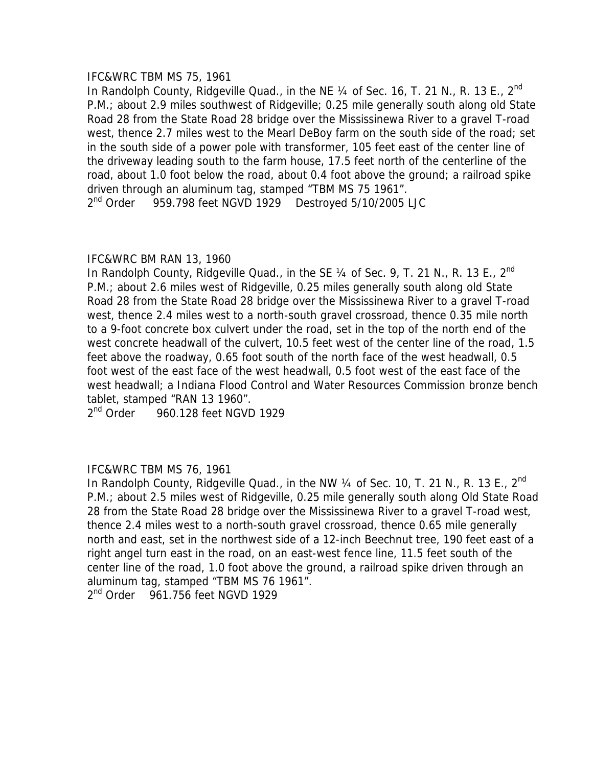## IFC&WRC TBM MS 75, 1961

In Randolph County, Ridgeville Quad., in the NE  $\frac{1}{4}$  of Sec. 16, T. 21 N., R. 13 E., 2<sup>nd</sup> P.M.; about 2.9 miles southwest of Ridgeville; 0.25 mile generally south along old State Road 28 from the State Road 28 bridge over the Mississinewa River to a gravel T-road west, thence 2.7 miles west to the Mearl DeBoy farm on the south side of the road; set in the south side of a power pole with transformer, 105 feet east of the center line of the driveway leading south to the farm house, 17.5 feet north of the centerline of the road, about 1.0 foot below the road, about 0.4 foot above the ground; a railroad spike driven through an aluminum tag, stamped "TBM MS 75 1961". 2<sup>nd</sup> Order 959.798 feet NGVD 1929 Destroyed 5/10/2005 LJC

# IFC&WRC BM RAN 13, 1960

In Randolph County, Ridgeville Quad., in the SE 1/4 of Sec. 9, T. 21 N., R. 13 E., 2<sup>nd</sup> P.M.; about 2.6 miles west of Ridgeville, 0.25 miles generally south along old State Road 28 from the State Road 28 bridge over the Mississinewa River to a gravel T-road west, thence 2.4 miles west to a north-south gravel crossroad, thence 0.35 mile north to a 9-foot concrete box culvert under the road, set in the top of the north end of the west concrete headwall of the culvert, 10.5 feet west of the center line of the road, 1.5 feet above the roadway, 0.65 foot south of the north face of the west headwall, 0.5 foot west of the east face of the west headwall, 0.5 foot west of the east face of the west headwall; a Indiana Flood Control and Water Resources Commission bronze bench tablet, stamped "RAN 13 1960".

 $2<sup>nd</sup>$  Order 960.128 feet NGVD 1929

# IFC&WRC TBM MS 76, 1961

In Randolph County, Ridgeville Quad., in the NW 1/4 of Sec. 10, T. 21 N., R. 13 E., 2<sup>nd</sup> P.M.; about 2.5 miles west of Ridgeville, 0.25 mile generally south along Old State Road 28 from the State Road 28 bridge over the Mississinewa River to a gravel T-road west, thence 2.4 miles west to a north-south gravel crossroad, thence 0.65 mile generally north and east, set in the northwest side of a 12-inch Beechnut tree, 190 feet east of a right angel turn east in the road, on an east-west fence line, 11.5 feet south of the center line of the road, 1.0 foot above the ground, a railroad spike driven through an aluminum tag, stamped "TBM MS 76 1961".

2<sup>nd</sup> Order 961.756 feet NGVD 1929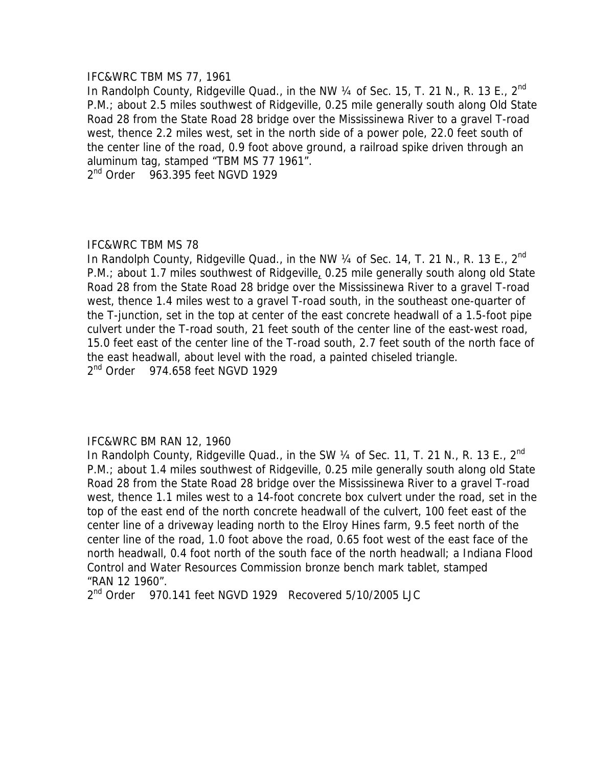### IFC&WRC TBM MS 77, 1961

In Randolph County, Ridgeville Quad., in the NW 1/4 of Sec. 15, T. 21 N., R. 13 E., 2<sup>nd</sup> P.M.; about 2.5 miles southwest of Ridgeville, 0.25 mile generally south along Old State Road 28 from the State Road 28 bridge over the Mississinewa River to a gravel T-road west, thence 2.2 miles west, set in the north side of a power pole, 22.0 feet south of the center line of the road, 0.9 foot above ground, a railroad spike driven through an aluminum tag, stamped "TBM MS 77 1961".

 $2<sup>nd</sup>$  Order 963.395 feet NGVD 1929

## IFC&WRC TBM MS 78

In Randolph County, Ridgeville Quad., in the NW  $\frac{1}{4}$  of Sec. 14, T. 21 N., R. 13 E., 2<sup>nd</sup> P.M.; about 1.7 miles southwest of Ridgeville, 0.25 mile generally south along old State Road 28 from the State Road 28 bridge over the Mississinewa River to a gravel T-road west, thence 1.4 miles west to a gravel T-road south, in the southeast one-quarter of the T-junction, set in the top at center of the east concrete headwall of a 1.5-foot pipe culvert under the T-road south, 21 feet south of the center line of the east-west road, 15.0 feet east of the center line of the T-road south, 2.7 feet south of the north face of the east headwall, about level with the road, a painted chiseled triangle. 2<sup>nd</sup> Order 974.658 feet NGVD 1929

# IFC&WRC BM RAN 12, 1960

In Randolph County, Ridgeville Quad., in the SW  $\frac{1}{4}$  of Sec. 11, T. 21 N., R. 13 E., 2<sup>nd</sup> P.M.; about 1.4 miles southwest of Ridgeville, 0.25 mile generally south along old State Road 28 from the State Road 28 bridge over the Mississinewa River to a gravel T-road west, thence 1.1 miles west to a 14-foot concrete box culvert under the road, set in the top of the east end of the north concrete headwall of the culvert, 100 feet east of the center line of a driveway leading north to the Elroy Hines farm, 9.5 feet north of the center line of the road, 1.0 foot above the road, 0.65 foot west of the east face of the north headwall, 0.4 foot north of the south face of the north headwall; a Indiana Flood Control and Water Resources Commission bronze bench mark tablet, stamped "RAN 12 1960".

2<sup>nd</sup> Order 970.141 feet NGVD 1929 Recovered 5/10/2005 LJC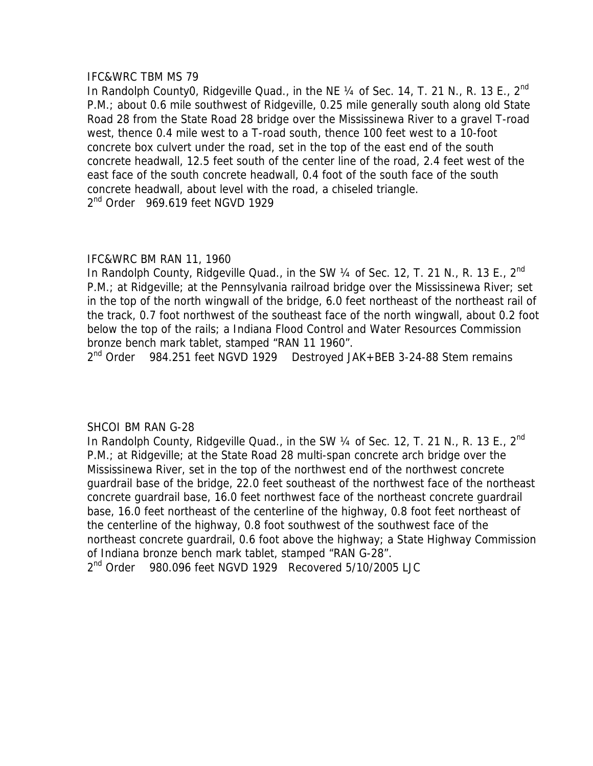In Randolph County0, Ridgeville Quad., in the NE  $\frac{1}{4}$  of Sec. 14, T. 21 N., R. 13 E., 2<sup>nd</sup> P.M.; about 0.6 mile southwest of Ridgeville, 0.25 mile generally south along old State Road 28 from the State Road 28 bridge over the Mississinewa River to a gravel T-road west, thence 0.4 mile west to a T-road south, thence 100 feet west to a 10-foot concrete box culvert under the road, set in the top of the east end of the south concrete headwall, 12.5 feet south of the center line of the road, 2.4 feet west of the east face of the south concrete headwall, 0.4 foot of the south face of the south concrete headwall, about level with the road, a chiseled triangle. 2<sup>nd</sup> Order 969.619 feet NGVD 1929

# IFC&WRC BM RAN 11, 1960

In Randolph County, Ridgeville Quad., in the SW 1/4 of Sec. 12, T. 21 N., R. 13 E., 2<sup>nd</sup> P.M.; at Ridgeville; at the Pennsylvania railroad bridge over the Mississinewa River; set in the top of the north wingwall of the bridge, 6.0 feet northeast of the northeast rail of the track, 0.7 foot northwest of the southeast face of the north wingwall, about 0.2 foot below the top of the rails; a Indiana Flood Control and Water Resources Commission bronze bench mark tablet, stamped "RAN 11 1960".

2<sup>nd</sup> Order 984.251 feet NGVD 1929 Destroyed JAK+BEB 3-24-88 Stem remains

# SHCOI BM RAN G-28

In Randolph County, Ridgeville Quad., in the SW  $\frac{1}{4}$  of Sec. 12, T. 21 N., R. 13 E., 2<sup>nd</sup> P.M.; at Ridgeville; at the State Road 28 multi-span concrete arch bridge over the Mississinewa River, set in the top of the northwest end of the northwest concrete guardrail base of the bridge, 22.0 feet southeast of the northwest face of the northeast concrete guardrail base, 16.0 feet northwest face of the northeast concrete guardrail base, 16.0 feet northeast of the centerline of the highway, 0.8 foot feet northeast of the centerline of the highway, 0.8 foot southwest of the southwest face of the northeast concrete guardrail, 0.6 foot above the highway; a State Highway Commission of Indiana bronze bench mark tablet, stamped "RAN G-28".

2<sup>nd</sup> Order 980.096 feet NGVD 1929 Recovered 5/10/2005 LJC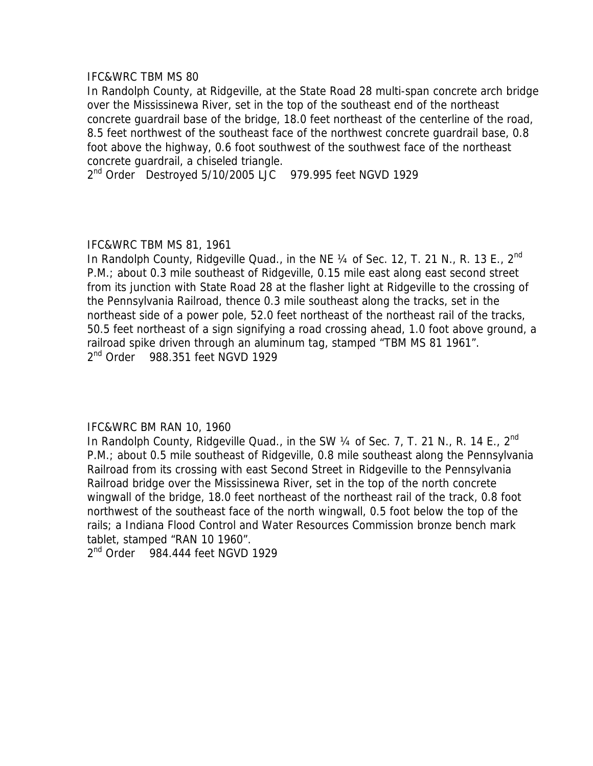In Randolph County, at Ridgeville, at the State Road 28 multi-span concrete arch bridge over the Mississinewa River, set in the top of the southeast end of the northeast concrete guardrail base of the bridge, 18.0 feet northeast of the centerline of the road, 8.5 feet northwest of the southeast face of the northwest concrete guardrail base, 0.8 foot above the highway, 0.6 foot southwest of the southwest face of the northeast concrete guardrail, a chiseled triangle.

2<sup>nd</sup> Order Destroyed 5/10/2005 LJC 979.995 feet NGVD 1929

## IFC&WRC TBM MS 81, 1961

In Randolph County, Ridgeville Quad., in the NE  $\frac{1}{4}$  of Sec. 12, T. 21 N., R. 13 E., 2<sup>nd</sup> P.M.; about 0.3 mile southeast of Ridgeville, 0.15 mile east along east second street from its junction with State Road 28 at the flasher light at Ridgeville to the crossing of the Pennsylvania Railroad, thence 0.3 mile southeast along the tracks, set in the northeast side of a power pole, 52.0 feet northeast of the northeast rail of the tracks, 50.5 feet northeast of a sign signifying a road crossing ahead, 1.0 foot above ground, a railroad spike driven through an aluminum tag, stamped "TBM MS 81 1961". 2<sup>nd</sup> Order 988.351 feet NGVD 1929

### IFC&WRC BM RAN 10, 1960

In Randolph County, Ridgeville Quad., in the SW 1/4 of Sec. 7, T. 21 N., R. 14 E., 2<sup>nd</sup> P.M.; about 0.5 mile southeast of Ridgeville, 0.8 mile southeast along the Pennsylvania Railroad from its crossing with east Second Street in Ridgeville to the Pennsylvania Railroad bridge over the Mississinewa River, set in the top of the north concrete wingwall of the bridge, 18.0 feet northeast of the northeast rail of the track, 0.8 foot northwest of the southeast face of the north wingwall, 0.5 foot below the top of the rails; a Indiana Flood Control and Water Resources Commission bronze bench mark tablet, stamped "RAN 10 1960".

2<sup>nd</sup> Order 984.444 feet NGVD 1929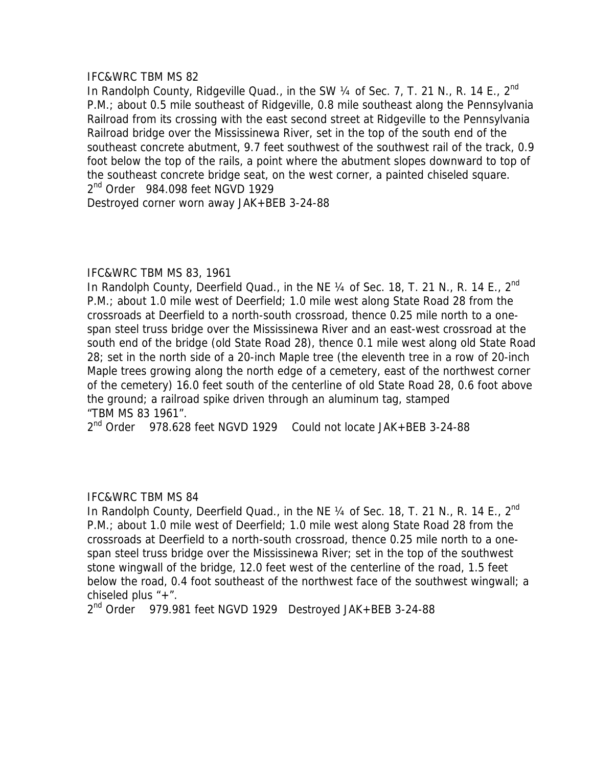In Randolph County, Ridgeville Quad., in the SW 1/4 of Sec. 7, T. 21 N., R. 14 E., 2<sup>nd</sup> P.M.; about 0.5 mile southeast of Ridgeville, 0.8 mile southeast along the Pennsylvania Railroad from its crossing with the east second street at Ridgeville to the Pennsylvania Railroad bridge over the Mississinewa River, set in the top of the south end of the southeast concrete abutment, 9.7 feet southwest of the southwest rail of the track, 0.9 foot below the top of the rails, a point where the abutment slopes downward to top of the southeast concrete bridge seat, on the west corner, a painted chiseled square. 2<sup>nd</sup> Order 984.098 feet NGVD 1929

Destroyed corner worn away JAK+BEB 3-24-88

## IFC&WRC TBM MS 83, 1961

In Randolph County, Deerfield Quad., in the NE 1/4 of Sec. 18, T. 21 N., R. 14 E., 2<sup>nd</sup> P.M.; about 1.0 mile west of Deerfield; 1.0 mile west along State Road 28 from the crossroads at Deerfield to a north-south crossroad, thence 0.25 mile north to a onespan steel truss bridge over the Mississinewa River and an east-west crossroad at the south end of the bridge (old State Road 28), thence 0.1 mile west along old State Road 28; set in the north side of a 20-inch Maple tree (the eleventh tree in a row of 20-inch Maple trees growing along the north edge of a cemetery, east of the northwest corner of the cemetery) 16.0 feet south of the centerline of old State Road 28, 0.6 foot above the ground; a railroad spike driven through an aluminum tag, stamped "TBM MS 83 1961".

2<sup>nd</sup> Order 978.628 feet NGVD 1929 Could not locate JAK+BEB 3-24-88

# IFC&WRC TBM MS 84

In Randolph County, Deerfield Quad., in the NE 1/4 of Sec. 18, T. 21 N., R. 14 E., 2<sup>nd</sup> P.M.; about 1.0 mile west of Deerfield; 1.0 mile west along State Road 28 from the crossroads at Deerfield to a north-south crossroad, thence 0.25 mile north to a onespan steel truss bridge over the Mississinewa River; set in the top of the southwest stone wingwall of the bridge, 12.0 feet west of the centerline of the road, 1.5 feet below the road, 0.4 foot southeast of the northwest face of the southwest wingwall; a chiseled plus "+".

2<sup>nd</sup> Order 979.981 feet NGVD 1929 Destroyed JAK+BEB 3-24-88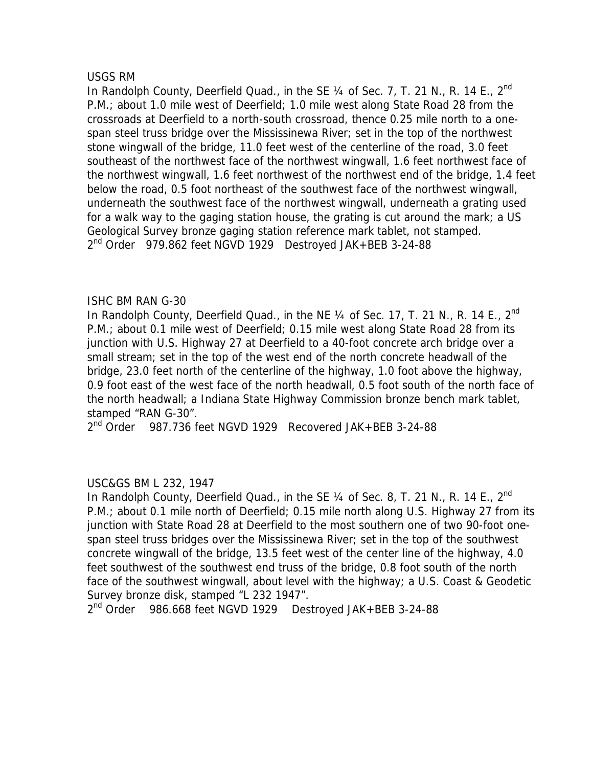## USGS RM

In Randolph County, Deerfield Quad., in the SE  $\frac{1}{4}$  of Sec. 7, T. 21 N., R. 14 E., 2<sup>nd</sup> P.M.; about 1.0 mile west of Deerfield; 1.0 mile west along State Road 28 from the crossroads at Deerfield to a north-south crossroad, thence 0.25 mile north to a onespan steel truss bridge over the Mississinewa River; set in the top of the northwest stone wingwall of the bridge, 11.0 feet west of the centerline of the road, 3.0 feet southeast of the northwest face of the northwest wingwall, 1.6 feet northwest face of the northwest wingwall, 1.6 feet northwest of the northwest end of the bridge, 1.4 feet below the road, 0.5 foot northeast of the southwest face of the northwest wingwall, underneath the southwest face of the northwest wingwall, underneath a grating used for a walk way to the gaging station house, the grating is cut around the mark; a US Geological Survey bronze gaging station reference mark tablet, not stamped. 2<sup>nd</sup> Order 979.862 feet NGVD 1929 Destroyed JAK+BEB 3-24-88

# ISHC BM RAN G-30

In Randolph County, Deerfield Quad., in the NE  $\frac{1}{4}$  of Sec. 17, T. 21 N., R. 14 E., 2<sup>nd</sup> P.M.; about 0.1 mile west of Deerfield; 0.15 mile west along State Road 28 from its junction with U.S. Highway 27 at Deerfield to a 40-foot concrete arch bridge over a small stream; set in the top of the west end of the north concrete headwall of the bridge, 23.0 feet north of the centerline of the highway, 1.0 foot above the highway, 0.9 foot east of the west face of the north headwall, 0.5 foot south of the north face of the north headwall; a Indiana State Highway Commission bronze bench mark tablet, stamped "RAN G-30".

2<sup>nd</sup> Order 987.736 feet NGVD 1929 Recovered JAK+BEB 3-24-88

# USC&GS BM L 232, 1947

In Randolph County, Deerfield Quad., in the SE  $\frac{1}{4}$  of Sec. 8, T. 21 N., R. 14 E., 2<sup>nd</sup> P.M.; about 0.1 mile north of Deerfield; 0.15 mile north along U.S. Highway 27 from its junction with State Road 28 at Deerfield to the most southern one of two 90-foot onespan steel truss bridges over the Mississinewa River; set in the top of the southwest concrete wingwall of the bridge, 13.5 feet west of the center line of the highway, 4.0 feet southwest of the southwest end truss of the bridge, 0.8 foot south of the north face of the southwest wingwall, about level with the highway; a U.S. Coast & Geodetic Survey bronze disk, stamped "L 232 1947".

2<sup>nd</sup> Order 986.668 feet NGVD 1929 Destroyed JAK+BEB 3-24-88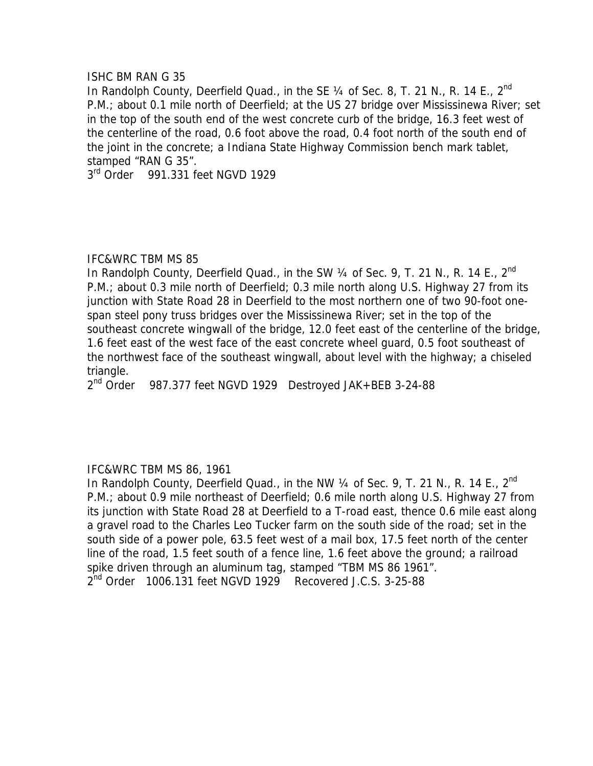### ISHC BM RAN G 35

In Randolph County, Deerfield Quad., in the SE 1/4 of Sec. 8, T. 21 N., R. 14 E., 2<sup>nd</sup> P.M.; about 0.1 mile north of Deerfield; at the US 27 bridge over Mississinewa River; set in the top of the south end of the west concrete curb of the bridge, 16.3 feet west of the centerline of the road, 0.6 foot above the road, 0.4 foot north of the south end of the joint in the concrete; a Indiana State Highway Commission bench mark tablet, stamped "RAN G 35".

3<sup>rd</sup> Order 991.331 feet NGVD 1929

## IFC&WRC TBM MS 85

In Randolph County, Deerfield Quad., in the SW 1/4 of Sec. 9, T. 21 N., R. 14 E., 2<sup>nd</sup> P.M.; about 0.3 mile north of Deerfield; 0.3 mile north along U.S. Highway 27 from its junction with State Road 28 in Deerfield to the most northern one of two 90-foot onespan steel pony truss bridges over the Mississinewa River; set in the top of the southeast concrete wingwall of the bridge, 12.0 feet east of the centerline of the bridge, 1.6 feet east of the west face of the east concrete wheel guard, 0.5 foot southeast of the northwest face of the southeast wingwall, about level with the highway; a chiseled triangle.

2<sup>nd</sup> Order 987.377 feet NGVD 1929 Destroyed JAK+BEB 3-24-88

# IFC&WRC TBM MS 86, 1961

In Randolph County, Deerfield Quad., in the NW 1/4 of Sec. 9, T. 21 N., R. 14 E., 2<sup>nd</sup> P.M.; about 0.9 mile northeast of Deerfield; 0.6 mile north along U.S. Highway 27 from its junction with State Road 28 at Deerfield to a T-road east, thence 0.6 mile east along a gravel road to the Charles Leo Tucker farm on the south side of the road; set in the south side of a power pole, 63.5 feet west of a mail box, 17.5 feet north of the center line of the road, 1.5 feet south of a fence line, 1.6 feet above the ground; a railroad spike driven through an aluminum tag, stamped "TBM MS 86 1961". 2<sup>nd</sup> Order 1006.131 feet NGVD 1929 Recovered J.C.S. 3-25-88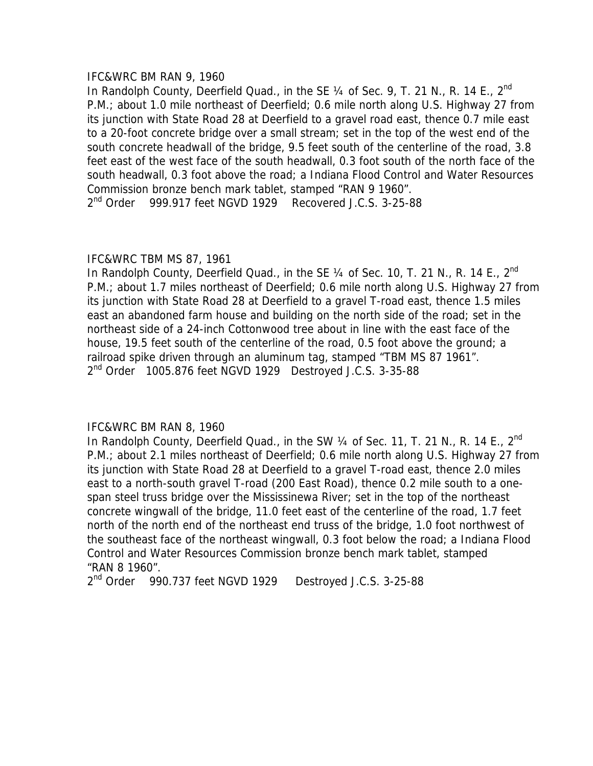## IFC&WRC BM RAN 9, 1960

In Randolph County, Deerfield Quad., in the SE  $\frac{1}{4}$  of Sec. 9, T. 21 N., R. 14 E., 2<sup>nd</sup> P.M.; about 1.0 mile northeast of Deerfield; 0.6 mile north along U.S. Highway 27 from its junction with State Road 28 at Deerfield to a gravel road east, thence 0.7 mile east to a 20-foot concrete bridge over a small stream; set in the top of the west end of the south concrete headwall of the bridge, 9.5 feet south of the centerline of the road, 3.8 feet east of the west face of the south headwall, 0.3 foot south of the north face of the south headwall, 0.3 foot above the road; a Indiana Flood Control and Water Resources Commission bronze bench mark tablet, stamped "RAN 9 1960". 2<sup>nd</sup> Order 999.917 feet NGVD 1929 Recovered J.C.S. 3-25-88

# IFC&WRC TBM MS 87, 1961

In Randolph County, Deerfield Quad., in the SE  $\frac{1}{4}$  of Sec. 10, T. 21 N., R. 14 E., 2<sup>nd</sup> P.M.; about 1.7 miles northeast of Deerfield; 0.6 mile north along U.S. Highway 27 from its junction with State Road 28 at Deerfield to a gravel T-road east, thence 1.5 miles east an abandoned farm house and building on the north side of the road; set in the northeast side of a 24-inch Cottonwood tree about in line with the east face of the house, 19.5 feet south of the centerline of the road, 0.5 foot above the ground; a railroad spike driven through an aluminum tag, stamped "TBM MS 87 1961". 2<sup>nd</sup> Order 1005.876 feet NGVD 1929 Destroyed J.C.S. 3-35-88

# IFC&WRC BM RAN 8, 1960

In Randolph County, Deerfield Quad., in the SW  $\frac{1}{4}$  of Sec. 11, T. 21 N., R. 14 E., 2<sup>nd</sup> P.M.; about 2.1 miles northeast of Deerfield; 0.6 mile north along U.S. Highway 27 from its junction with State Road 28 at Deerfield to a gravel T-road east, thence 2.0 miles east to a north-south gravel T-road (200 East Road), thence 0.2 mile south to a onespan steel truss bridge over the Mississinewa River; set in the top of the northeast concrete wingwall of the bridge, 11.0 feet east of the centerline of the road, 1.7 feet north of the north end of the northeast end truss of the bridge, 1.0 foot northwest of the southeast face of the northeast wingwall, 0.3 foot below the road; a Indiana Flood Control and Water Resources Commission bronze bench mark tablet, stamped "RAN 8 1960".

2<sup>nd</sup> Order 990.737 feet NGVD 1929 Destroyed J.C.S. 3-25-88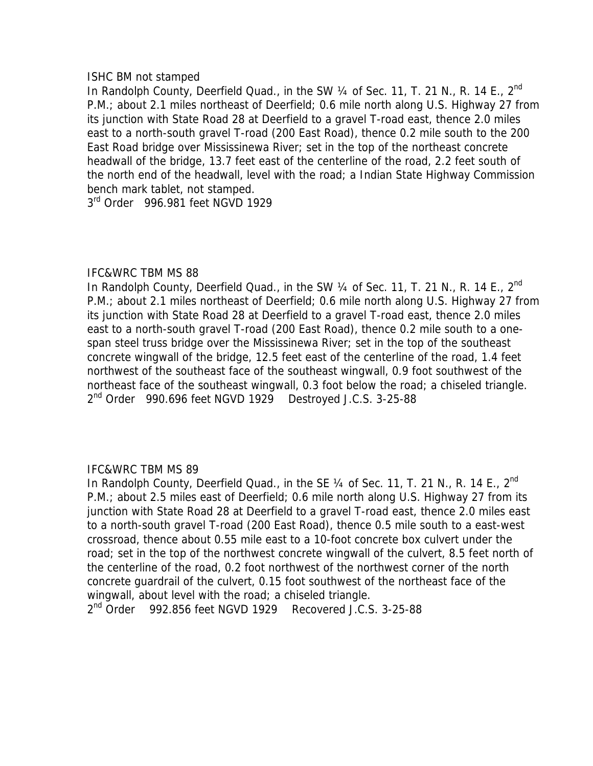## ISHC BM not stamped

In Randolph County, Deerfield Quad., in the SW 1/4 of Sec. 11, T. 21 N., R. 14 E., 2<sup>nd</sup> P.M.; about 2.1 miles northeast of Deerfield; 0.6 mile north along U.S. Highway 27 from its junction with State Road 28 at Deerfield to a gravel T-road east, thence 2.0 miles east to a north-south gravel T-road (200 East Road), thence 0.2 mile south to the 200 East Road bridge over Mississinewa River; set in the top of the northeast concrete headwall of the bridge, 13.7 feet east of the centerline of the road, 2.2 feet south of the north end of the headwall, level with the road; a Indian State Highway Commission bench mark tablet, not stamped.

3<sup>rd</sup> Order 996.981 feet NGVD 1929

# IFC&WRC TBM MS 88

In Randolph County, Deerfield Quad., in the SW  $\frac{1}{4}$  of Sec. 11, T. 21 N., R. 14 E., 2<sup>nd</sup> P.M.; about 2.1 miles northeast of Deerfield; 0.6 mile north along U.S. Highway 27 from its junction with State Road 28 at Deerfield to a gravel T-road east, thence 2.0 miles east to a north-south gravel T-road (200 East Road), thence 0.2 mile south to a onespan steel truss bridge over the Mississinewa River; set in the top of the southeast concrete wingwall of the bridge, 12.5 feet east of the centerline of the road, 1.4 feet northwest of the southeast face of the southeast wingwall, 0.9 foot southwest of the northeast face of the southeast wingwall, 0.3 foot below the road; a chiseled triangle. 2<sup>nd</sup> Order 990.696 feet NGVD 1929 Destroyed J.C.S. 3-25-88

# IFC&WRC TBM MS 89

In Randolph County, Deerfield Quad., in the SE 1/4 of Sec. 11, T. 21 N., R. 14 E., 2<sup>nd</sup> P.M.; about 2.5 miles east of Deerfield; 0.6 mile north along U.S. Highway 27 from its junction with State Road 28 at Deerfield to a gravel T-road east, thence 2.0 miles east to a north-south gravel T-road (200 East Road), thence 0.5 mile south to a east-west crossroad, thence about 0.55 mile east to a 10-foot concrete box culvert under the road; set in the top of the northwest concrete wingwall of the culvert, 8.5 feet north of the centerline of the road, 0.2 foot northwest of the northwest corner of the north concrete guardrail of the culvert, 0.15 foot southwest of the northeast face of the wingwall, about level with the road; a chiseled triangle.

2<sup>nd</sup> Order 992.856 feet NGVD 1929 Recovered J.C.S. 3-25-88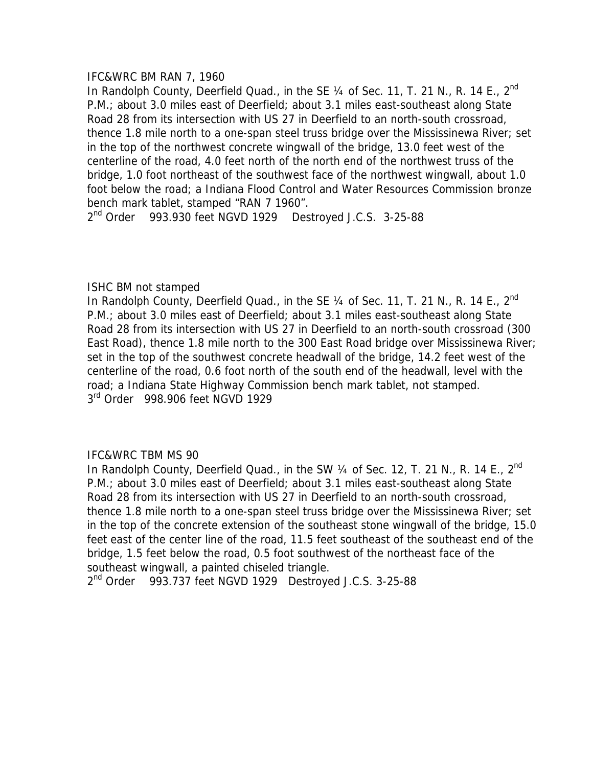### IFC&WRC BM RAN 7, 1960

In Randolph County, Deerfield Quad., in the SE  $\frac{1}{4}$  of Sec. 11, T. 21 N., R. 14 E., 2<sup>nd</sup> P.M.; about 3.0 miles east of Deerfield; about 3.1 miles east-southeast along State Road 28 from its intersection with US 27 in Deerfield to an north-south crossroad, thence 1.8 mile north to a one-span steel truss bridge over the Mississinewa River; set in the top of the northwest concrete wingwall of the bridge, 13.0 feet west of the centerline of the road, 4.0 feet north of the north end of the northwest truss of the bridge, 1.0 foot northeast of the southwest face of the northwest wingwall, about 1.0 foot below the road; a Indiana Flood Control and Water Resources Commission bronze bench mark tablet, stamped "RAN 7 1960".

2<sup>nd</sup> Order 993.930 feet NGVD 1929 Destroyed J.C.S. 3-25-88

## ISHC BM not stamped

In Randolph County, Deerfield Quad., in the SE 1/4 of Sec. 11, T. 21 N., R. 14 E., 2<sup>nd</sup> P.M.; about 3.0 miles east of Deerfield; about 3.1 miles east-southeast along State Road 28 from its intersection with US 27 in Deerfield to an north-south crossroad (300 East Road), thence 1.8 mile north to the 300 East Road bridge over Mississinewa River; set in the top of the southwest concrete headwall of the bridge, 14.2 feet west of the centerline of the road, 0.6 foot north of the south end of the headwall, level with the road; a Indiana State Highway Commission bench mark tablet, not stamped. 3<sup>rd</sup> Order 998.906 feet NGVD 1929

# IFC&WRC TBM MS 90

In Randolph County, Deerfield Quad., in the SW 1/4 of Sec. 12, T. 21 N., R. 14 E., 2<sup>nd</sup> P.M.; about 3.0 miles east of Deerfield; about 3.1 miles east-southeast along State Road 28 from its intersection with US 27 in Deerfield to an north-south crossroad, thence 1.8 mile north to a one-span steel truss bridge over the Mississinewa River; set in the top of the concrete extension of the southeast stone wingwall of the bridge, 15.0 feet east of the center line of the road, 11.5 feet southeast of the southeast end of the bridge, 1.5 feet below the road, 0.5 foot southwest of the northeast face of the southeast wingwall, a painted chiseled triangle.

 $2<sup>nd</sup>$  Order 993.737 feet NGVD 1929 Destroyed J.C.S. 3-25-88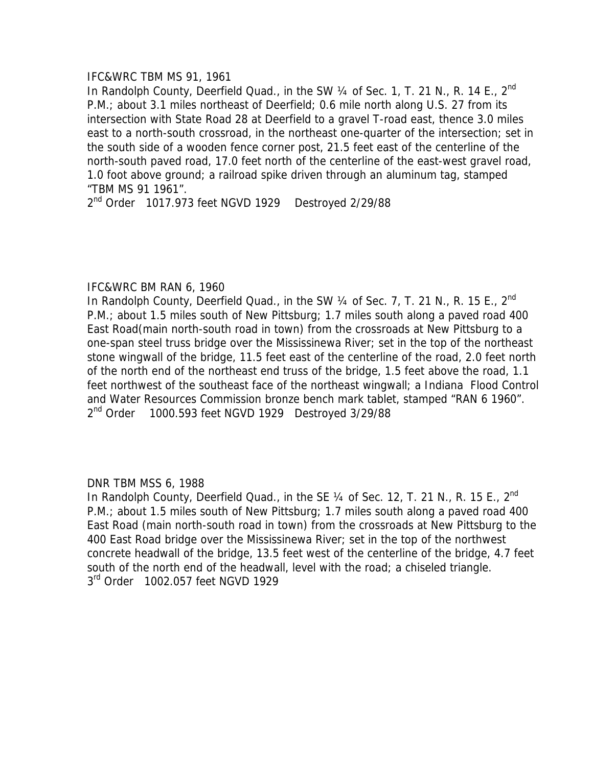## IFC&WRC TBM MS 91, 1961

In Randolph County, Deerfield Quad., in the SW 1/4 of Sec. 1, T. 21 N., R. 14 E., 2<sup>nd</sup> P.M.; about 3.1 miles northeast of Deerfield; 0.6 mile north along U.S. 27 from its intersection with State Road 28 at Deerfield to a gravel T-road east, thence 3.0 miles east to a north-south crossroad, in the northeast one-quarter of the intersection; set in the south side of a wooden fence corner post, 21.5 feet east of the centerline of the north-south paved road, 17.0 feet north of the centerline of the east-west gravel road, 1.0 foot above ground; a railroad spike driven through an aluminum tag, stamped "TBM MS 91 1961".

2<sup>nd</sup> Order 1017.973 feet NGVD 1929 Destroyed 2/29/88

## IFC&WRC BM RAN 6, 1960

In Randolph County, Deerfield Quad., in the SW  $\frac{1}{4}$  of Sec. 7, T. 21 N., R. 15 E., 2<sup>nd</sup> P.M.; about 1.5 miles south of New Pittsburg; 1.7 miles south along a paved road 400 East Road(main north-south road in town) from the crossroads at New Pittsburg to a one-span steel truss bridge over the Mississinewa River; set in the top of the northeast stone wingwall of the bridge, 11.5 feet east of the centerline of the road, 2.0 feet north of the north end of the northeast end truss of the bridge, 1.5 feet above the road, 1.1 feet northwest of the southeast face of the northeast wingwall; a Indiana Flood Control and Water Resources Commission bronze bench mark tablet, stamped "RAN 6 1960". 2<sup>nd</sup> Order 1000.593 feet NGVD 1929 Destroyed 3/29/88

DNR TBM MSS 6, 1988

In Randolph County, Deerfield Quad., in the SE  $\frac{1}{4}$  of Sec. 12, T. 21 N., R. 15 E., 2<sup>nd</sup> P.M.; about 1.5 miles south of New Pittsburg; 1.7 miles south along a paved road 400 East Road (main north-south road in town) from the crossroads at New Pittsburg to the 400 East Road bridge over the Mississinewa River; set in the top of the northwest concrete headwall of the bridge, 13.5 feet west of the centerline of the bridge, 4.7 feet south of the north end of the headwall, level with the road; a chiseled triangle. 3<sup>rd</sup> Order 1002.057 feet NGVD 1929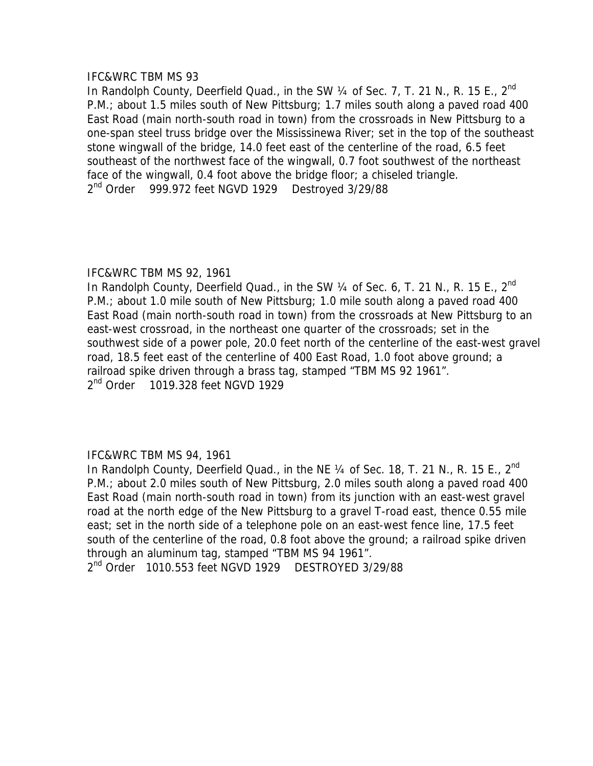In Randolph County, Deerfield Quad., in the SW 1/4 of Sec. 7, T. 21 N., R. 15 E., 2<sup>nd</sup> P.M.; about 1.5 miles south of New Pittsburg; 1.7 miles south along a paved road 400 East Road (main north-south road in town) from the crossroads in New Pittsburg to a one-span steel truss bridge over the Mississinewa River; set in the top of the southeast stone wingwall of the bridge, 14.0 feet east of the centerline of the road, 6.5 feet southeast of the northwest face of the wingwall, 0.7 foot southwest of the northeast face of the wingwall, 0.4 foot above the bridge floor; a chiseled triangle.  $2<sup>nd</sup>$  Order 999.972 feet NGVD 1929 Destroyed 3/29/88

# IFC&WRC TBM MS 92, 1961

In Randolph County, Deerfield Quad., in the SW 1/4 of Sec. 6, T. 21 N., R. 15 E., 2<sup>nd</sup> P.M.; about 1.0 mile south of New Pittsburg; 1.0 mile south along a paved road 400 East Road (main north-south road in town) from the crossroads at New Pittsburg to an east-west crossroad, in the northeast one quarter of the crossroads; set in the southwest side of a power pole, 20.0 feet north of the centerline of the east-west gravel road, 18.5 feet east of the centerline of 400 East Road, 1.0 foot above ground; a railroad spike driven through a brass tag, stamped "TBM MS 92 1961". 2<sup>nd</sup> Order 1019.328 feet NGVD 1929

# IFC&WRC TBM MS 94, 1961

In Randolph County, Deerfield Quad., in the NE  $\frac{1}{4}$  of Sec. 18, T. 21 N., R. 15 E., 2<sup>nd</sup> P.M.; about 2.0 miles south of New Pittsburg, 2.0 miles south along a paved road 400 East Road (main north-south road in town) from its junction with an east-west gravel road at the north edge of the New Pittsburg to a gravel T-road east, thence 0.55 mile east; set in the north side of a telephone pole on an east-west fence line, 17.5 feet south of the centerline of the road, 0.8 foot above the ground; a railroad spike driven through an aluminum tag, stamped "TBM MS 94 1961".

2<sup>nd</sup> Order 1010.553 feet NGVD 1929 DESTROYED 3/29/88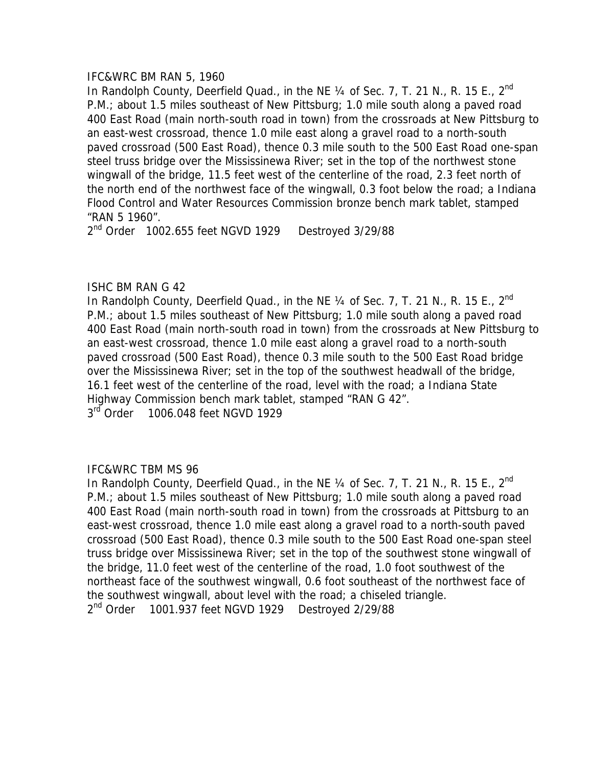## IFC&WRC BM RAN 5, 1960

In Randolph County, Deerfield Quad., in the NE  $\frac{1}{4}$  of Sec. 7, T. 21 N., R. 15 E., 2<sup>nd</sup> P.M.; about 1.5 miles southeast of New Pittsburg; 1.0 mile south along a paved road 400 East Road (main north-south road in town) from the crossroads at New Pittsburg to an east-west crossroad, thence 1.0 mile east along a gravel road to a north-south paved crossroad (500 East Road), thence 0.3 mile south to the 500 East Road one-span steel truss bridge over the Mississinewa River; set in the top of the northwest stone wingwall of the bridge, 11.5 feet west of the centerline of the road, 2.3 feet north of the north end of the northwest face of the wingwall, 0.3 foot below the road; a Indiana Flood Control and Water Resources Commission bronze bench mark tablet, stamped "RAN 5 1960".

2<sup>nd</sup> Order 1002.655 feet NGVD 1929 Destroyed 3/29/88

# ISHC BM RAN G 42

In Randolph County, Deerfield Quad., in the NE  $\frac{1}{4}$  of Sec. 7, T. 21 N., R. 15 E., 2<sup>nd</sup> P.M.; about 1.5 miles southeast of New Pittsburg; 1.0 mile south along a paved road 400 East Road (main north-south road in town) from the crossroads at New Pittsburg to an east-west crossroad, thence 1.0 mile east along a gravel road to a north-south paved crossroad (500 East Road), thence 0.3 mile south to the 500 East Road bridge over the Mississinewa River; set in the top of the southwest headwall of the bridge, 16.1 feet west of the centerline of the road, level with the road; a Indiana State Highway Commission bench mark tablet, stamped "RAN G 42". 3<sup>rd</sup> Order 1006.048 feet NGVD 1929

# IFC&WRC TBM MS 96

In Randolph County, Deerfield Quad., in the NE 1/4 of Sec. 7, T. 21 N., R. 15 E., 2<sup>nd</sup> P.M.; about 1.5 miles southeast of New Pittsburg; 1.0 mile south along a paved road 400 East Road (main north-south road in town) from the crossroads at Pittsburg to an east-west crossroad, thence 1.0 mile east along a gravel road to a north-south paved crossroad (500 East Road), thence 0.3 mile south to the 500 East Road one-span steel truss bridge over Mississinewa River; set in the top of the southwest stone wingwall of the bridge, 11.0 feet west of the centerline of the road, 1.0 foot southwest of the northeast face of the southwest wingwall, 0.6 foot southeast of the northwest face of the southwest wingwall, about level with the road; a chiseled triangle. 2<sup>nd</sup> Order 1001.937 feet NGVD 1929 Destroyed 2/29/88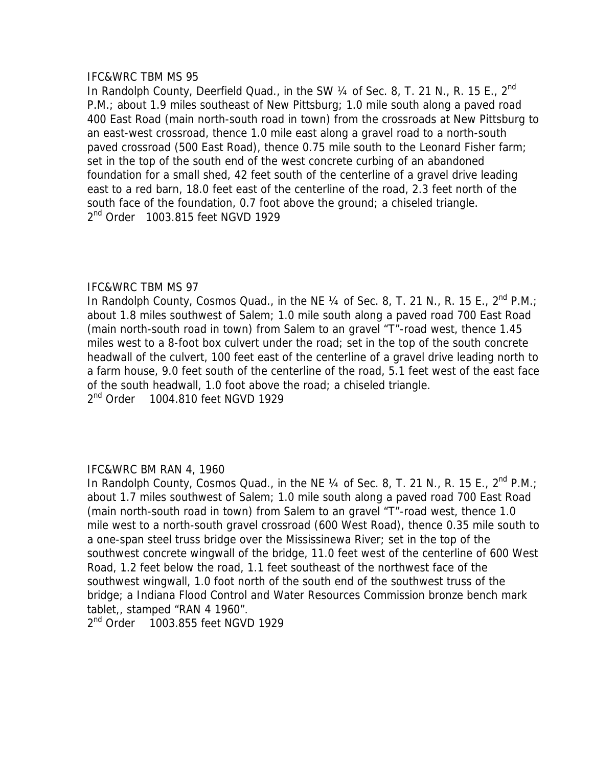In Randolph County, Deerfield Quad., in the SW  $\frac{1}{4}$  of Sec. 8, T. 21 N., R. 15 E., 2<sup>nd</sup> P.M.; about 1.9 miles southeast of New Pittsburg; 1.0 mile south along a paved road 400 East Road (main north-south road in town) from the crossroads at New Pittsburg to an east-west crossroad, thence 1.0 mile east along a gravel road to a north-south paved crossroad (500 East Road), thence 0.75 mile south to the Leonard Fisher farm; set in the top of the south end of the west concrete curbing of an abandoned foundation for a small shed, 42 feet south of the centerline of a gravel drive leading east to a red barn, 18.0 feet east of the centerline of the road, 2.3 feet north of the south face of the foundation, 0.7 foot above the ground; a chiseled triangle. 2<sup>nd</sup> Order 1003.815 feet NGVD 1929

# IFC&WRC TBM MS 97

In Randolph County, Cosmos Quad., in the NE  $\frac{1}{4}$  of Sec. 8, T. 21 N., R. 15 E.,  $2^{nd}$  P.M.; about 1.8 miles southwest of Salem; 1.0 mile south along a paved road 700 East Road (main north-south road in town) from Salem to an gravel "T"-road west, thence 1.45 miles west to a 8-foot box culvert under the road; set in the top of the south concrete headwall of the culvert, 100 feet east of the centerline of a gravel drive leading north to a farm house, 9.0 feet south of the centerline of the road, 5.1 feet west of the east face of the south headwall, 1.0 foot above the road; a chiseled triangle. 2<sup>nd</sup> Order 1004.810 feet NGVD 1929

# IFC&WRC BM RAN 4, 1960

In Randolph County, Cosmos Quad., in the NE 1/4 of Sec. 8, T. 21 N., R. 15 E., 2<sup>nd</sup> P.M.; about 1.7 miles southwest of Salem; 1.0 mile south along a paved road 700 East Road (main north-south road in town) from Salem to an gravel "T"-road west, thence 1.0 mile west to a north-south gravel crossroad (600 West Road), thence 0.35 mile south to a one-span steel truss bridge over the Mississinewa River; set in the top of the southwest concrete wingwall of the bridge, 11.0 feet west of the centerline of 600 West Road, 1.2 feet below the road, 1.1 feet southeast of the northwest face of the southwest wingwall, 1.0 foot north of the south end of the southwest truss of the bridge; a Indiana Flood Control and Water Resources Commission bronze bench mark tablet,, stamped "RAN 4 1960".

2<sup>nd</sup> Order 1003.855 feet NGVD 1929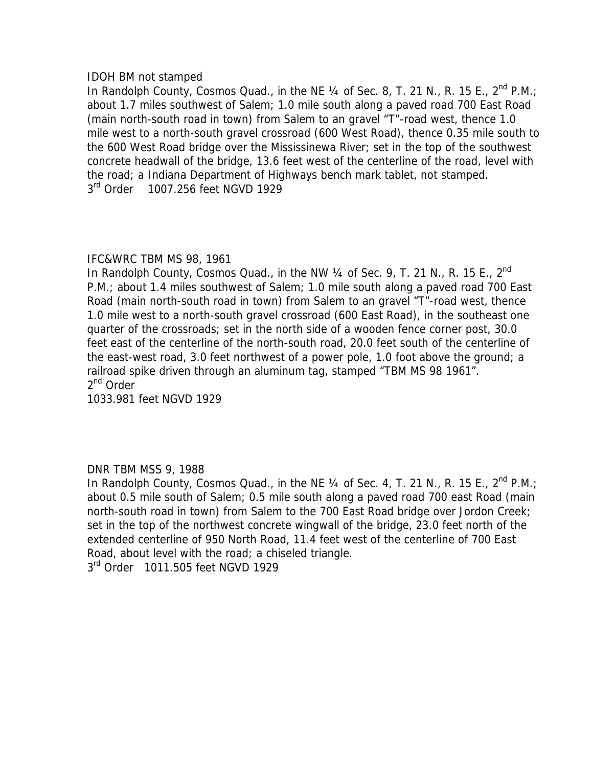## IDOH BM not stamped

In Randolph County, Cosmos Quad., in the NE  $\frac{1}{4}$  of Sec. 8, T. 21 N., R. 15 E., 2<sup>nd</sup> P.M.; about 1.7 miles southwest of Salem; 1.0 mile south along a paved road 700 East Road (main north-south road in town) from Salem to an gravel "T"-road west, thence 1.0 mile west to a north-south gravel crossroad (600 West Road), thence 0.35 mile south to the 600 West Road bridge over the Mississinewa River; set in the top of the southwest concrete headwall of the bridge, 13.6 feet west of the centerline of the road, level with the road; a Indiana Department of Highways bench mark tablet, not stamped. 3<sup>rd</sup> Order 1007.256 feet NGVD 1929

# IFC&WRC TBM MS 98, 1961

In Randolph County, Cosmos Quad., in the NW 1/4 of Sec. 9, T. 21 N., R. 15 E., 2<sup>nd</sup> P.M.; about 1.4 miles southwest of Salem; 1.0 mile south along a paved road 700 East Road (main north-south road in town) from Salem to an gravel "T"-road west, thence 1.0 mile west to a north-south gravel crossroad (600 East Road), in the southeast one quarter of the crossroads; set in the north side of a wooden fence corner post, 30.0 feet east of the centerline of the north-south road, 20.0 feet south of the centerline of the east-west road, 3.0 feet northwest of a power pole, 1.0 foot above the ground; a railroad spike driven through an aluminum tag, stamped "TBM MS 98 1961". 2<sup>nd</sup> Order

1033.981 feet NGVD 1929

# DNR TBM MSS 9, 1988

In Randolph County, Cosmos Quad., in the NE 1/4 of Sec. 4, T. 21 N., R. 15 E., 2<sup>nd</sup> P.M.; about 0.5 mile south of Salem; 0.5 mile south along a paved road 700 east Road (main north-south road in town) from Salem to the 700 East Road bridge over Jordon Creek; set in the top of the northwest concrete wingwall of the bridge, 23.0 feet north of the extended centerline of 950 North Road, 11.4 feet west of the centerline of 700 East Road, about level with the road; a chiseled triangle.

3<sup>rd</sup> Order 1011.505 feet NGVD 1929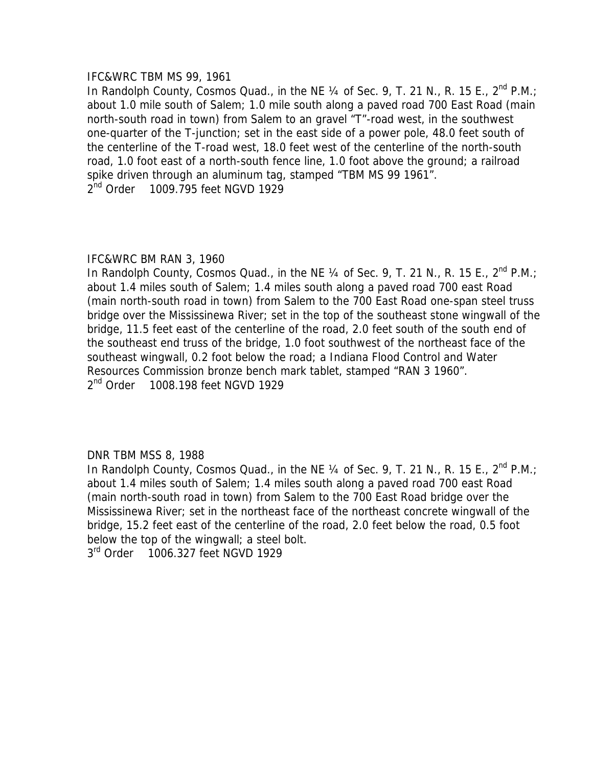### IFC&WRC TBM MS 99, 1961

In Randolph County, Cosmos Quad., in the NE  $\frac{1}{4}$  of Sec. 9, T. 21 N., R. 15 E., 2<sup>nd</sup> P.M.; about 1.0 mile south of Salem; 1.0 mile south along a paved road 700 East Road (main north-south road in town) from Salem to an gravel "T"-road west, in the southwest one-quarter of the T-junction; set in the east side of a power pole, 48.0 feet south of the centerline of the T-road west, 18.0 feet west of the centerline of the north-south road, 1.0 foot east of a north-south fence line, 1.0 foot above the ground; a railroad spike driven through an aluminum tag, stamped "TBM MS 99 1961". 2<sup>nd</sup> Order 1009.795 feet NGVD 1929

# IFC&WRC BM RAN 3, 1960

In Randolph County, Cosmos Quad., in the NE  $\frac{1}{4}$  of Sec. 9, T. 21 N., R. 15 E.,  $2^{nd}$  P.M.; about 1.4 miles south of Salem; 1.4 miles south along a paved road 700 east Road (main north-south road in town) from Salem to the 700 East Road one-span steel truss bridge over the Mississinewa River; set in the top of the southeast stone wingwall of the bridge, 11.5 feet east of the centerline of the road, 2.0 feet south of the south end of the southeast end truss of the bridge, 1.0 foot southwest of the northeast face of the southeast wingwall, 0.2 foot below the road; a Indiana Flood Control and Water Resources Commission bronze bench mark tablet, stamped "RAN 3 1960". 2<sup>nd</sup> Order 1008.198 feet NGVD 1929

# DNR TBM MSS 8, 1988

In Randolph County, Cosmos Quad., in the NE  $\frac{1}{4}$  of Sec. 9, T. 21 N., R. 15 E., 2<sup>nd</sup> P.M.; about 1.4 miles south of Salem; 1.4 miles south along a paved road 700 east Road (main north-south road in town) from Salem to the 700 East Road bridge over the Mississinewa River; set in the northeast face of the northeast concrete wingwall of the bridge, 15.2 feet east of the centerline of the road, 2.0 feet below the road, 0.5 foot below the top of the wingwall; a steel bolt.

3<sup>rd</sup> Order 1006.327 feet NGVD 1929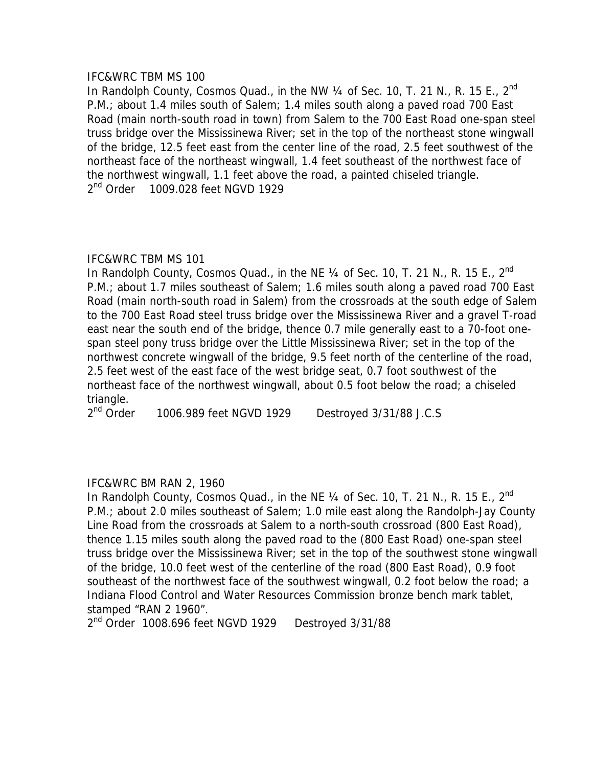In Randolph County, Cosmos Quad., in the NW  $\frac{1}{4}$  of Sec. 10, T. 21 N., R. 15 E., 2<sup>nd</sup> P.M.; about 1.4 miles south of Salem; 1.4 miles south along a paved road 700 East Road (main north-south road in town) from Salem to the 700 East Road one-span steel truss bridge over the Mississinewa River; set in the top of the northeast stone wingwall of the bridge, 12.5 feet east from the center line of the road, 2.5 feet southwest of the northeast face of the northeast wingwall, 1.4 feet southeast of the northwest face of the northwest wingwall, 1.1 feet above the road, a painted chiseled triangle. 2<sup>nd</sup> Order 1009.028 feet NGVD 1929

## IFC&WRC TBM MS 101

In Randolph County, Cosmos Quad., in the NE  $\frac{1}{4}$  of Sec. 10, T. 21 N., R. 15 E., 2<sup>nd</sup> P.M.; about 1.7 miles southeast of Salem; 1.6 miles south along a paved road 700 East Road (main north-south road in Salem) from the crossroads at the south edge of Salem to the 700 East Road steel truss bridge over the Mississinewa River and a gravel T-road east near the south end of the bridge, thence 0.7 mile generally east to a 70-foot onespan steel pony truss bridge over the Little Mississinewa River; set in the top of the northwest concrete wingwall of the bridge, 9.5 feet north of the centerline of the road, 2.5 feet west of the east face of the west bridge seat, 0.7 foot southwest of the northeast face of the northwest wingwall, about 0.5 foot below the road; a chiseled triangle.

2<sup>nd</sup> Order 1006.989 feet NGVD 1929 Destroyed 3/31/88 J.C.S

# IFC&WRC BM RAN 2, 1960

In Randolph County, Cosmos Quad., in the NE  $\frac{1}{4}$  of Sec. 10, T. 21 N., R. 15 E., 2<sup>nd</sup> P.M.; about 2.0 miles southeast of Salem; 1.0 mile east along the Randolph-Jay County Line Road from the crossroads at Salem to a north-south crossroad (800 East Road), thence 1.15 miles south along the paved road to the (800 East Road) one-span steel truss bridge over the Mississinewa River; set in the top of the southwest stone wingwall of the bridge, 10.0 feet west of the centerline of the road (800 East Road), 0.9 foot southeast of the northwest face of the southwest wingwall, 0.2 foot below the road; a Indiana Flood Control and Water Resources Commission bronze bench mark tablet, stamped "RAN 2 1960".

2<sup>nd</sup> Order 1008.696 feet NGVD 1929 Destroyed 3/31/88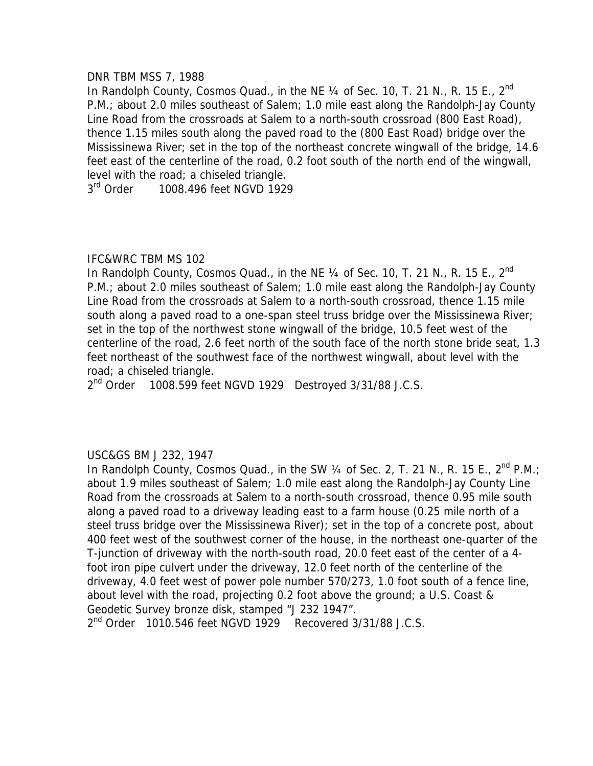### DNR TBM MSS 7, 1988

In Randolph County, Cosmos Quad., in the NE 1/4 of Sec. 10, T. 21 N., R. 15 E., 2<sup>nd</sup> P.M.; about 2.0 miles southeast of Salem; 1.0 mile east along the Randolph-Jay County Line Road from the crossroads at Salem to a north-south crossroad (800 East Road), thence 1.15 miles south along the paved road to the (800 East Road) bridge over the Mississinewa River; set in the top of the northeast concrete wingwall of the bridge, 14.6 feet east of the centerline of the road, 0.2 foot south of the north end of the wingwall, level with the road; a chiseled triangle.

3<sup>rd</sup> Order 1008.496 feet NGVD 1929

## IFC&WRC TBM MS 102

In Randolph County, Cosmos Quad., in the NE  $\frac{1}{4}$  of Sec. 10, T. 21 N., R. 15 E., 2<sup>nd</sup> P.M.; about 2.0 miles southeast of Salem; 1.0 mile east along the Randolph-Jay County Line Road from the crossroads at Salem to a north-south crossroad, thence 1.15 mile south along a paved road to a one-span steel truss bridge over the Mississinewa River; set in the top of the northwest stone wingwall of the bridge, 10.5 feet west of the centerline of the road, 2.6 feet north of the south face of the north stone bride seat, 1.3 feet northeast of the southwest face of the northwest wingwall, about level with the road; a chiseled triangle.

2<sup>nd</sup> Order 1008.599 feet NGVD 1929 Destroyed 3/31/88 J.C.S.

# USC&GS BM J 232, 1947

In Randolph County, Cosmos Quad., in the SW  $\frac{1}{4}$  of Sec. 2, T. 21 N., R. 15 E.,  $2^{nd}$  P.M.; about 1.9 miles southeast of Salem; 1.0 mile east along the Randolph-Jay County Line Road from the crossroads at Salem to a north-south crossroad, thence 0.95 mile south along a paved road to a driveway leading east to a farm house (0.25 mile north of a steel truss bridge over the Mississinewa River); set in the top of a concrete post, about 400 feet west of the southwest corner of the house, in the northeast one-quarter of the T-junction of driveway with the north-south road, 20.0 feet east of the center of a 4 foot iron pipe culvert under the driveway, 12.0 feet north of the centerline of the driveway, 4.0 feet west of power pole number 570/273, 1.0 foot south of a fence line, about level with the road, projecting 0.2 foot above the ground; a U.S. Coast & Geodetic Survey bronze disk, stamped "J 232 1947".

 $2<sup>nd</sup>$  Order 1010.546 feet NGVD 1929 Recovered 3/31/88 J.C.S.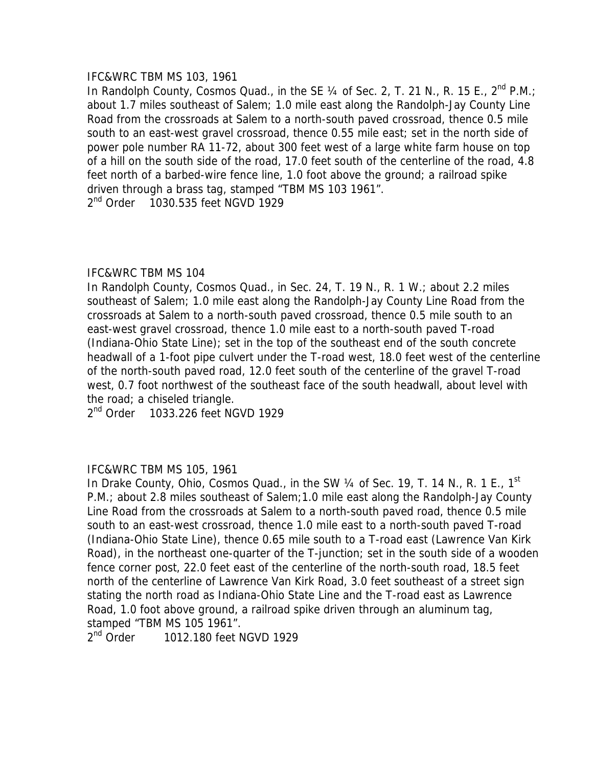## IFC&WRC TBM MS 103, 1961

In Randolph County, Cosmos Quad., in the SE  $\frac{1}{4}$  of Sec. 2, T. 21 N., R. 15 E., 2<sup>nd</sup> P.M.; about 1.7 miles southeast of Salem; 1.0 mile east along the Randolph-Jay County Line Road from the crossroads at Salem to a north-south paved crossroad, thence 0.5 mile south to an east-west gravel crossroad, thence 0.55 mile east; set in the north side of power pole number RA 11-72, about 300 feet west of a large white farm house on top of a hill on the south side of the road, 17.0 feet south of the centerline of the road, 4.8 feet north of a barbed-wire fence line, 1.0 foot above the ground; a railroad spike driven through a brass tag, stamped "TBM MS 103 1961". 2<sup>nd</sup> Order 1030.535 feet NGVD 1929

## IFC&WRC TBM MS 104

In Randolph County, Cosmos Quad., in Sec. 24, T. 19 N., R. 1 W.; about 2.2 miles southeast of Salem; 1.0 mile east along the Randolph-Jay County Line Road from the crossroads at Salem to a north-south paved crossroad, thence 0.5 mile south to an east-west gravel crossroad, thence 1.0 mile east to a north-south paved T-road (Indiana-Ohio State Line); set in the top of the southeast end of the south concrete headwall of a 1-foot pipe culvert under the T-road west, 18.0 feet west of the centerline of the north-south paved road, 12.0 feet south of the centerline of the gravel T-road west, 0.7 foot northwest of the southeast face of the south headwall, about level with the road; a chiseled triangle.

2<sup>nd</sup> Order 1033.226 feet NGVD 1929

### IFC&WRC TBM MS 105, 1961

In Drake County, Ohio, Cosmos Quad., in the SW 1/4 of Sec. 19, T. 14 N., R. 1 E., 1<sup>st</sup> P.M.; about 2.8 miles southeast of Salem;1.0 mile east along the Randolph-Jay County Line Road from the crossroads at Salem to a north-south paved road, thence 0.5 mile south to an east-west crossroad, thence 1.0 mile east to a north-south paved T-road (Indiana-Ohio State Line), thence 0.65 mile south to a T-road east (Lawrence Van Kirk Road), in the northeast one-quarter of the T-junction; set in the south side of a wooden fence corner post, 22.0 feet east of the centerline of the north-south road, 18.5 feet north of the centerline of Lawrence Van Kirk Road, 3.0 feet southeast of a street sign stating the north road as Indiana-Ohio State Line and the T-road east as Lawrence Road, 1.0 foot above ground, a railroad spike driven through an aluminum tag, stamped "TBM MS 105 1961".

2<sup>nd</sup> Order 1012.180 feet NGVD 1929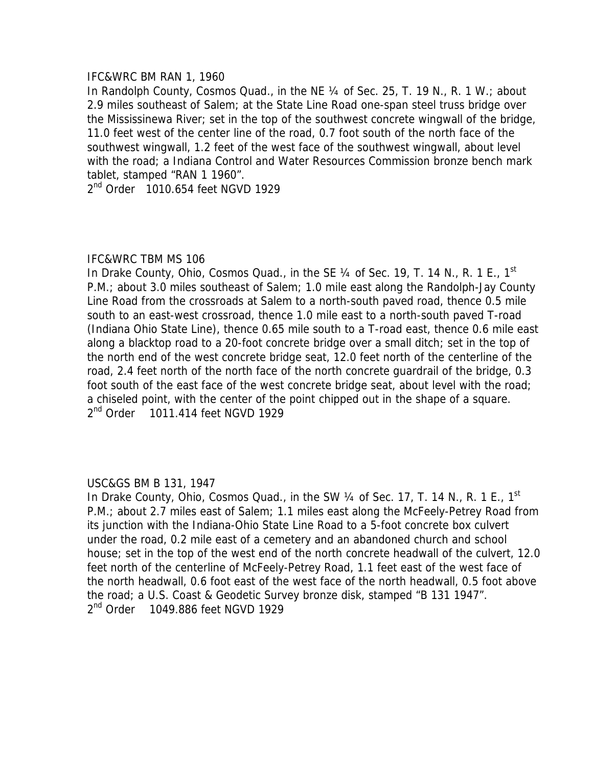### IFC&WRC BM RAN 1, 1960

In Randolph County, Cosmos Quad., in the NE 1/4 of Sec. 25, T. 19 N., R. 1 W.; about 2.9 miles southeast of Salem; at the State Line Road one-span steel truss bridge over the Mississinewa River; set in the top of the southwest concrete wingwall of the bridge, 11.0 feet west of the center line of the road, 0.7 foot south of the north face of the southwest wingwall, 1.2 feet of the west face of the southwest wingwall, about level with the road; a Indiana Control and Water Resources Commission bronze bench mark tablet, stamped "RAN 1 1960".

2<sup>nd</sup> Order 1010.654 feet NGVD 1929

## IFC&WRC TBM MS 106

In Drake County, Ohio, Cosmos Quad., in the SE 1/4 of Sec. 19, T. 14 N., R. 1 E., 1<sup>st</sup> P.M.; about 3.0 miles southeast of Salem; 1.0 mile east along the Randolph-Jay County Line Road from the crossroads at Salem to a north-south paved road, thence 0.5 mile south to an east-west crossroad, thence 1.0 mile east to a north-south paved T-road (Indiana Ohio State Line), thence 0.65 mile south to a T-road east, thence 0.6 mile east along a blacktop road to a 20-foot concrete bridge over a small ditch; set in the top of the north end of the west concrete bridge seat, 12.0 feet north of the centerline of the road, 2.4 feet north of the north face of the north concrete guardrail of the bridge, 0.3 foot south of the east face of the west concrete bridge seat, about level with the road; a chiseled point, with the center of the point chipped out in the shape of a square. 2<sup>nd</sup> Order 1011.414 feet NGVD 1929

# USC&GS BM B 131, 1947

In Drake County, Ohio, Cosmos Quad., in the SW  $\frac{1}{4}$  of Sec. 17, T. 14 N., R. 1 E., 1<sup>st</sup> P.M.; about 2.7 miles east of Salem; 1.1 miles east along the McFeely-Petrey Road from its junction with the Indiana-Ohio State Line Road to a 5-foot concrete box culvert under the road, 0.2 mile east of a cemetery and an abandoned church and school house; set in the top of the west end of the north concrete headwall of the culvert, 12.0 feet north of the centerline of McFeely-Petrey Road, 1.1 feet east of the west face of the north headwall, 0.6 foot east of the west face of the north headwall, 0.5 foot above the road; a U.S. Coast & Geodetic Survey bronze disk, stamped "B 131 1947". 2<sup>nd</sup> Order 1049.886 feet NGVD 1929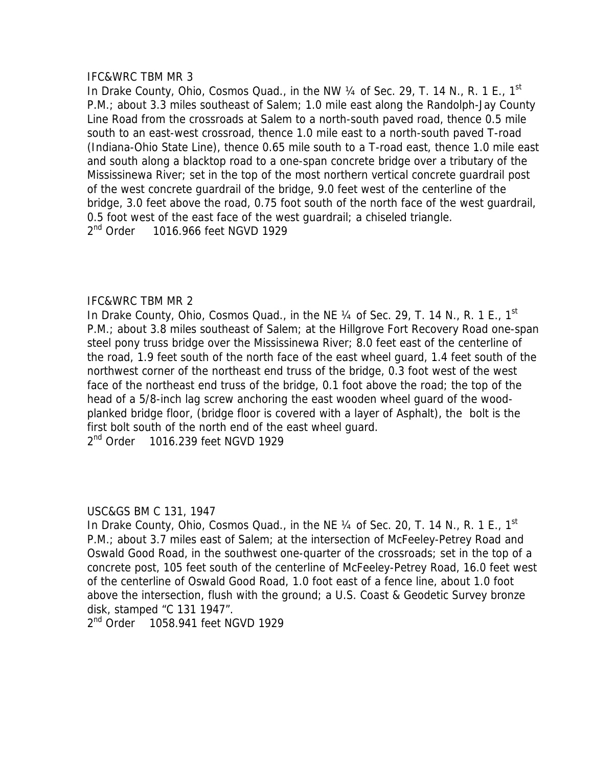In Drake County, Ohio, Cosmos Quad., in the NW  $\frac{1}{4}$  of Sec. 29, T. 14 N., R. 1 E., 1<sup>st</sup> P.M.; about 3.3 miles southeast of Salem; 1.0 mile east along the Randolph-Jay County Line Road from the crossroads at Salem to a north-south paved road, thence 0.5 mile south to an east-west crossroad, thence 1.0 mile east to a north-south paved T-road (Indiana-Ohio State Line), thence 0.65 mile south to a T-road east, thence 1.0 mile east and south along a blacktop road to a one-span concrete bridge over a tributary of the Mississinewa River; set in the top of the most northern vertical concrete guardrail post of the west concrete guardrail of the bridge, 9.0 feet west of the centerline of the bridge, 3.0 feet above the road, 0.75 foot south of the north face of the west guardrail, 0.5 foot west of the east face of the west guardrail; a chiseled triangle. 2<sup>nd</sup> Order 1016.966 feet NGVD 1929

# IFC&WRC TBM MR 2

In Drake County, Ohio, Cosmos Quad., in the NE  $\frac{1}{4}$  of Sec. 29, T. 14 N., R. 1 E., 1<sup>st</sup> P.M.; about 3.8 miles southeast of Salem; at the Hillgrove Fort Recovery Road one-span steel pony truss bridge over the Mississinewa River; 8.0 feet east of the centerline of the road, 1.9 feet south of the north face of the east wheel guard, 1.4 feet south of the northwest corner of the northeast end truss of the bridge, 0.3 foot west of the west face of the northeast end truss of the bridge, 0.1 foot above the road; the top of the head of a 5/8-inch lag screw anchoring the east wooden wheel guard of the woodplanked bridge floor, (bridge floor is covered with a layer of Asphalt), the bolt is the first bolt south of the north end of the east wheel guard. 2<sup>nd</sup> Order 1016.239 feet NGVD 1929

### USC&GS BM C 131, 1947

In Drake County, Ohio, Cosmos Quad., in the NE  $\frac{1}{4}$  of Sec. 20, T. 14 N., R. 1 E., 1<sup>st</sup> P.M.; about 3.7 miles east of Salem; at the intersection of McFeeley-Petrey Road and Oswald Good Road, in the southwest one-quarter of the crossroads; set in the top of a concrete post, 105 feet south of the centerline of McFeeley-Petrey Road, 16.0 feet west of the centerline of Oswald Good Road, 1.0 foot east of a fence line, about 1.0 foot above the intersection, flush with the ground; a U.S. Coast & Geodetic Survey bronze disk, stamped "C 131 1947".

2<sup>nd</sup> Order 1058.941 feet NGVD 1929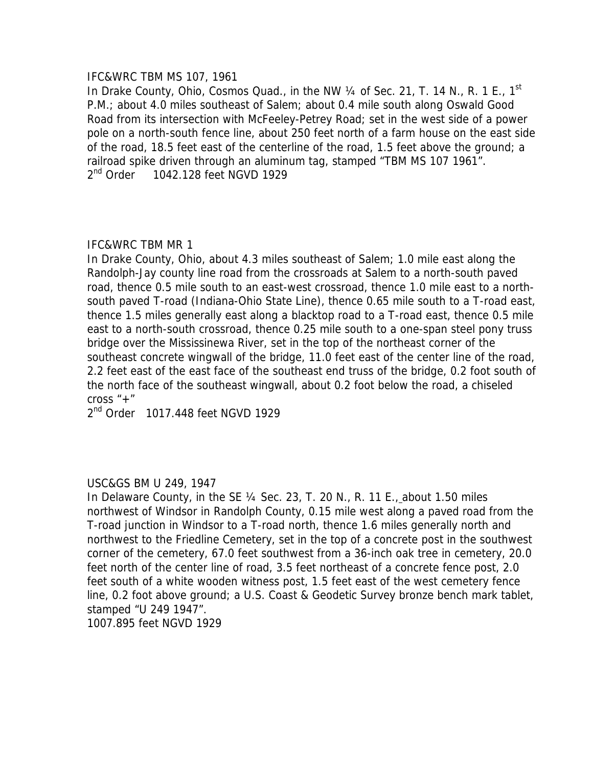### IFC&WRC TBM MS 107, 1961

In Drake County, Ohio, Cosmos Quad., in the NW  $\frac{1}{4}$  of Sec. 21, T. 14 N., R. 1 E., 1<sup>st</sup> P.M.; about 4.0 miles southeast of Salem; about 0.4 mile south along Oswald Good Road from its intersection with McFeeley-Petrey Road; set in the west side of a power pole on a north-south fence line, about 250 feet north of a farm house on the east side of the road, 18.5 feet east of the centerline of the road, 1.5 feet above the ground; a railroad spike driven through an aluminum tag, stamped "TBM MS 107 1961". 2<sup>nd</sup> Order 1042.128 feet NGVD 1929

# IFC&WRC TBM MR 1

In Drake County, Ohio, about 4.3 miles southeast of Salem; 1.0 mile east along the Randolph-Jay county line road from the crossroads at Salem to a north-south paved road, thence 0.5 mile south to an east-west crossroad, thence 1.0 mile east to a northsouth paved T-road (Indiana-Ohio State Line), thence 0.65 mile south to a T-road east, thence 1.5 miles generally east along a blacktop road to a T-road east, thence 0.5 mile east to a north-south crossroad, thence 0.25 mile south to a one-span steel pony truss bridge over the Mississinewa River, set in the top of the northeast corner of the southeast concrete wingwall of the bridge, 11.0 feet east of the center line of the road, 2.2 feet east of the east face of the southeast end truss of the bridge, 0.2 foot south of the north face of the southeast wingwall, about 0.2 foot below the road, a chiseled cross  $"$ +"

2<sup>nd</sup> Order 1017.448 feet NGVD 1929

# USC&GS BM U 249, 1947

In Delaware County, in the SE ¼ Sec. 23, T. 20 N., R. 11 E., about 1.50 miles northwest of Windsor in Randolph County, 0.15 mile west along a paved road from the T-road junction in Windsor to a T-road north, thence 1.6 miles generally north and northwest to the Friedline Cemetery, set in the top of a concrete post in the southwest corner of the cemetery, 67.0 feet southwest from a 36-inch oak tree in cemetery, 20.0 feet north of the center line of road, 3.5 feet northeast of a concrete fence post, 2.0 feet south of a white wooden witness post, 1.5 feet east of the west cemetery fence line, 0.2 foot above ground; a U.S. Coast & Geodetic Survey bronze bench mark tablet, stamped "U 249 1947".

1007.895 feet NGVD 1929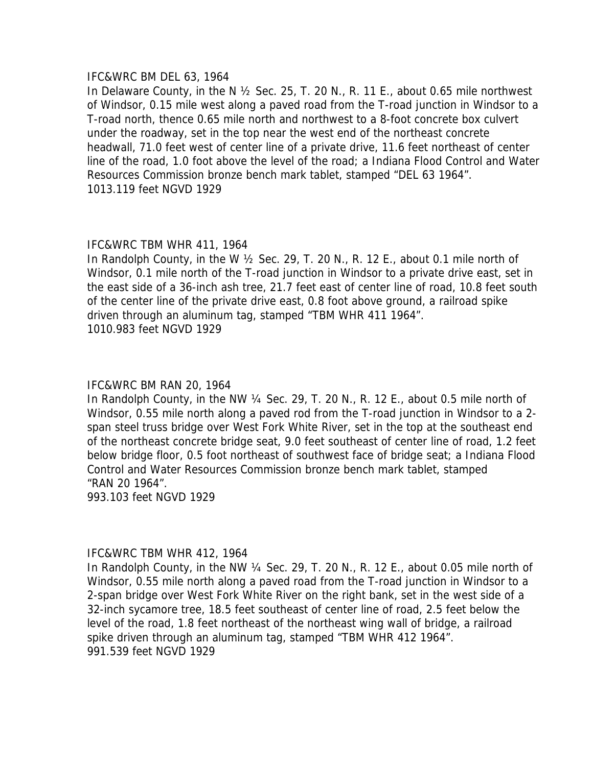### IFC&WRC BM DEL 63, 1964

In Delaware County, in the N ½ Sec. 25, T. 20 N., R. 11 E., about 0.65 mile northwest of Windsor, 0.15 mile west along a paved road from the T-road junction in Windsor to a T-road north, thence 0.65 mile north and northwest to a 8-foot concrete box culvert under the roadway, set in the top near the west end of the northeast concrete headwall, 71.0 feet west of center line of a private drive, 11.6 feet northeast of center line of the road, 1.0 foot above the level of the road; a Indiana Flood Control and Water Resources Commission bronze bench mark tablet, stamped "DEL 63 1964". 1013.119 feet NGVD 1929

## IFC&WRC TBM WHR 411, 1964

In Randolph County, in the W ½ Sec. 29, T. 20 N., R. 12 E., about 0.1 mile north of Windsor, 0.1 mile north of the T-road junction in Windsor to a private drive east, set in the east side of a 36-inch ash tree, 21.7 feet east of center line of road, 10.8 feet south of the center line of the private drive east, 0.8 foot above ground, a railroad spike driven through an aluminum tag, stamped "TBM WHR 411 1964". 1010.983 feet NGVD 1929

## IFC&WRC BM RAN 20, 1964

In Randolph County, in the NW ¼ Sec. 29, T. 20 N., R. 12 E., about 0.5 mile north of Windsor, 0.55 mile north along a paved rod from the T-road junction in Windsor to a 2 span steel truss bridge over West Fork White River, set in the top at the southeast end of the northeast concrete bridge seat, 9.0 feet southeast of center line of road, 1.2 feet below bridge floor, 0.5 foot northeast of southwest face of bridge seat; a Indiana Flood Control and Water Resources Commission bronze bench mark tablet, stamped "RAN 20 1964".

993.103 feet NGVD 1929

# IFC&WRC TBM WHR 412, 1964

In Randolph County, in the NW ¼ Sec. 29, T. 20 N., R. 12 E., about 0.05 mile north of Windsor, 0.55 mile north along a paved road from the T-road junction in Windsor to a 2-span bridge over West Fork White River on the right bank, set in the west side of a 32-inch sycamore tree, 18.5 feet southeast of center line of road, 2.5 feet below the level of the road, 1.8 feet northeast of the northeast wing wall of bridge, a railroad spike driven through an aluminum tag, stamped "TBM WHR 412 1964". 991.539 feet NGVD 1929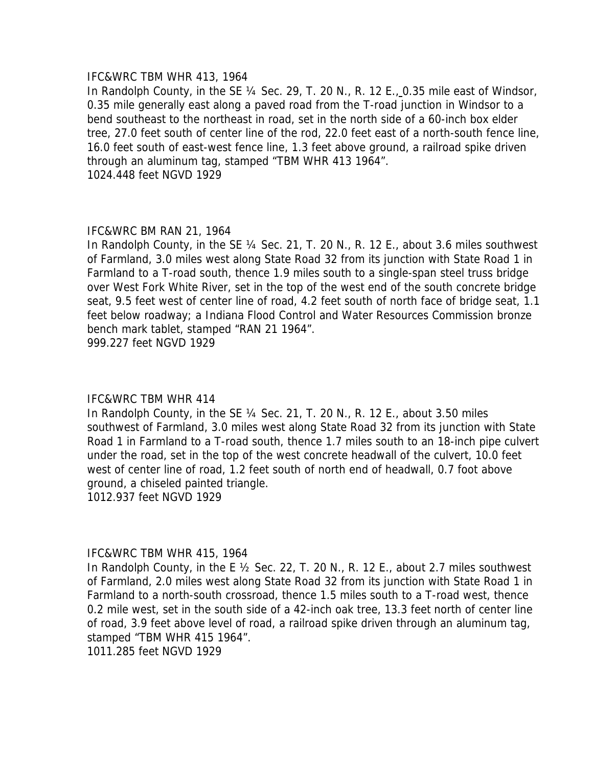#### IFC&WRC TBM WHR 413, 1964

In Randolph County, in the SE ¼ Sec. 29, T. 20 N., R. 12 E., 0.35 mile east of Windsor, 0.35 mile generally east along a paved road from the T-road junction in Windsor to a bend southeast to the northeast in road, set in the north side of a 60-inch box elder tree, 27.0 feet south of center line of the rod, 22.0 feet east of a north-south fence line, 16.0 feet south of east-west fence line, 1.3 feet above ground, a railroad spike driven through an aluminum tag, stamped "TBM WHR 413 1964". 1024.448 feet NGVD 1929

### IFC&WRC BM RAN 21, 1964

In Randolph County, in the SE 1/4 Sec. 21, T. 20 N., R. 12 E., about 3.6 miles southwest of Farmland, 3.0 miles west along State Road 32 from its junction with State Road 1 in Farmland to a T-road south, thence 1.9 miles south to a single-span steel truss bridge over West Fork White River, set in the top of the west end of the south concrete bridge seat, 9.5 feet west of center line of road, 4.2 feet south of north face of bridge seat, 1.1 feet below roadway; a Indiana Flood Control and Water Resources Commission bronze bench mark tablet, stamped "RAN 21 1964".

999.227 feet NGVD 1929

### IFC&WRC TBM WHR 414

In Randolph County, in the SE ¼ Sec. 21, T. 20 N., R. 12 E., about 3.50 miles southwest of Farmland, 3.0 miles west along State Road 32 from its junction with State Road 1 in Farmland to a T-road south, thence 1.7 miles south to an 18-inch pipe culvert under the road, set in the top of the west concrete headwall of the culvert, 10.0 feet west of center line of road, 1.2 feet south of north end of headwall, 0.7 foot above ground, a chiseled painted triangle.

1012.937 feet NGVD 1929

### IFC&WRC TBM WHR 415, 1964

In Randolph County, in the E ½ Sec. 22, T. 20 N., R. 12 E., about 2.7 miles southwest of Farmland, 2.0 miles west along State Road 32 from its junction with State Road 1 in Farmland to a north-south crossroad, thence 1.5 miles south to a T-road west, thence 0.2 mile west, set in the south side of a 42-inch oak tree, 13.3 feet north of center line of road, 3.9 feet above level of road, a railroad spike driven through an aluminum tag, stamped "TBM WHR 415 1964".

1011.285 feet NGVD 1929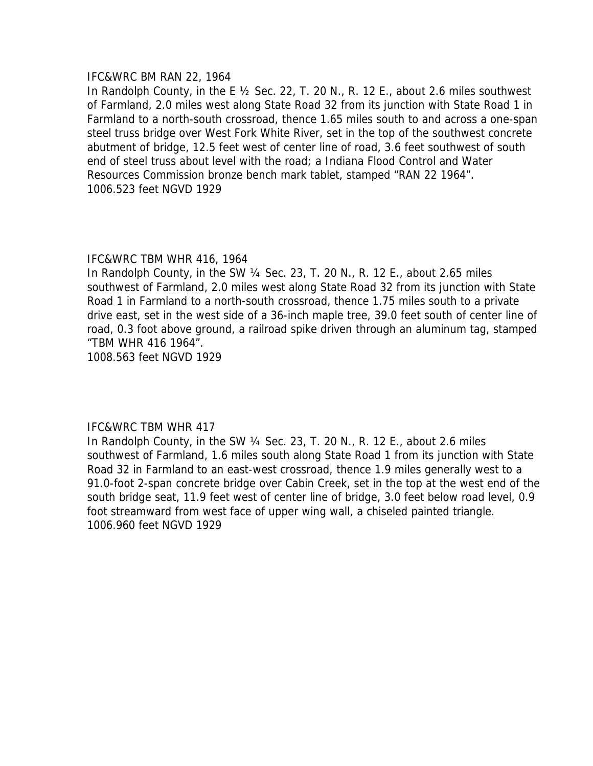### IFC&WRC BM RAN 22, 1964

In Randolph County, in the E ½ Sec. 22, T. 20 N., R. 12 E., about 2.6 miles southwest of Farmland, 2.0 miles west along State Road 32 from its junction with State Road 1 in Farmland to a north-south crossroad, thence 1.65 miles south to and across a one-span steel truss bridge over West Fork White River, set in the top of the southwest concrete abutment of bridge, 12.5 feet west of center line of road, 3.6 feet southwest of south end of steel truss about level with the road; a Indiana Flood Control and Water Resources Commission bronze bench mark tablet, stamped "RAN 22 1964". 1006.523 feet NGVD 1929

# IFC&WRC TBM WHR 416, 1964

In Randolph County, in the SW ¼ Sec. 23, T. 20 N., R. 12 E., about 2.65 miles southwest of Farmland, 2.0 miles west along State Road 32 from its junction with State Road 1 in Farmland to a north-south crossroad, thence 1.75 miles south to a private drive east, set in the west side of a 36-inch maple tree, 39.0 feet south of center line of road, 0.3 foot above ground, a railroad spike driven through an aluminum tag, stamped "TBM WHR 416 1964".

1008.563 feet NGVD 1929

# IFC&WRC TBM WHR 417

In Randolph County, in the SW ¼ Sec. 23, T. 20 N., R. 12 E., about 2.6 miles southwest of Farmland, 1.6 miles south along State Road 1 from its junction with State Road 32 in Farmland to an east-west crossroad, thence 1.9 miles generally west to a 91.0-foot 2-span concrete bridge over Cabin Creek, set in the top at the west end of the south bridge seat, 11.9 feet west of center line of bridge, 3.0 feet below road level, 0.9 foot streamward from west face of upper wing wall, a chiseled painted triangle. 1006.960 feet NGVD 1929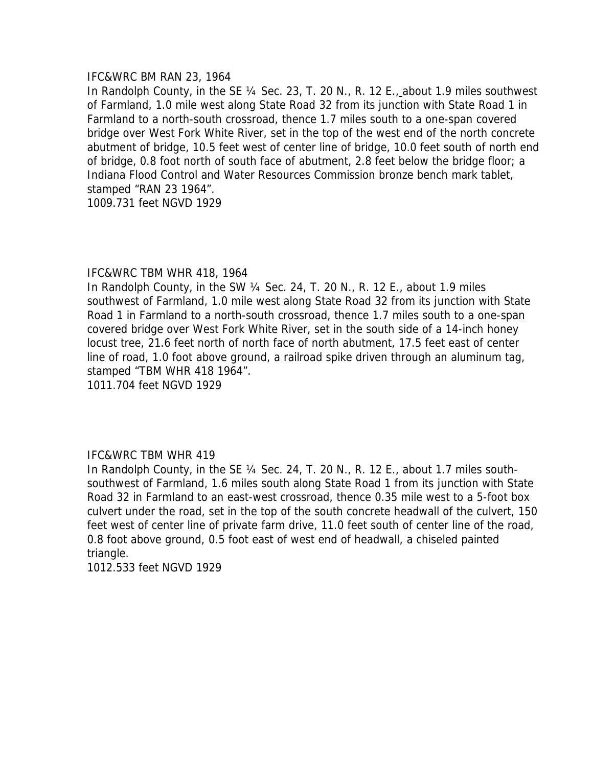#### IFC&WRC BM RAN 23, 1964

In Randolph County, in the SE 1/4 Sec. 23, T. 20 N., R. 12 E., about 1.9 miles southwest of Farmland, 1.0 mile west along State Road 32 from its junction with State Road 1 in Farmland to a north-south crossroad, thence 1.7 miles south to a one-span covered bridge over West Fork White River, set in the top of the west end of the north concrete abutment of bridge, 10.5 feet west of center line of bridge, 10.0 feet south of north end of bridge, 0.8 foot north of south face of abutment, 2.8 feet below the bridge floor; a Indiana Flood Control and Water Resources Commission bronze bench mark tablet, stamped "RAN 23 1964".

1009.731 feet NGVD 1929

## IFC&WRC TBM WHR 418, 1964

In Randolph County, in the SW ¼ Sec. 24, T. 20 N., R. 12 E., about 1.9 miles southwest of Farmland, 1.0 mile west along State Road 32 from its junction with State Road 1 in Farmland to a north-south crossroad, thence 1.7 miles south to a one-span covered bridge over West Fork White River, set in the south side of a 14-inch honey locust tree, 21.6 feet north of north face of north abutment, 17.5 feet east of center line of road, 1.0 foot above ground, a railroad spike driven through an aluminum tag, stamped "TBM WHR 418 1964".

1011.704 feet NGVD 1929

### IFC&WRC TBM WHR 419

In Randolph County, in the SE ¼ Sec. 24, T. 20 N., R. 12 E., about 1.7 miles southsouthwest of Farmland, 1.6 miles south along State Road 1 from its junction with State Road 32 in Farmland to an east-west crossroad, thence 0.35 mile west to a 5-foot box culvert under the road, set in the top of the south concrete headwall of the culvert, 150 feet west of center line of private farm drive, 11.0 feet south of center line of the road, 0.8 foot above ground, 0.5 foot east of west end of headwall, a chiseled painted triangle.

1012.533 feet NGVD 1929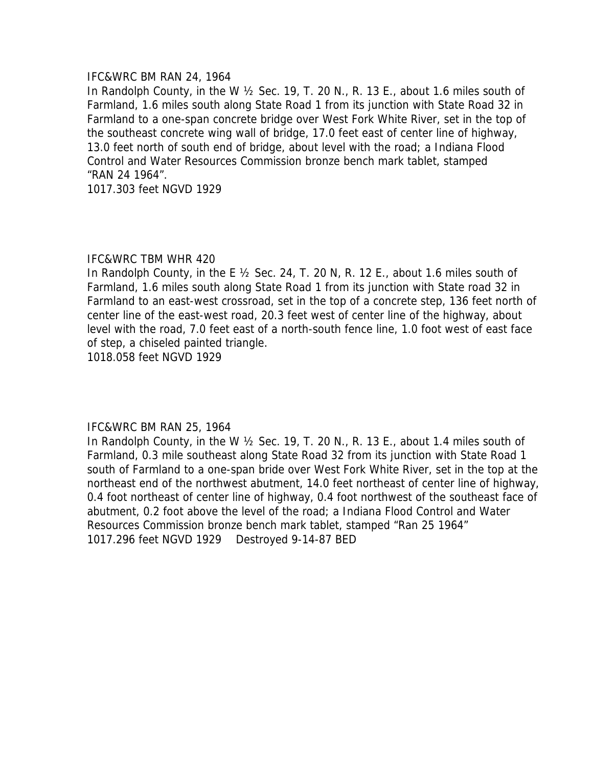### IFC&WRC BM RAN 24, 1964

In Randolph County, in the W ½ Sec. 19, T. 20 N., R. 13 E., about 1.6 miles south of Farmland, 1.6 miles south along State Road 1 from its junction with State Road 32 in Farmland to a one-span concrete bridge over West Fork White River, set in the top of the southeast concrete wing wall of bridge, 17.0 feet east of center line of highway, 13.0 feet north of south end of bridge, about level with the road; a Indiana Flood Control and Water Resources Commission bronze bench mark tablet, stamped "RAN 24 1964".

1017.303 feet NGVD 1929

## IFC&WRC TBM WHR 420

In Randolph County, in the E ½ Sec. 24, T. 20 N, R. 12 E., about 1.6 miles south of Farmland, 1.6 miles south along State Road 1 from its junction with State road 32 in Farmland to an east-west crossroad, set in the top of a concrete step, 136 feet north of center line of the east-west road, 20.3 feet west of center line of the highway, about level with the road, 7.0 feet east of a north-south fence line, 1.0 foot west of east face of step, a chiseled painted triangle.

1018.058 feet NGVD 1929

# IFC&WRC BM RAN 25, 1964

In Randolph County, in the W ½ Sec. 19, T. 20 N., R. 13 E., about 1.4 miles south of Farmland, 0.3 mile southeast along State Road 32 from its junction with State Road 1 south of Farmland to a one-span bride over West Fork White River, set in the top at the northeast end of the northwest abutment, 14.0 feet northeast of center line of highway, 0.4 foot northeast of center line of highway, 0.4 foot northwest of the southeast face of abutment, 0.2 foot above the level of the road; a Indiana Flood Control and Water Resources Commission bronze bench mark tablet, stamped "Ran 25 1964" 1017.296 feet NGVD 1929 Destroyed 9-14-87 BED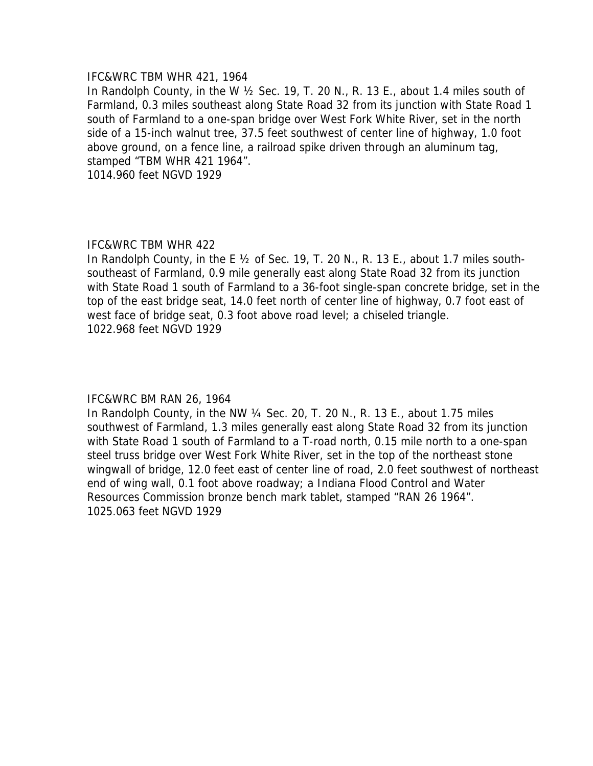### IFC&WRC TBM WHR 421, 1964

In Randolph County, in the W ½ Sec. 19, T. 20 N., R. 13 E., about 1.4 miles south of Farmland, 0.3 miles southeast along State Road 32 from its junction with State Road 1 south of Farmland to a one-span bridge over West Fork White River, set in the north side of a 15-inch walnut tree, 37.5 feet southwest of center line of highway, 1.0 foot above ground, on a fence line, a railroad spike driven through an aluminum tag, stamped "TBM WHR 421 1964".

1014.960 feet NGVD 1929

## IFC&WRC TBM WHR 422

In Randolph County, in the E 1/2 of Sec. 19, T. 20 N., R. 13 E., about 1.7 miles southsoutheast of Farmland, 0.9 mile generally east along State Road 32 from its junction with State Road 1 south of Farmland to a 36-foot single-span concrete bridge, set in the top of the east bridge seat, 14.0 feet north of center line of highway, 0.7 foot east of west face of bridge seat, 0.3 foot above road level; a chiseled triangle. 1022.968 feet NGVD 1929

# IFC&WRC BM RAN 26, 1964

In Randolph County, in the NW ¼ Sec. 20, T. 20 N., R. 13 E., about 1.75 miles southwest of Farmland, 1.3 miles generally east along State Road 32 from its junction with State Road 1 south of Farmland to a T-road north, 0.15 mile north to a one-span steel truss bridge over West Fork White River, set in the top of the northeast stone wingwall of bridge, 12.0 feet east of center line of road, 2.0 feet southwest of northeast end of wing wall, 0.1 foot above roadway; a Indiana Flood Control and Water Resources Commission bronze bench mark tablet, stamped "RAN 26 1964". 1025.063 feet NGVD 1929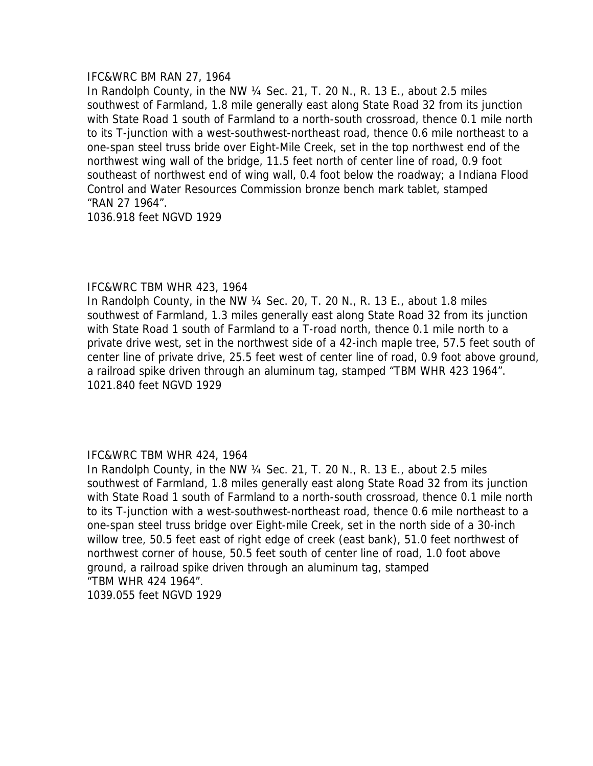### IFC&WRC BM RAN 27, 1964

In Randolph County, in the NW ¼ Sec. 21, T. 20 N., R. 13 E., about 2.5 miles southwest of Farmland, 1.8 mile generally east along State Road 32 from its junction with State Road 1 south of Farmland to a north-south crossroad, thence 0.1 mile north to its T-junction with a west-southwest-northeast road, thence 0.6 mile northeast to a one-span steel truss bride over Eight-Mile Creek, set in the top northwest end of the northwest wing wall of the bridge, 11.5 feet north of center line of road, 0.9 foot southeast of northwest end of wing wall, 0.4 foot below the roadway; a Indiana Flood Control and Water Resources Commission bronze bench mark tablet, stamped "RAN 27 1964".

1036.918 feet NGVD 1929

## IFC&WRC TBM WHR 423, 1964

In Randolph County, in the NW ¼ Sec. 20, T. 20 N., R. 13 E., about 1.8 miles southwest of Farmland, 1.3 miles generally east along State Road 32 from its junction with State Road 1 south of Farmland to a T-road north, thence 0.1 mile north to a private drive west, set in the northwest side of a 42-inch maple tree, 57.5 feet south of center line of private drive, 25.5 feet west of center line of road, 0.9 foot above ground, a railroad spike driven through an aluminum tag, stamped "TBM WHR 423 1964". 1021.840 feet NGVD 1929

# IFC&WRC TBM WHR 424, 1964

In Randolph County, in the NW ¼ Sec. 21, T. 20 N., R. 13 E., about 2.5 miles southwest of Farmland, 1.8 miles generally east along State Road 32 from its junction with State Road 1 south of Farmland to a north-south crossroad, thence 0.1 mile north to its T-junction with a west-southwest-northeast road, thence 0.6 mile northeast to a one-span steel truss bridge over Eight-mile Creek, set in the north side of a 30-inch willow tree, 50.5 feet east of right edge of creek (east bank), 51.0 feet northwest of northwest corner of house, 50.5 feet south of center line of road, 1.0 foot above ground, a railroad spike driven through an aluminum tag, stamped "TBM WHR 424 1964". 1039.055 feet NGVD 1929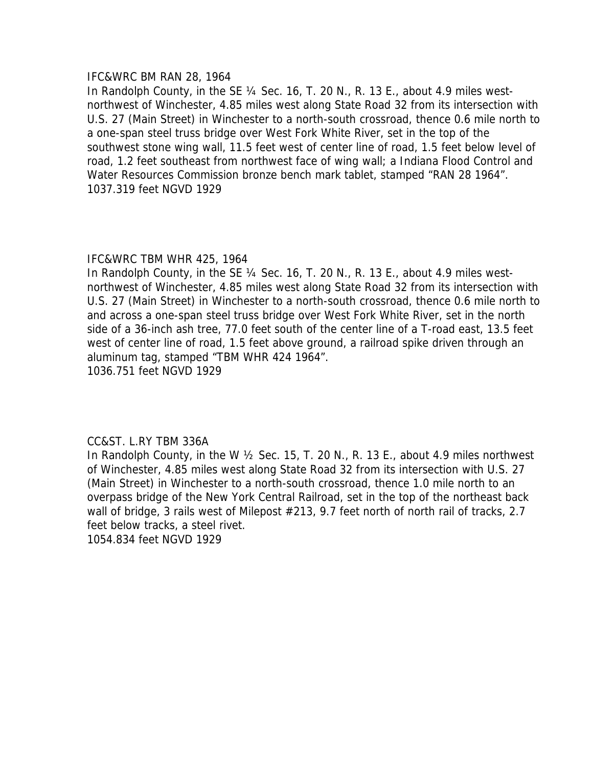### IFC&WRC BM RAN 28, 1964

In Randolph County, in the SE ¼ Sec. 16, T. 20 N., R. 13 E., about 4.9 miles westnorthwest of Winchester, 4.85 miles west along State Road 32 from its intersection with U.S. 27 (Main Street) in Winchester to a north-south crossroad, thence 0.6 mile north to a one-span steel truss bridge over West Fork White River, set in the top of the southwest stone wing wall, 11.5 feet west of center line of road, 1.5 feet below level of road, 1.2 feet southeast from northwest face of wing wall; a Indiana Flood Control and Water Resources Commission bronze bench mark tablet, stamped "RAN 28 1964". 1037.319 feet NGVD 1929

## IFC&WRC TBM WHR 425, 1964

In Randolph County, in the SE ¼ Sec. 16, T. 20 N., R. 13 E., about 4.9 miles westnorthwest of Winchester, 4.85 miles west along State Road 32 from its intersection with U.S. 27 (Main Street) in Winchester to a north-south crossroad, thence 0.6 mile north to and across a one-span steel truss bridge over West Fork White River, set in the north side of a 36-inch ash tree, 77.0 feet south of the center line of a T-road east, 13.5 feet west of center line of road, 1.5 feet above ground, a railroad spike driven through an aluminum tag, stamped "TBM WHR 424 1964". 1036.751 feet NGVD 1929

### CC&ST. L.RY TBM 336A

In Randolph County, in the W ½ Sec. 15, T. 20 N., R. 13 E., about 4.9 miles northwest of Winchester, 4.85 miles west along State Road 32 from its intersection with U.S. 27 (Main Street) in Winchester to a north-south crossroad, thence 1.0 mile north to an overpass bridge of the New York Central Railroad, set in the top of the northeast back wall of bridge, 3 rails west of Milepost #213, 9.7 feet north of north rail of tracks, 2.7 feet below tracks, a steel rivet.

1054.834 feet NGVD 1929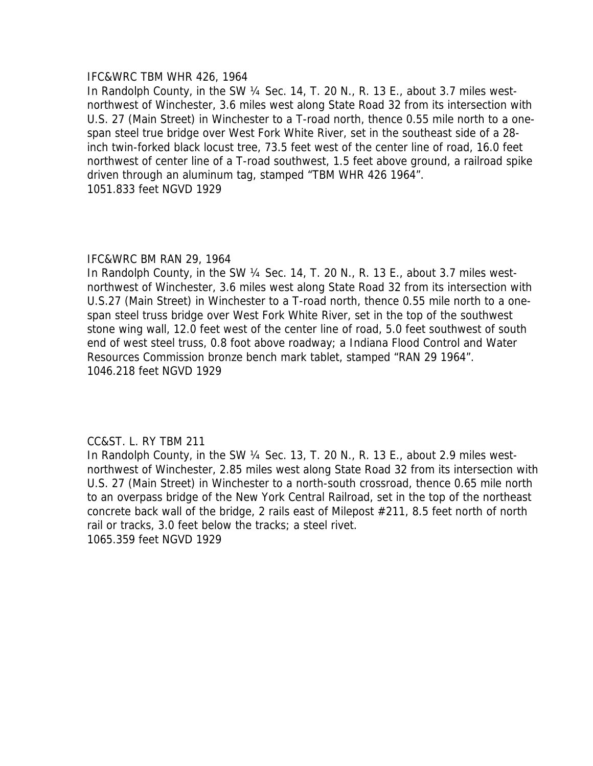### IFC&WRC TBM WHR 426, 1964

In Randolph County, in the SW ¼ Sec. 14, T. 20 N., R. 13 E., about 3.7 miles westnorthwest of Winchester, 3.6 miles west along State Road 32 from its intersection with U.S. 27 (Main Street) in Winchester to a T-road north, thence 0.55 mile north to a onespan steel true bridge over West Fork White River, set in the southeast side of a 28 inch twin-forked black locust tree, 73.5 feet west of the center line of road, 16.0 feet northwest of center line of a T-road southwest, 1.5 feet above ground, a railroad spike driven through an aluminum tag, stamped "TBM WHR 426 1964". 1051.833 feet NGVD 1929

## IFC&WRC BM RAN 29, 1964

In Randolph County, in the SW ¼ Sec. 14, T. 20 N., R. 13 E., about 3.7 miles westnorthwest of Winchester, 3.6 miles west along State Road 32 from its intersection with U.S.27 (Main Street) in Winchester to a T-road north, thence 0.55 mile north to a onespan steel truss bridge over West Fork White River, set in the top of the southwest stone wing wall, 12.0 feet west of the center line of road, 5.0 feet southwest of south end of west steel truss, 0.8 foot above roadway; a Indiana Flood Control and Water Resources Commission bronze bench mark tablet, stamped "RAN 29 1964". 1046.218 feet NGVD 1929

# CC&ST. L. RY TBM 211

In Randolph County, in the SW ¼ Sec. 13, T. 20 N., R. 13 E., about 2.9 miles westnorthwest of Winchester, 2.85 miles west along State Road 32 from its intersection with U.S. 27 (Main Street) in Winchester to a north-south crossroad, thence 0.65 mile north to an overpass bridge of the New York Central Railroad, set in the top of the northeast concrete back wall of the bridge, 2 rails east of Milepost #211, 8.5 feet north of north rail or tracks, 3.0 feet below the tracks; a steel rivet. 1065.359 feet NGVD 1929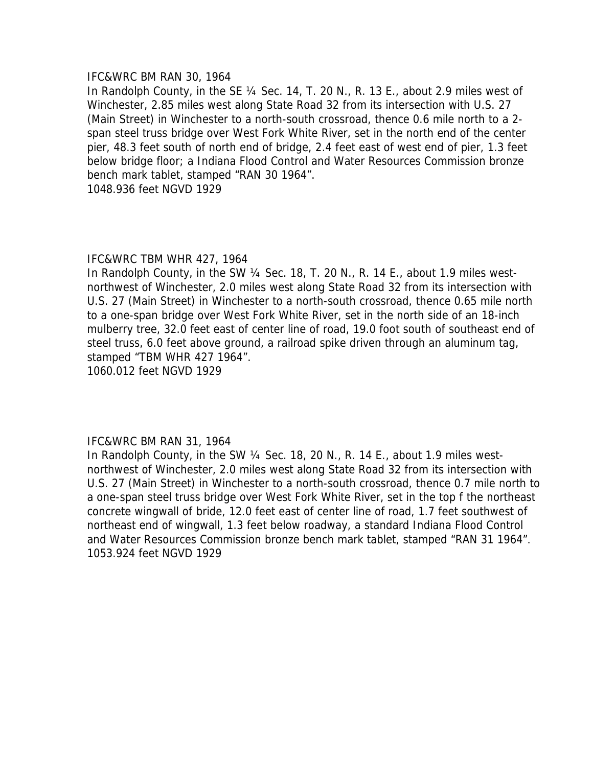#### IFC&WRC BM RAN 30, 1964

In Randolph County, in the SE ¼ Sec. 14, T. 20 N., R. 13 E., about 2.9 miles west of Winchester, 2.85 miles west along State Road 32 from its intersection with U.S. 27 (Main Street) in Winchester to a north-south crossroad, thence 0.6 mile north to a 2 span steel truss bridge over West Fork White River, set in the north end of the center pier, 48.3 feet south of north end of bridge, 2.4 feet east of west end of pier, 1.3 feet below bridge floor; a Indiana Flood Control and Water Resources Commission bronze bench mark tablet, stamped "RAN 30 1964".

1048.936 feet NGVD 1929

### IFC&WRC TBM WHR 427, 1964

In Randolph County, in the SW ¼ Sec. 18, T. 20 N., R. 14 E., about 1.9 miles westnorthwest of Winchester, 2.0 miles west along State Road 32 from its intersection with U.S. 27 (Main Street) in Winchester to a north-south crossroad, thence 0.65 mile north to a one-span bridge over West Fork White River, set in the north side of an 18-inch mulberry tree, 32.0 feet east of center line of road, 19.0 foot south of southeast end of steel truss, 6.0 feet above ground, a railroad spike driven through an aluminum tag, stamped "TBM WHR 427 1964".

1060.012 feet NGVD 1929

### IFC&WRC BM RAN 31, 1964

In Randolph County, in the SW ¼ Sec. 18, 20 N., R. 14 E., about 1.9 miles westnorthwest of Winchester, 2.0 miles west along State Road 32 from its intersection with U.S. 27 (Main Street) in Winchester to a north-south crossroad, thence 0.7 mile north to a one-span steel truss bridge over West Fork White River, set in the top f the northeast concrete wingwall of bride, 12.0 feet east of center line of road, 1.7 feet southwest of northeast end of wingwall, 1.3 feet below roadway, a standard Indiana Flood Control and Water Resources Commission bronze bench mark tablet, stamped "RAN 31 1964". 1053.924 feet NGVD 1929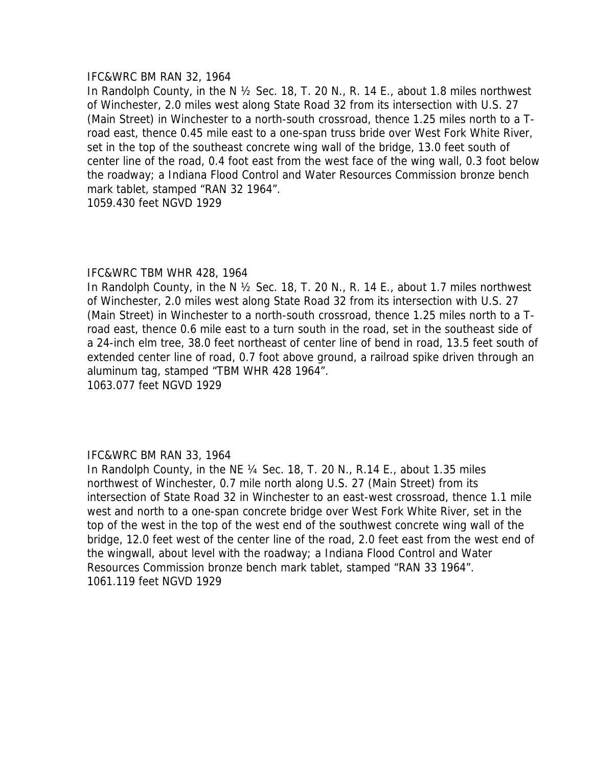#### IFC&WRC BM RAN 32, 1964

In Randolph County, in the N ½ Sec. 18, T. 20 N., R. 14 E., about 1.8 miles northwest of Winchester, 2.0 miles west along State Road 32 from its intersection with U.S. 27 (Main Street) in Winchester to a north-south crossroad, thence 1.25 miles north to a Troad east, thence 0.45 mile east to a one-span truss bride over West Fork White River, set in the top of the southeast concrete wing wall of the bridge, 13.0 feet south of center line of the road, 0.4 foot east from the west face of the wing wall, 0.3 foot below the roadway; a Indiana Flood Control and Water Resources Commission bronze bench mark tablet, stamped "RAN 32 1964".

1059.430 feet NGVD 1929

### IFC&WRC TBM WHR 428, 1964

In Randolph County, in the N ½ Sec. 18, T. 20 N., R. 14 E., about 1.7 miles northwest of Winchester, 2.0 miles west along State Road 32 from its intersection with U.S. 27 (Main Street) in Winchester to a north-south crossroad, thence 1.25 miles north to a Troad east, thence 0.6 mile east to a turn south in the road, set in the southeast side of a 24-inch elm tree, 38.0 feet northeast of center line of bend in road, 13.5 feet south of extended center line of road, 0.7 foot above ground, a railroad spike driven through an aluminum tag, stamped "TBM WHR 428 1964". 1063.077 feet NGVD 1929

### IFC&WRC BM RAN 33, 1964

In Randolph County, in the NE ¼ Sec. 18, T. 20 N., R.14 E., about 1.35 miles northwest of Winchester, 0.7 mile north along U.S. 27 (Main Street) from its intersection of State Road 32 in Winchester to an east-west crossroad, thence 1.1 mile west and north to a one-span concrete bridge over West Fork White River, set in the top of the west in the top of the west end of the southwest concrete wing wall of the bridge, 12.0 feet west of the center line of the road, 2.0 feet east from the west end of the wingwall, about level with the roadway; a Indiana Flood Control and Water Resources Commission bronze bench mark tablet, stamped "RAN 33 1964". 1061.119 feet NGVD 1929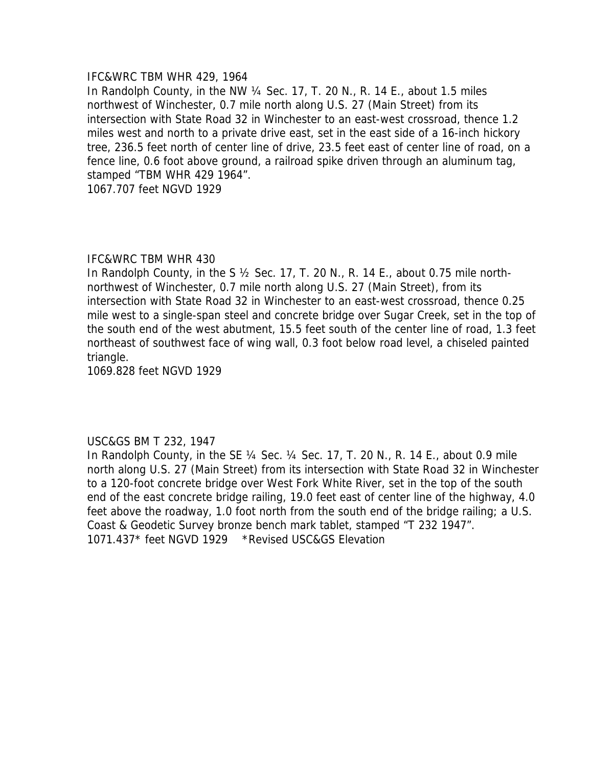### IFC&WRC TBM WHR 429, 1964

In Randolph County, in the NW ¼ Sec. 17, T. 20 N., R. 14 E., about 1.5 miles northwest of Winchester, 0.7 mile north along U.S. 27 (Main Street) from its intersection with State Road 32 in Winchester to an east-west crossroad, thence 1.2 miles west and north to a private drive east, set in the east side of a 16-inch hickory tree, 236.5 feet north of center line of drive, 23.5 feet east of center line of road, on a fence line, 0.6 foot above ground, a railroad spike driven through an aluminum tag, stamped "TBM WHR 429 1964".

1067.707 feet NGVD 1929

#### IFC&WRC TBM WHR 430

In Randolph County, in the S ½ Sec. 17, T. 20 N., R. 14 E., about 0.75 mile northnorthwest of Winchester, 0.7 mile north along U.S. 27 (Main Street), from its intersection with State Road 32 in Winchester to an east-west crossroad, thence 0.25 mile west to a single-span steel and concrete bridge over Sugar Creek, set in the top of the south end of the west abutment, 15.5 feet south of the center line of road, 1.3 feet northeast of southwest face of wing wall, 0.3 foot below road level, a chiseled painted triangle.

1069.828 feet NGVD 1929

### USC&GS BM T 232, 1947

In Randolph County, in the SE  $\frac{1}{4}$  Sec.  $\frac{1}{4}$  Sec. 17, T. 20 N., R. 14 E., about 0.9 mile north along U.S. 27 (Main Street) from its intersection with State Road 32 in Winchester to a 120-foot concrete bridge over West Fork White River, set in the top of the south end of the east concrete bridge railing, 19.0 feet east of center line of the highway, 4.0 feet above the roadway, 1.0 foot north from the south end of the bridge railing; a U.S. Coast & Geodetic Survey bronze bench mark tablet, stamped "T 232 1947". 1071.437\* feet NGVD 1929 \*Revised USC&GS Elevation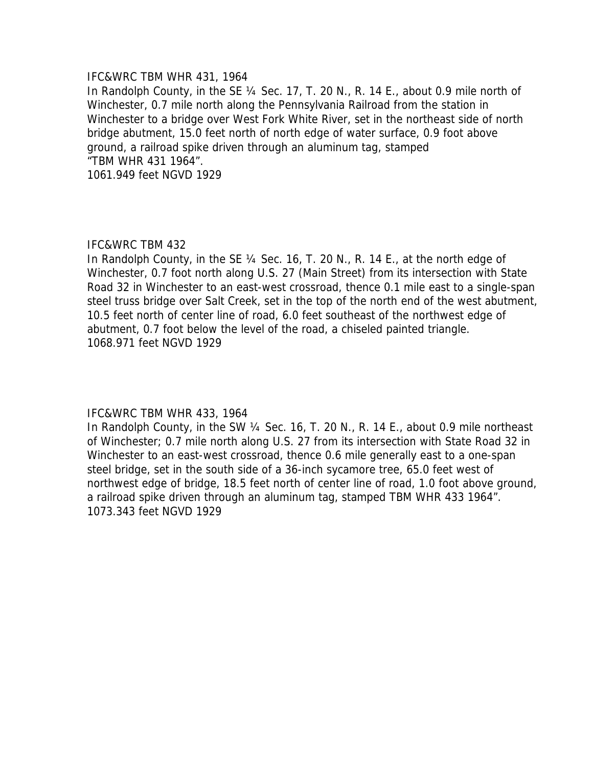### IFC&WRC TBM WHR 431, 1964

In Randolph County, in the SE ¼ Sec. 17, T. 20 N., R. 14 E., about 0.9 mile north of Winchester, 0.7 mile north along the Pennsylvania Railroad from the station in Winchester to a bridge over West Fork White River, set in the northeast side of north bridge abutment, 15.0 feet north of north edge of water surface, 0.9 foot above ground, a railroad spike driven through an aluminum tag, stamped "TBM WHR 431 1964". 1061.949 feet NGVD 1929

# IFC&WRC TBM 432

In Randolph County, in the SE ¼ Sec. 16, T. 20 N., R. 14 E., at the north edge of Winchester, 0.7 foot north along U.S. 27 (Main Street) from its intersection with State Road 32 in Winchester to an east-west crossroad, thence 0.1 mile east to a single-span steel truss bridge over Salt Creek, set in the top of the north end of the west abutment, 10.5 feet north of center line of road, 6.0 feet southeast of the northwest edge of abutment, 0.7 foot below the level of the road, a chiseled painted triangle. 1068.971 feet NGVD 1929

# IFC&WRC TBM WHR 433, 1964

In Randolph County, in the SW ¼ Sec. 16, T. 20 N., R. 14 E., about 0.9 mile northeast of Winchester; 0.7 mile north along U.S. 27 from its intersection with State Road 32 in Winchester to an east-west crossroad, thence 0.6 mile generally east to a one-span steel bridge, set in the south side of a 36-inch sycamore tree, 65.0 feet west of northwest edge of bridge, 18.5 feet north of center line of road, 1.0 foot above ground, a railroad spike driven through an aluminum tag, stamped TBM WHR 433 1964". 1073.343 feet NGVD 1929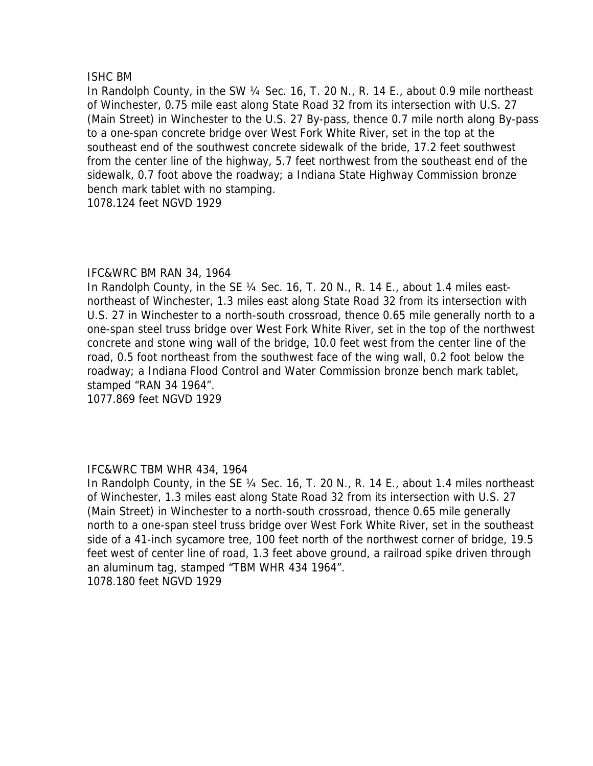## ISHC BM

In Randolph County, in the SW ¼ Sec. 16, T. 20 N., R. 14 E., about 0.9 mile northeast of Winchester, 0.75 mile east along State Road 32 from its intersection with U.S. 27 (Main Street) in Winchester to the U.S. 27 By-pass, thence 0.7 mile north along By-pass to a one-span concrete bridge over West Fork White River, set in the top at the southeast end of the southwest concrete sidewalk of the bride, 17.2 feet southwest from the center line of the highway, 5.7 feet northwest from the southeast end of the sidewalk, 0.7 foot above the roadway; a Indiana State Highway Commission bronze bench mark tablet with no stamping.

1078.124 feet NGVD 1929

## IFC&WRC BM RAN 34, 1964

In Randolph County, in the SE 1/4 Sec. 16, T. 20 N., R. 14 E., about 1.4 miles eastnortheast of Winchester, 1.3 miles east along State Road 32 from its intersection with U.S. 27 in Winchester to a north-south crossroad, thence 0.65 mile generally north to a one-span steel truss bridge over West Fork White River, set in the top of the northwest concrete and stone wing wall of the bridge, 10.0 feet west from the center line of the road, 0.5 foot northeast from the southwest face of the wing wall, 0.2 foot below the roadway; a Indiana Flood Control and Water Commission bronze bench mark tablet, stamped "RAN 34 1964".

1077.869 feet NGVD 1929

# IFC&WRC TBM WHR 434, 1964

In Randolph County, in the SE ¼ Sec. 16, T. 20 N., R. 14 E., about 1.4 miles northeast of Winchester, 1.3 miles east along State Road 32 from its intersection with U.S. 27 (Main Street) in Winchester to a north-south crossroad, thence 0.65 mile generally north to a one-span steel truss bridge over West Fork White River, set in the southeast side of a 41-inch sycamore tree, 100 feet north of the northwest corner of bridge, 19.5 feet west of center line of road, 1.3 feet above ground, a railroad spike driven through an aluminum tag, stamped "TBM WHR 434 1964". 1078.180 feet NGVD 1929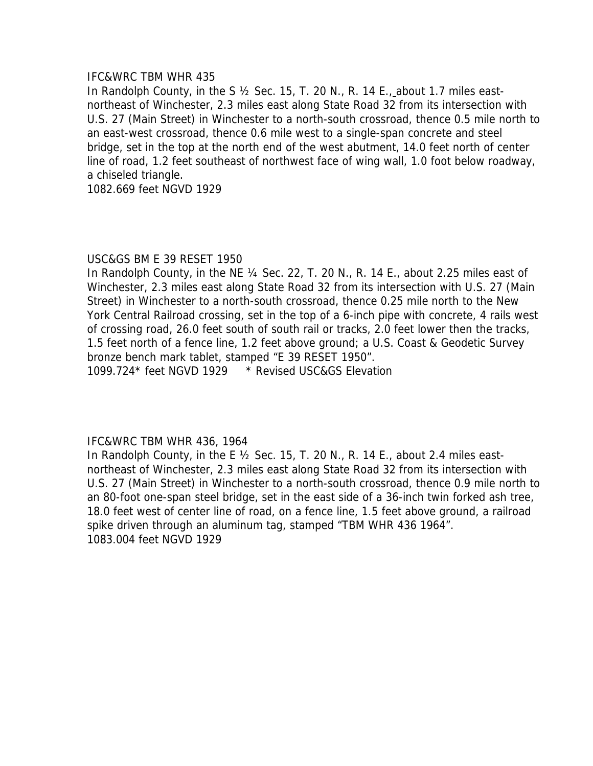## IFC&WRC TBM WHR 435

In Randolph County, in the S ½ Sec. 15, T. 20 N., R. 14 E., about 1.7 miles eastnortheast of Winchester, 2.3 miles east along State Road 32 from its intersection with U.S. 27 (Main Street) in Winchester to a north-south crossroad, thence 0.5 mile north to an east-west crossroad, thence 0.6 mile west to a single-span concrete and steel bridge, set in the top at the north end of the west abutment, 14.0 feet north of center line of road, 1.2 feet southeast of northwest face of wing wall, 1.0 foot below roadway, a chiseled triangle.

1082.669 feet NGVD 1929

## USC&GS BM E 39 RESET 1950

In Randolph County, in the NE ¼ Sec. 22, T. 20 N., R. 14 E., about 2.25 miles east of Winchester, 2.3 miles east along State Road 32 from its intersection with U.S. 27 (Main Street) in Winchester to a north-south crossroad, thence 0.25 mile north to the New York Central Railroad crossing, set in the top of a 6-inch pipe with concrete, 4 rails west of crossing road, 26.0 feet south of south rail or tracks, 2.0 feet lower then the tracks, 1.5 feet north of a fence line, 1.2 feet above ground; a U.S. Coast & Geodetic Survey bronze bench mark tablet, stamped "E 39 RESET 1950". 1099.724\* feet NGVD 1929 \* Revised USC&GS Elevation

### IFC&WRC TBM WHR 436, 1964

In Randolph County, in the E  $\frac{1}{2}$  Sec. 15, T. 20 N., R. 14 E., about 2.4 miles eastnortheast of Winchester, 2.3 miles east along State Road 32 from its intersection with U.S. 27 (Main Street) in Winchester to a north-south crossroad, thence 0.9 mile north to an 80-foot one-span steel bridge, set in the east side of a 36-inch twin forked ash tree, 18.0 feet west of center line of road, on a fence line, 1.5 feet above ground, a railroad spike driven through an aluminum tag, stamped "TBM WHR 436 1964". 1083.004 feet NGVD 1929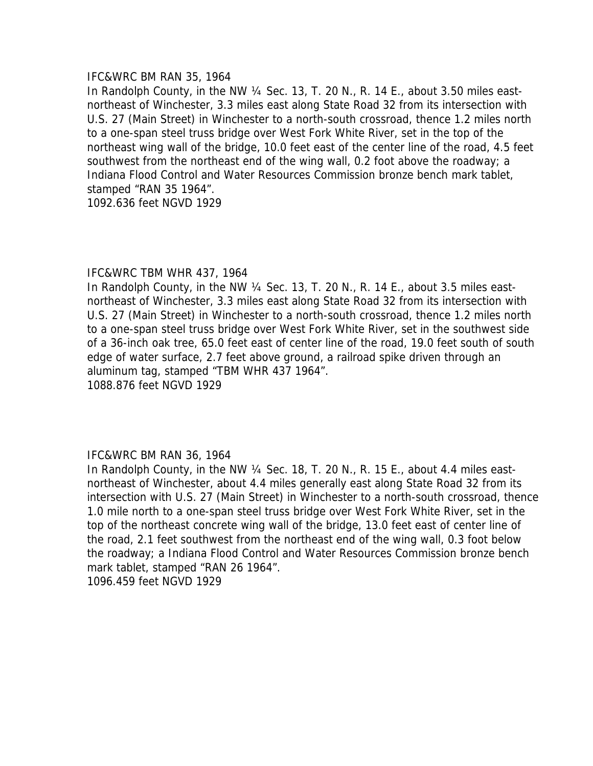#### IFC&WRC BM RAN 35, 1964

In Randolph County, in the NW ¼ Sec. 13, T. 20 N., R. 14 E., about 3.50 miles eastnortheast of Winchester, 3.3 miles east along State Road 32 from its intersection with U.S. 27 (Main Street) in Winchester to a north-south crossroad, thence 1.2 miles north to a one-span steel truss bridge over West Fork White River, set in the top of the northeast wing wall of the bridge, 10.0 feet east of the center line of the road, 4.5 feet southwest from the northeast end of the wing wall, 0.2 foot above the roadway; a Indiana Flood Control and Water Resources Commission bronze bench mark tablet, stamped "RAN 35 1964".

1092.636 feet NGVD 1929

### IFC&WRC TBM WHR 437, 1964

In Randolph County, in the NW 1/4 Sec. 13, T. 20 N., R. 14 E., about 3.5 miles eastnortheast of Winchester, 3.3 miles east along State Road 32 from its intersection with U.S. 27 (Main Street) in Winchester to a north-south crossroad, thence 1.2 miles north to a one-span steel truss bridge over West Fork White River, set in the southwest side of a 36-inch oak tree, 65.0 feet east of center line of the road, 19.0 feet south of south edge of water surface, 2.7 feet above ground, a railroad spike driven through an aluminum tag, stamped "TBM WHR 437 1964". 1088.876 feet NGVD 1929

### IFC&WRC BM RAN 36, 1964

In Randolph County, in the NW ¼ Sec. 18, T. 20 N., R. 15 E., about 4.4 miles eastnortheast of Winchester, about 4.4 miles generally east along State Road 32 from its intersection with U.S. 27 (Main Street) in Winchester to a north-south crossroad, thence 1.0 mile north to a one-span steel truss bridge over West Fork White River, set in the top of the northeast concrete wing wall of the bridge, 13.0 feet east of center line of the road, 2.1 feet southwest from the northeast end of the wing wall, 0.3 foot below the roadway; a Indiana Flood Control and Water Resources Commission bronze bench mark tablet, stamped "RAN 26 1964". 1096.459 feet NGVD 1929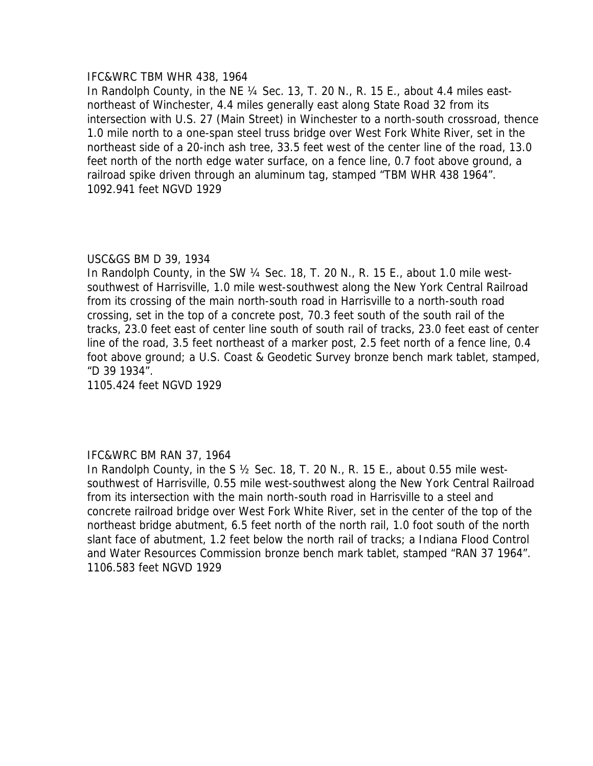### IFC&WRC TBM WHR 438, 1964

In Randolph County, in the NE ¼ Sec. 13, T. 20 N., R. 15 E., about 4.4 miles eastnortheast of Winchester, 4.4 miles generally east along State Road 32 from its intersection with U.S. 27 (Main Street) in Winchester to a north-south crossroad, thence 1.0 mile north to a one-span steel truss bridge over West Fork White River, set in the northeast side of a 20-inch ash tree, 33.5 feet west of the center line of the road, 13.0 feet north of the north edge water surface, on a fence line, 0.7 foot above ground, a railroad spike driven through an aluminum tag, stamped "TBM WHR 438 1964". 1092.941 feet NGVD 1929

# USC&GS BM D 39, 1934

In Randolph County, in the SW ¼ Sec. 18, T. 20 N., R. 15 E., about 1.0 mile westsouthwest of Harrisville, 1.0 mile west-southwest along the New York Central Railroad from its crossing of the main north-south road in Harrisville to a north-south road crossing, set in the top of a concrete post, 70.3 feet south of the south rail of the tracks, 23.0 feet east of center line south of south rail of tracks, 23.0 feet east of center line of the road, 3.5 feet northeast of a marker post, 2.5 feet north of a fence line, 0.4 foot above ground; a U.S. Coast & Geodetic Survey bronze bench mark tablet, stamped, "D 39 1934".

1105.424 feet NGVD 1929

# IFC&WRC BM RAN 37, 1964

In Randolph County, in the S  $\frac{1}{2}$  Sec. 18, T. 20 N., R. 15 E., about 0.55 mile westsouthwest of Harrisville, 0.55 mile west-southwest along the New York Central Railroad from its intersection with the main north-south road in Harrisville to a steel and concrete railroad bridge over West Fork White River, set in the center of the top of the northeast bridge abutment, 6.5 feet north of the north rail, 1.0 foot south of the north slant face of abutment, 1.2 feet below the north rail of tracks; a Indiana Flood Control and Water Resources Commission bronze bench mark tablet, stamped "RAN 37 1964". 1106.583 feet NGVD 1929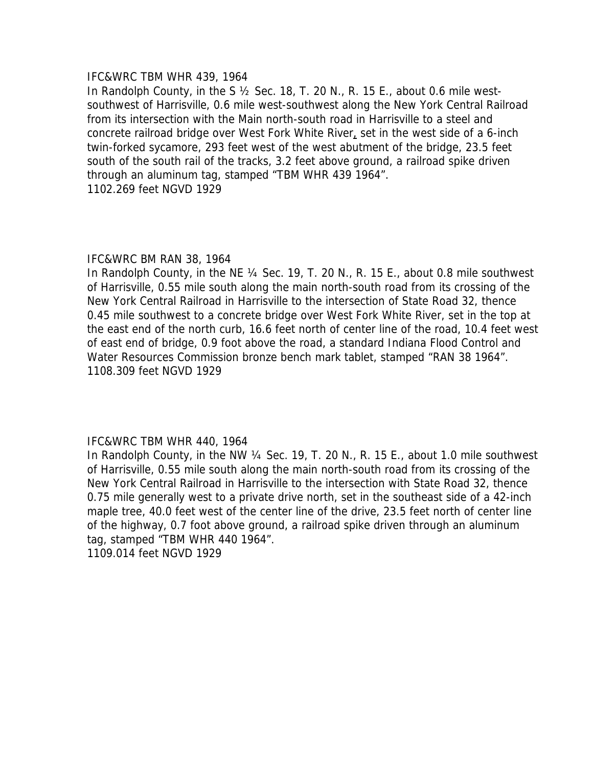### IFC&WRC TBM WHR 439, 1964

In Randolph County, in the S ½ Sec. 18, T. 20 N., R. 15 E., about 0.6 mile westsouthwest of Harrisville, 0.6 mile west-southwest along the New York Central Railroad from its intersection with the Main north-south road in Harrisville to a steel and concrete railroad bridge over West Fork White River, set in the west side of a 6-inch twin-forked sycamore, 293 feet west of the west abutment of the bridge, 23.5 feet south of the south rail of the tracks, 3.2 feet above ground, a railroad spike driven through an aluminum tag, stamped "TBM WHR 439 1964". 1102.269 feet NGVD 1929

### IFC&WRC BM RAN 38, 1964

In Randolph County, in the NE 1/4 Sec. 19, T. 20 N., R. 15 E., about 0.8 mile southwest of Harrisville, 0.55 mile south along the main north-south road from its crossing of the New York Central Railroad in Harrisville to the intersection of State Road 32, thence 0.45 mile southwest to a concrete bridge over West Fork White River, set in the top at the east end of the north curb, 16.6 feet north of center line of the road, 10.4 feet west of east end of bridge, 0.9 foot above the road, a standard Indiana Flood Control and Water Resources Commission bronze bench mark tablet, stamped "RAN 38 1964". 1108.309 feet NGVD 1929

### IFC&WRC TBM WHR 440, 1964

In Randolph County, in the NW 1/4 Sec. 19, T. 20 N., R. 15 E., about 1.0 mile southwest of Harrisville, 0.55 mile south along the main north-south road from its crossing of the New York Central Railroad in Harrisville to the intersection with State Road 32, thence 0.75 mile generally west to a private drive north, set in the southeast side of a 42-inch maple tree, 40.0 feet west of the center line of the drive, 23.5 feet north of center line of the highway, 0.7 foot above ground, a railroad spike driven through an aluminum tag, stamped "TBM WHR 440 1964". 1109.014 feet NGVD 1929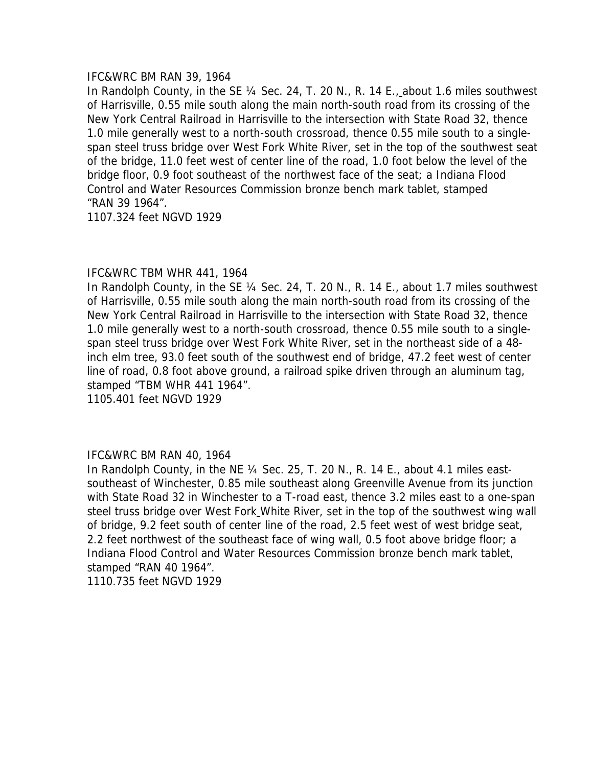### IFC&WRC BM RAN 39, 1964

In Randolph County, in the SE ¼ Sec. 24, T. 20 N., R. 14 E., about 1.6 miles southwest of Harrisville, 0.55 mile south along the main north-south road from its crossing of the New York Central Railroad in Harrisville to the intersection with State Road 32, thence 1.0 mile generally west to a north-south crossroad, thence 0.55 mile south to a singlespan steel truss bridge over West Fork White River, set in the top of the southwest seat of the bridge, 11.0 feet west of center line of the road, 1.0 foot below the level of the bridge floor, 0.9 foot southeast of the northwest face of the seat; a Indiana Flood Control and Water Resources Commission bronze bench mark tablet, stamped "RAN 39 1964".

1107.324 feet NGVD 1929

## IFC&WRC TBM WHR 441, 1964

In Randolph County, in the SE 1/4 Sec. 24, T. 20 N., R. 14 E., about 1.7 miles southwest of Harrisville, 0.55 mile south along the main north-south road from its crossing of the New York Central Railroad in Harrisville to the intersection with State Road 32, thence 1.0 mile generally west to a north-south crossroad, thence 0.55 mile south to a singlespan steel truss bridge over West Fork White River, set in the northeast side of a 48 inch elm tree, 93.0 feet south of the southwest end of bridge, 47.2 feet west of center line of road, 0.8 foot above ground, a railroad spike driven through an aluminum tag, stamped "TBM WHR 441 1964". 1105.401 feet NGVD 1929

# IFC&WRC BM RAN 40, 1964

In Randolph County, in the NE ¼ Sec. 25, T. 20 N., R. 14 E., about 4.1 miles eastsoutheast of Winchester, 0.85 mile southeast along Greenville Avenue from its junction with State Road 32 in Winchester to a T-road east, thence 3.2 miles east to a one-span steel truss bridge over West Fork White River, set in the top of the southwest wing wall of bridge, 9.2 feet south of center line of the road, 2.5 feet west of west bridge seat, 2.2 feet northwest of the southeast face of wing wall, 0.5 foot above bridge floor; a Indiana Flood Control and Water Resources Commission bronze bench mark tablet, stamped "RAN 40 1964". 1110.735 feet NGVD 1929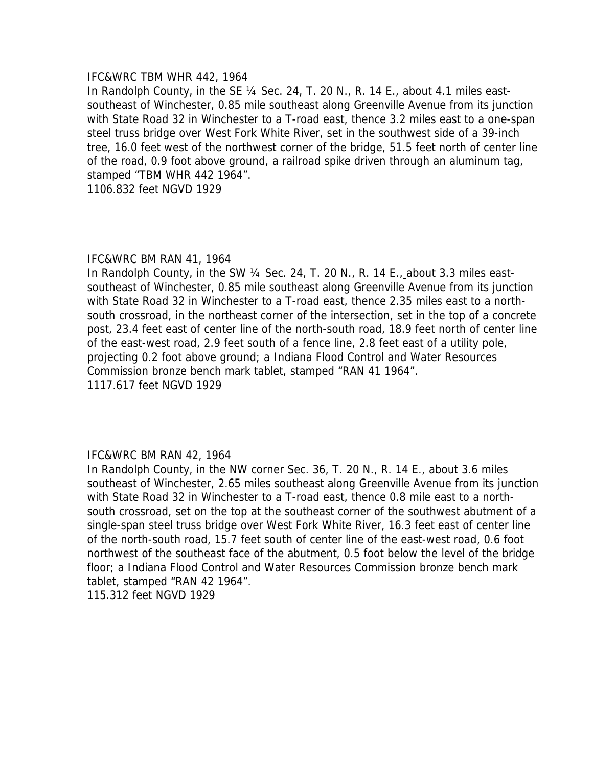#### IFC&WRC TBM WHR 442, 1964

In Randolph County, in the SE 1/4 Sec. 24, T. 20 N., R. 14 E., about 4.1 miles eastsoutheast of Winchester, 0.85 mile southeast along Greenville Avenue from its junction with State Road 32 in Winchester to a T-road east, thence 3.2 miles east to a one-span steel truss bridge over West Fork White River, set in the southwest side of a 39-inch tree, 16.0 feet west of the northwest corner of the bridge, 51.5 feet north of center line of the road, 0.9 foot above ground, a railroad spike driven through an aluminum tag, stamped "TBM WHR 442 1964".

1106.832 feet NGVD 1929

### IFC&WRC BM RAN 41, 1964

In Randolph County, in the SW ¼ Sec. 24, T. 20 N., R. 14 E., about 3.3 miles eastsoutheast of Winchester, 0.85 mile southeast along Greenville Avenue from its junction with State Road 32 in Winchester to a T-road east, thence 2.35 miles east to a northsouth crossroad, in the northeast corner of the intersection, set in the top of a concrete post, 23.4 feet east of center line of the north-south road, 18.9 feet north of center line of the east-west road, 2.9 feet south of a fence line, 2.8 feet east of a utility pole, projecting 0.2 foot above ground; a Indiana Flood Control and Water Resources Commission bronze bench mark tablet, stamped "RAN 41 1964". 1117.617 feet NGVD 1929

### IFC&WRC BM RAN 42, 1964

In Randolph County, in the NW corner Sec. 36, T. 20 N., R. 14 E., about 3.6 miles southeast of Winchester, 2.65 miles southeast along Greenville Avenue from its junction with State Road 32 in Winchester to a T-road east, thence 0.8 mile east to a northsouth crossroad, set on the top at the southeast corner of the southwest abutment of a single-span steel truss bridge over West Fork White River, 16.3 feet east of center line of the north-south road, 15.7 feet south of center line of the east-west road, 0.6 foot northwest of the southeast face of the abutment, 0.5 foot below the level of the bridge floor; a Indiana Flood Control and Water Resources Commission bronze bench mark tablet, stamped "RAN 42 1964". 115.312 feet NGVD 1929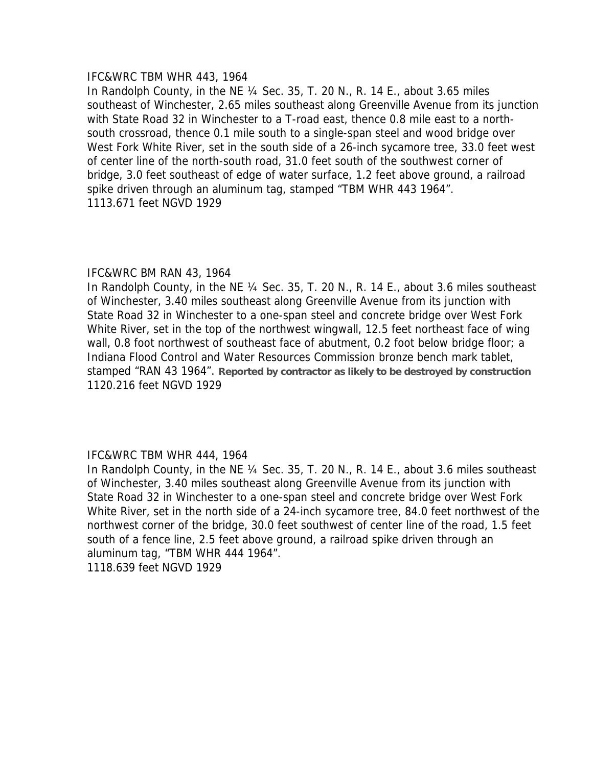#### IFC&WRC TBM WHR 443, 1964

In Randolph County, in the NE ¼ Sec. 35, T. 20 N., R. 14 E., about 3.65 miles southeast of Winchester, 2.65 miles southeast along Greenville Avenue from its junction with State Road 32 in Winchester to a T-road east, thence 0.8 mile east to a northsouth crossroad, thence 0.1 mile south to a single-span steel and wood bridge over West Fork White River, set in the south side of a 26-inch sycamore tree, 33.0 feet west of center line of the north-south road, 31.0 feet south of the southwest corner of bridge, 3.0 feet southeast of edge of water surface, 1.2 feet above ground, a railroad spike driven through an aluminum tag, stamped "TBM WHR 443 1964". 1113.671 feet NGVD 1929

### IFC&WRC BM RAN 43, 1964

In Randolph County, in the NE ¼ Sec. 35, T. 20 N., R. 14 E., about 3.6 miles southeast of Winchester, 3.40 miles southeast along Greenville Avenue from its junction with State Road 32 in Winchester to a one-span steel and concrete bridge over West Fork White River, set in the top of the northwest wingwall, 12.5 feet northeast face of wing wall, 0.8 foot northwest of southeast face of abutment, 0.2 foot below bridge floor; a Indiana Flood Control and Water Resources Commission bronze bench mark tablet, stamped "RAN 43 1964". **Reported by contractor as likely to be destroyed by construction**  1120.216 feet NGVD 1929

### IFC&WRC TBM WHR 444, 1964

In Randolph County, in the NE ¼ Sec. 35, T. 20 N., R. 14 E., about 3.6 miles southeast of Winchester, 3.40 miles southeast along Greenville Avenue from its junction with State Road 32 in Winchester to a one-span steel and concrete bridge over West Fork White River, set in the north side of a 24-inch sycamore tree, 84.0 feet northwest of the northwest corner of the bridge, 30.0 feet southwest of center line of the road, 1.5 feet south of a fence line, 2.5 feet above ground, a railroad spike driven through an aluminum tag, "TBM WHR 444 1964". 1118.639 feet NGVD 1929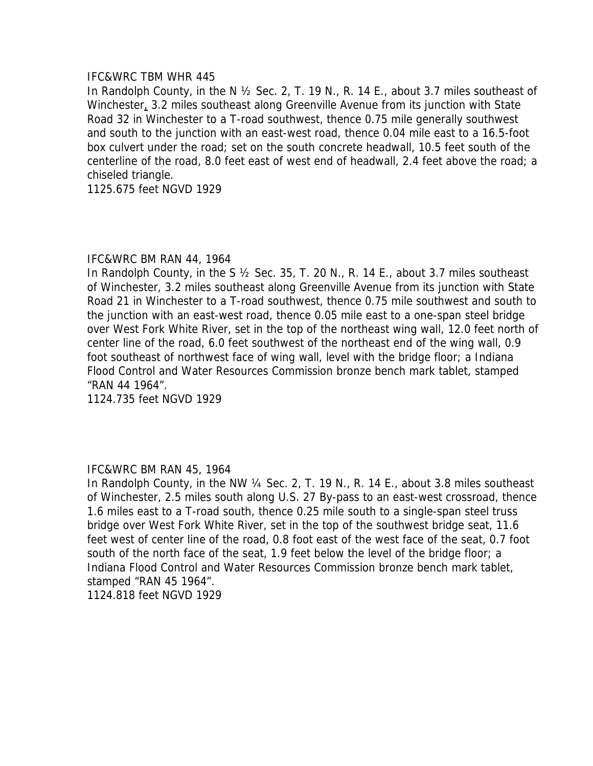### IFC&WRC TBM WHR 445

In Randolph County, in the N ½ Sec. 2, T. 19 N., R. 14 E., about 3.7 miles southeast of Winchester, 3.2 miles southeast along Greenville Avenue from its junction with State Road 32 in Winchester to a T-road southwest, thence 0.75 mile generally southwest and south to the junction with an east-west road, thence 0.04 mile east to a 16.5-foot box culvert under the road; set on the south concrete headwall, 10.5 feet south of the centerline of the road, 8.0 feet east of west end of headwall, 2.4 feet above the road; a chiseled triangle.

1125.675 feet NGVD 1929

## IFC&WRC BM RAN 44, 1964

In Randolph County, in the S ½ Sec. 35, T. 20 N., R. 14 E., about 3.7 miles southeast of Winchester, 3.2 miles southeast along Greenville Avenue from its junction with State Road 21 in Winchester to a T-road southwest, thence 0.75 mile southwest and south to the junction with an east-west road, thence 0.05 mile east to a one-span steel bridge over West Fork White River, set in the top of the northeast wing wall, 12.0 feet north of center line of the road, 6.0 feet southwest of the northeast end of the wing wall, 0.9 foot southeast of northwest face of wing wall, level with the bridge floor; a Indiana Flood Control and Water Resources Commission bronze bench mark tablet, stamped "RAN 44 1964".

1124.735 feet NGVD 1929

# IFC&WRC BM RAN 45, 1964

In Randolph County, in the NW 1/4 Sec. 2, T. 19 N., R. 14 E., about 3.8 miles southeast of Winchester, 2.5 miles south along U.S. 27 By-pass to an east-west crossroad, thence 1.6 miles east to a T-road south, thence 0.25 mile south to a single-span steel truss bridge over West Fork White River, set in the top of the southwest bridge seat, 11.6 feet west of center line of the road, 0.8 foot east of the west face of the seat, 0.7 foot south of the north face of the seat, 1.9 feet below the level of the bridge floor; a Indiana Flood Control and Water Resources Commission bronze bench mark tablet, stamped "RAN 45 1964".

1124.818 feet NGVD 1929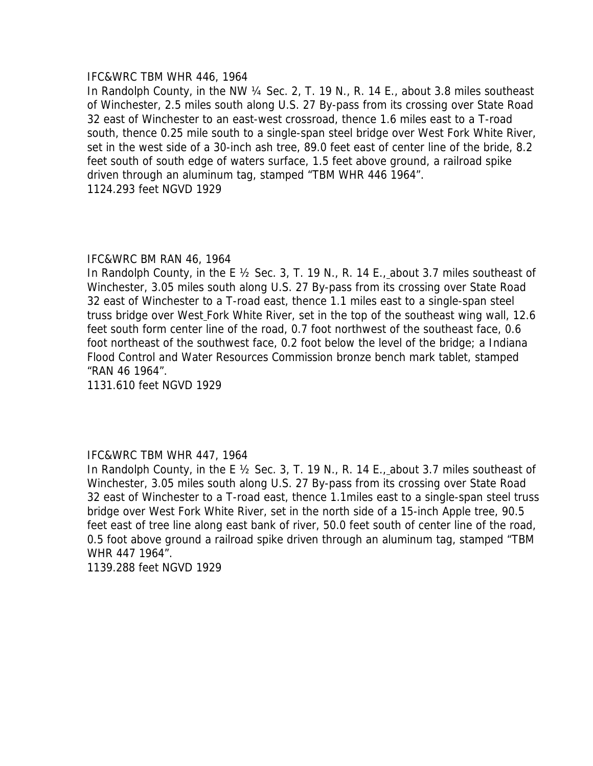### IFC&WRC TBM WHR 446, 1964

In Randolph County, in the NW ¼ Sec. 2, T. 19 N., R. 14 E., about 3.8 miles southeast of Winchester, 2.5 miles south along U.S. 27 By-pass from its crossing over State Road 32 east of Winchester to an east-west crossroad, thence 1.6 miles east to a T-road south, thence 0.25 mile south to a single-span steel bridge over West Fork White River, set in the west side of a 30-inch ash tree, 89.0 feet east of center line of the bride, 8.2 feet south of south edge of waters surface, 1.5 feet above ground, a railroad spike driven through an aluminum tag, stamped "TBM WHR 446 1964". 1124.293 feet NGVD 1929

### IFC&WRC BM RAN 46, 1964

In Randolph County, in the E 1/2 Sec. 3, T. 19 N., R. 14 E., about 3.7 miles southeast of Winchester, 3.05 miles south along U.S. 27 By-pass from its crossing over State Road 32 east of Winchester to a T-road east, thence 1.1 miles east to a single-span steel truss bridge over West Fork White River, set in the top of the southeast wing wall, 12.6 feet south form center line of the road, 0.7 foot northwest of the southeast face, 0.6 foot northeast of the southwest face, 0.2 foot below the level of the bridge; a Indiana Flood Control and Water Resources Commission bronze bench mark tablet, stamped "RAN 46 1964".

1131.610 feet NGVD 1929

# IFC&WRC TBM WHR 447, 1964

In Randolph County, in the E ½ Sec. 3, T. 19 N., R. 14 E., about 3.7 miles southeast of Winchester, 3.05 miles south along U.S. 27 By-pass from its crossing over State Road 32 east of Winchester to a T-road east, thence 1.1miles east to a single-span steel truss bridge over West Fork White River, set in the north side of a 15-inch Apple tree, 90.5 feet east of tree line along east bank of river, 50.0 feet south of center line of the road, 0.5 foot above ground a railroad spike driven through an aluminum tag, stamped "TBM WHR 447 1964".

1139.288 feet NGVD 1929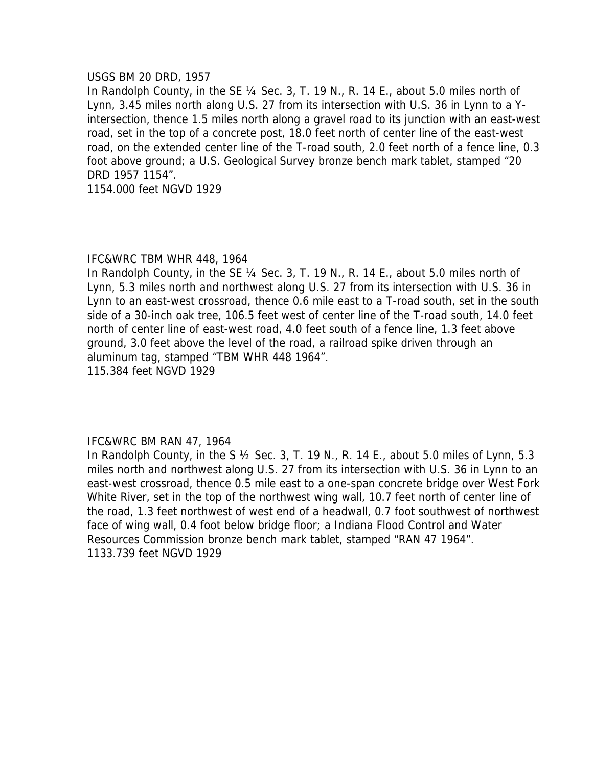### USGS BM 20 DRD, 1957

In Randolph County, in the SE 1/4 Sec. 3, T. 19 N., R. 14 E., about 5.0 miles north of Lynn, 3.45 miles north along U.S. 27 from its intersection with U.S. 36 in Lynn to a Yintersection, thence 1.5 miles north along a gravel road to its junction with an east-west road, set in the top of a concrete post, 18.0 feet north of center line of the east-west road, on the extended center line of the T-road south, 2.0 feet north of a fence line, 0.3 foot above ground; a U.S. Geological Survey bronze bench mark tablet, stamped "20 DRD 1957 1154".

1154.000 feet NGVD 1929

## IFC&WRC TBM WHR 448, 1964

In Randolph County, in the SE 1/4 Sec. 3, T. 19 N., R. 14 E., about 5.0 miles north of Lynn, 5.3 miles north and northwest along U.S. 27 from its intersection with U.S. 36 in Lynn to an east-west crossroad, thence 0.6 mile east to a T-road south, set in the south side of a 30-inch oak tree, 106.5 feet west of center line of the T-road south, 14.0 feet north of center line of east-west road, 4.0 feet south of a fence line, 1.3 feet above ground, 3.0 feet above the level of the road, a railroad spike driven through an aluminum tag, stamped "TBM WHR 448 1964". 115.384 feet NGVD 1929

### IFC&WRC BM RAN 47, 1964

In Randolph County, in the S  $\frac{1}{2}$  Sec. 3, T. 19 N., R. 14 E., about 5.0 miles of Lynn, 5.3 miles north and northwest along U.S. 27 from its intersection with U.S. 36 in Lynn to an east-west crossroad, thence 0.5 mile east to a one-span concrete bridge over West Fork White River, set in the top of the northwest wing wall, 10.7 feet north of center line of the road, 1.3 feet northwest of west end of a headwall, 0.7 foot southwest of northwest face of wing wall, 0.4 foot below bridge floor; a Indiana Flood Control and Water Resources Commission bronze bench mark tablet, stamped "RAN 47 1964". 1133.739 feet NGVD 1929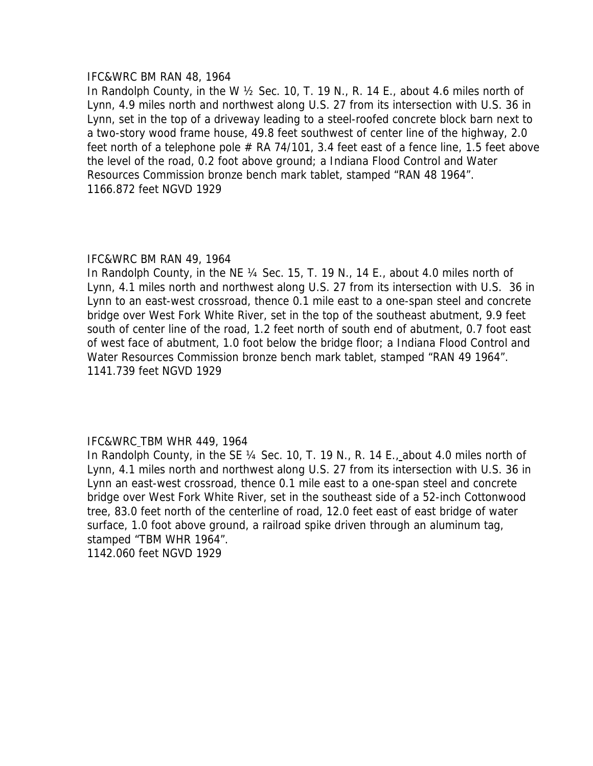#### IFC&WRC BM RAN 48, 1964

In Randolph County, in the W ½ Sec. 10, T. 19 N., R. 14 E., about 4.6 miles north of Lynn, 4.9 miles north and northwest along U.S. 27 from its intersection with U.S. 36 in Lynn, set in the top of a driveway leading to a steel-roofed concrete block barn next to a two-story wood frame house, 49.8 feet southwest of center line of the highway, 2.0 feet north of a telephone pole  $#$  RA 74/101, 3.4 feet east of a fence line, 1.5 feet above the level of the road, 0.2 foot above ground; a Indiana Flood Control and Water Resources Commission bronze bench mark tablet, stamped "RAN 48 1964". 1166.872 feet NGVD 1929

## IFC&WRC BM RAN 49, 1964

In Randolph County, in the NE ¼ Sec. 15, T. 19 N., 14 E., about 4.0 miles north of Lynn, 4.1 miles north and northwest along U.S. 27 from its intersection with U.S. 36 in Lynn to an east-west crossroad, thence 0.1 mile east to a one-span steel and concrete bridge over West Fork White River, set in the top of the southeast abutment, 9.9 feet south of center line of the road, 1.2 feet north of south end of abutment, 0.7 foot east of west face of abutment, 1.0 foot below the bridge floor; a Indiana Flood Control and Water Resources Commission bronze bench mark tablet, stamped "RAN 49 1964". 1141.739 feet NGVD 1929

### IFC&WRC TBM WHR 449, 1964

In Randolph County, in the SE 1/4 Sec. 10, T. 19 N., R. 14 E., about 4.0 miles north of Lynn, 4.1 miles north and northwest along U.S. 27 from its intersection with U.S. 36 in Lynn an east-west crossroad, thence 0.1 mile east to a one-span steel and concrete bridge over West Fork White River, set in the southeast side of a 52-inch Cottonwood tree, 83.0 feet north of the centerline of road, 12.0 feet east of east bridge of water surface, 1.0 foot above ground, a railroad spike driven through an aluminum tag, stamped "TBM WHR 1964".

1142.060 feet NGVD 1929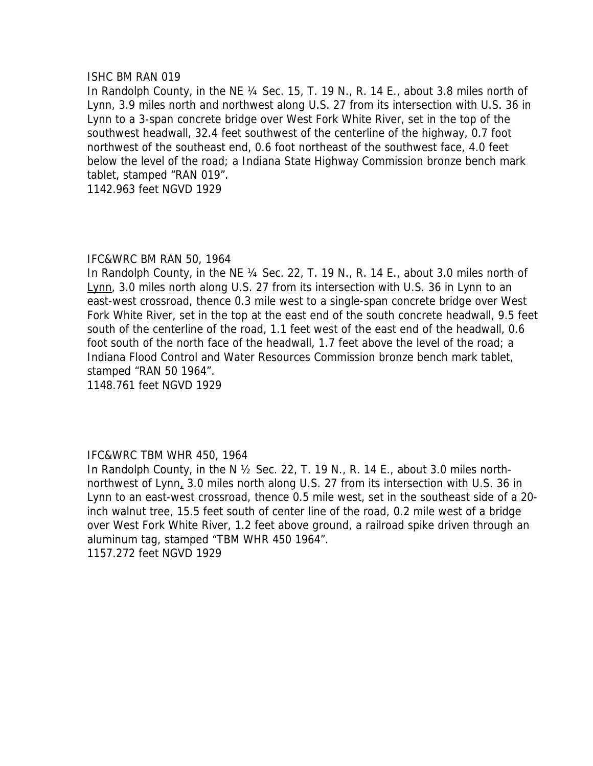### ISHC BM RAN 019

In Randolph County, in the NE ¼ Sec. 15, T. 19 N., R. 14 E., about 3.8 miles north of Lynn, 3.9 miles north and northwest along U.S. 27 from its intersection with U.S. 36 in Lynn to a 3-span concrete bridge over West Fork White River, set in the top of the southwest headwall, 32.4 feet southwest of the centerline of the highway, 0.7 foot northwest of the southeast end, 0.6 foot northeast of the southwest face, 4.0 feet below the level of the road; a Indiana State Highway Commission bronze bench mark tablet, stamped "RAN 019".

1142.963 feet NGVD 1929

## IFC&WRC BM RAN 50, 1964

In Randolph County, in the NE ¼ Sec. 22, T. 19 N., R. 14 E., about 3.0 miles north of Lynn, 3.0 miles north along U.S. 27 from its intersection with U.S. 36 in Lynn to an east-west crossroad, thence 0.3 mile west to a single-span concrete bridge over West Fork White River, set in the top at the east end of the south concrete headwall, 9.5 feet south of the centerline of the road, 1.1 feet west of the east end of the headwall, 0.6 foot south of the north face of the headwall, 1.7 feet above the level of the road; a Indiana Flood Control and Water Resources Commission bronze bench mark tablet, stamped "RAN 50 1964".

1148.761 feet NGVD 1929

# IFC&WRC TBM WHR 450, 1964

In Randolph County, in the N  $\frac{1}{2}$  Sec. 22, T. 19 N., R. 14 E., about 3.0 miles northnorthwest of Lynn, 3.0 miles north along U.S. 27 from its intersection with U.S. 36 in Lynn to an east-west crossroad, thence 0.5 mile west, set in the southeast side of a 20 inch walnut tree, 15.5 feet south of center line of the road, 0.2 mile west of a bridge over West Fork White River, 1.2 feet above ground, a railroad spike driven through an aluminum tag, stamped "TBM WHR 450 1964". 1157.272 feet NGVD 1929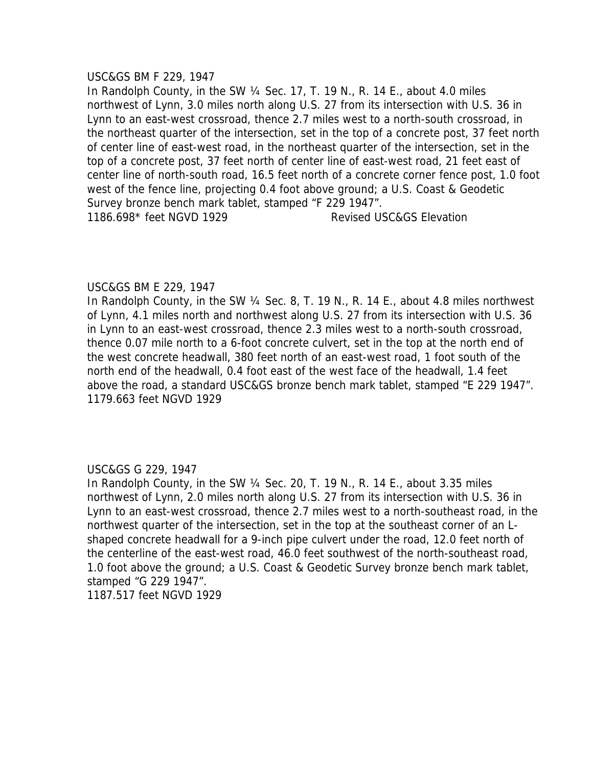### USC&GS BM F 229, 1947

In Randolph County, in the SW ¼ Sec. 17, T. 19 N., R. 14 E., about 4.0 miles northwest of Lynn, 3.0 miles north along U.S. 27 from its intersection with U.S. 36 in Lynn to an east-west crossroad, thence 2.7 miles west to a north-south crossroad, in the northeast quarter of the intersection, set in the top of a concrete post, 37 feet north of center line of east-west road, in the northeast quarter of the intersection, set in the top of a concrete post, 37 feet north of center line of east-west road, 21 feet east of center line of north-south road, 16.5 feet north of a concrete corner fence post, 1.0 foot west of the fence line, projecting 0.4 foot above ground; a U.S. Coast & Geodetic Survey bronze bench mark tablet, stamped "F 229 1947". 1186.698\* feet NGVD 1929 Revised USC&GS Elevation

### USC&GS BM E 229, 1947

In Randolph County, in the SW 1/4 Sec. 8, T. 19 N., R. 14 E., about 4.8 miles northwest of Lynn, 4.1 miles north and northwest along U.S. 27 from its intersection with U.S. 36 in Lynn to an east-west crossroad, thence 2.3 miles west to a north-south crossroad, thence 0.07 mile north to a 6-foot concrete culvert, set in the top at the north end of the west concrete headwall, 380 feet north of an east-west road, 1 foot south of the north end of the headwall, 0.4 foot east of the west face of the headwall, 1.4 feet above the road, a standard USC&GS bronze bench mark tablet, stamped "E 229 1947". 1179.663 feet NGVD 1929

# USC&GS G 229, 1947

In Randolph County, in the SW ¼ Sec. 20, T. 19 N., R. 14 E., about 3.35 miles northwest of Lynn, 2.0 miles north along U.S. 27 from its intersection with U.S. 36 in Lynn to an east-west crossroad, thence 2.7 miles west to a north-southeast road, in the northwest quarter of the intersection, set in the top at the southeast corner of an Lshaped concrete headwall for a 9-inch pipe culvert under the road, 12.0 feet north of the centerline of the east-west road, 46.0 feet southwest of the north-southeast road, 1.0 foot above the ground; a U.S. Coast & Geodetic Survey bronze bench mark tablet, stamped "G 229 1947".

1187.517 feet NGVD 1929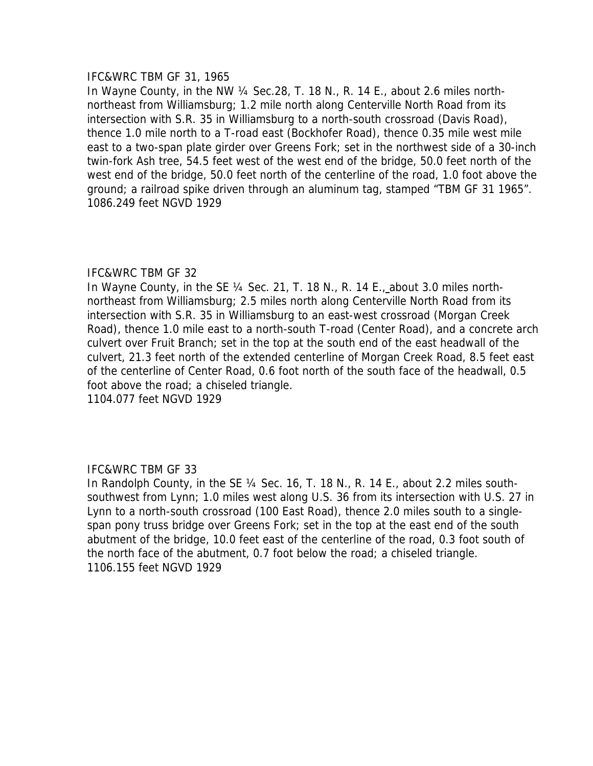### IFC&WRC TBM GF 31, 1965

In Wayne County, in the NW ¼ Sec.28, T. 18 N., R. 14 E., about 2.6 miles northnortheast from Williamsburg; 1.2 mile north along Centerville North Road from its intersection with S.R. 35 in Williamsburg to a north-south crossroad (Davis Road), thence 1.0 mile north to a T-road east (Bockhofer Road), thence 0.35 mile west mile east to a two-span plate girder over Greens Fork; set in the northwest side of a 30-inch twin-fork Ash tree, 54.5 feet west of the west end of the bridge, 50.0 feet north of the west end of the bridge, 50.0 feet north of the centerline of the road, 1.0 foot above the ground; a railroad spike driven through an aluminum tag, stamped "TBM GF 31 1965". 1086.249 feet NGVD 1929

# IFC&WRC TBM GF 32

In Wayne County, in the SE ¼ Sec. 21, T. 18 N., R. 14 E., about 3.0 miles northnortheast from Williamsburg; 2.5 miles north along Centerville North Road from its intersection with S.R. 35 in Williamsburg to an east-west crossroad (Morgan Creek Road), thence 1.0 mile east to a north-south T-road (Center Road), and a concrete arch culvert over Fruit Branch; set in the top at the south end of the east headwall of the culvert, 21.3 feet north of the extended centerline of Morgan Creek Road, 8.5 feet east of the centerline of Center Road, 0.6 foot north of the south face of the headwall, 0.5 foot above the road; a chiseled triangle.

1104.077 feet NGVD 1929

# IFC&WRC TBM GF 33

In Randolph County, in the SE ¼ Sec. 16, T. 18 N., R. 14 E., about 2.2 miles southsouthwest from Lynn; 1.0 miles west along U.S. 36 from its intersection with U.S. 27 in Lynn to a north-south crossroad (100 East Road), thence 2.0 miles south to a singlespan pony truss bridge over Greens Fork; set in the top at the east end of the south abutment of the bridge, 10.0 feet east of the centerline of the road, 0.3 foot south of the north face of the abutment, 0.7 foot below the road; a chiseled triangle. 1106.155 feet NGVD 1929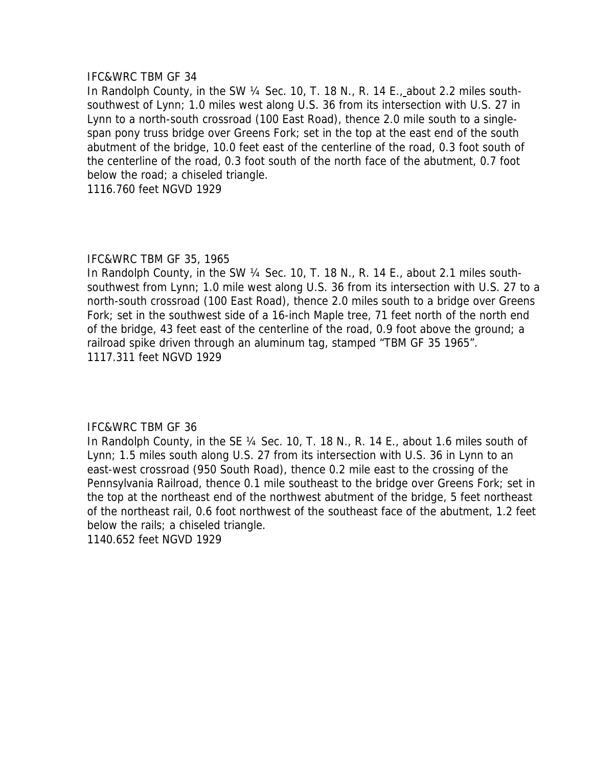### IFC&WRC TBM GF 34

In Randolph County, in the SW ¼ Sec. 10, T. 18 N., R. 14 E., about 2.2 miles southsouthwest of Lynn; 1.0 miles west along U.S. 36 from its intersection with U.S. 27 in Lynn to a north-south crossroad (100 East Road), thence 2.0 mile south to a singlespan pony truss bridge over Greens Fork; set in the top at the east end of the south abutment of the bridge, 10.0 feet east of the centerline of the road, 0.3 foot south of the centerline of the road, 0.3 foot south of the north face of the abutment, 0.7 foot below the road; a chiseled triangle.

1116.760 feet NGVD 1929

## IFC&WRC TBM GF 35, 1965

In Randolph County, in the SW 1/4 Sec. 10, T. 18 N., R. 14 E., about 2.1 miles southsouthwest from Lynn; 1.0 mile west along U.S. 36 from its intersection with U.S. 27 to a north-south crossroad (100 East Road), thence 2.0 miles south to a bridge over Greens Fork; set in the southwest side of a 16-inch Maple tree, 71 feet north of the north end of the bridge, 43 feet east of the centerline of the road, 0.9 foot above the ground; a railroad spike driven through an aluminum tag, stamped "TBM GF 35 1965". 1117.311 feet NGVD 1929

# IFC&WRC TBM GF 36

In Randolph County, in the SE ¼ Sec. 10, T. 18 N., R. 14 E., about 1.6 miles south of Lynn; 1.5 miles south along U.S. 27 from its intersection with U.S. 36 in Lynn to an east-west crossroad (950 South Road), thence 0.2 mile east to the crossing of the Pennsylvania Railroad, thence 0.1 mile southeast to the bridge over Greens Fork; set in the top at the northeast end of the northwest abutment of the bridge, 5 feet northeast of the northeast rail, 0.6 foot northwest of the southeast face of the abutment, 1.2 feet below the rails; a chiseled triangle.

1140.652 feet NGVD 1929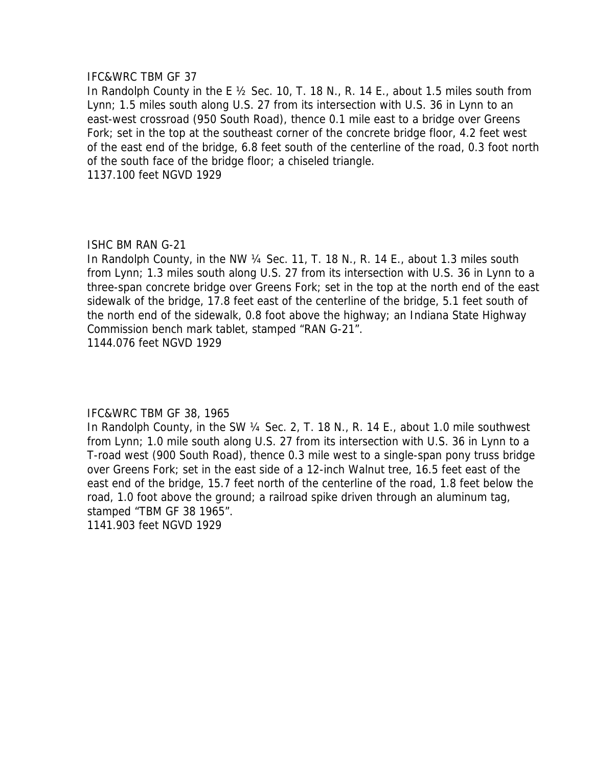### IFC&WRC TBM GF 37

In Randolph County in the E ½ Sec. 10, T. 18 N., R. 14 E., about 1.5 miles south from Lynn; 1.5 miles south along U.S. 27 from its intersection with U.S. 36 in Lynn to an east-west crossroad (950 South Road), thence 0.1 mile east to a bridge over Greens Fork; set in the top at the southeast corner of the concrete bridge floor, 4.2 feet west of the east end of the bridge, 6.8 feet south of the centerline of the road, 0.3 foot north of the south face of the bridge floor; a chiseled triangle. 1137.100 feet NGVD 1929

# ISHC BM RAN G-21

In Randolph County, in the NW 1/4 Sec. 11, T. 18 N., R. 14 E., about 1.3 miles south from Lynn; 1.3 miles south along U.S. 27 from its intersection with U.S. 36 in Lynn to a three-span concrete bridge over Greens Fork; set in the top at the north end of the east sidewalk of the bridge, 17.8 feet east of the centerline of the bridge, 5.1 feet south of the north end of the sidewalk, 0.8 foot above the highway; an Indiana State Highway Commission bench mark tablet, stamped "RAN G-21". 1144.076 feet NGVD 1929

# IFC&WRC TBM GF 38, 1965

In Randolph County, in the SW 1/4 Sec. 2, T. 18 N., R. 14 E., about 1.0 mile southwest from Lynn; 1.0 mile south along U.S. 27 from its intersection with U.S. 36 in Lynn to a T-road west (900 South Road), thence 0.3 mile west to a single-span pony truss bridge over Greens Fork; set in the east side of a 12-inch Walnut tree, 16.5 feet east of the east end of the bridge, 15.7 feet north of the centerline of the road, 1.8 feet below the road, 1.0 foot above the ground; a railroad spike driven through an aluminum tag, stamped "TBM GF 38 1965".

1141.903 feet NGVD 1929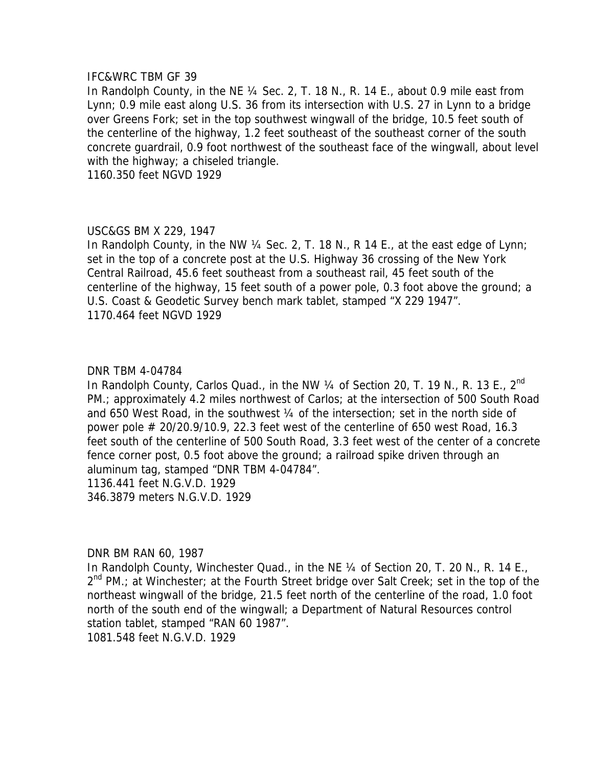#### IFC&WRC TBM GF 39

In Randolph County, in the NE ¼ Sec. 2, T. 18 N., R. 14 E., about 0.9 mile east from Lynn; 0.9 mile east along U.S. 36 from its intersection with U.S. 27 in Lynn to a bridge over Greens Fork; set in the top southwest wingwall of the bridge, 10.5 feet south of the centerline of the highway, 1.2 feet southeast of the southeast corner of the south concrete guardrail, 0.9 foot northwest of the southeast face of the wingwall, about level with the highway; a chiseled triangle.

1160.350 feet NGVD 1929

### USC&GS BM X 229, 1947

In Randolph County, in the NW 1/4 Sec. 2, T. 18 N., R 14 E., at the east edge of Lynn; set in the top of a concrete post at the U.S. Highway 36 crossing of the New York Central Railroad, 45.6 feet southeast from a southeast rail, 45 feet south of the centerline of the highway, 15 feet south of a power pole, 0.3 foot above the ground; a U.S. Coast & Geodetic Survey bench mark tablet, stamped "X 229 1947". 1170.464 feet NGVD 1929

### DNR TBM 4-04784

In Randolph County, Carlos Quad., in the NW  $\frac{1}{4}$  of Section 20, T. 19 N., R. 13 E., 2<sup>nd</sup> PM.; approximately 4.2 miles northwest of Carlos; at the intersection of 500 South Road and 650 West Road, in the southwest 1/4 of the intersection; set in the north side of power pole  $\#$  20/20.9/10.9, 22.3 feet west of the centerline of 650 west Road, 16.3 feet south of the centerline of 500 South Road, 3.3 feet west of the center of a concrete fence corner post, 0.5 foot above the ground; a railroad spike driven through an aluminum tag, stamped "DNR TBM 4-04784". 1136.441 feet N.G.V.D. 1929

346.3879 meters N.G.V.D. 1929

DNR BM RAN 60, 1987

In Randolph County, Winchester Quad., in the NE 1/4 of Section 20, T. 20 N., R. 14 E.,  $2^{nd}$  PM.; at Winchester; at the Fourth Street bridge over Salt Creek; set in the top of the northeast wingwall of the bridge, 21.5 feet north of the centerline of the road, 1.0 foot north of the south end of the wingwall; a Department of Natural Resources control station tablet, stamped "RAN 60 1987". 1081.548 feet N.G.V.D. 1929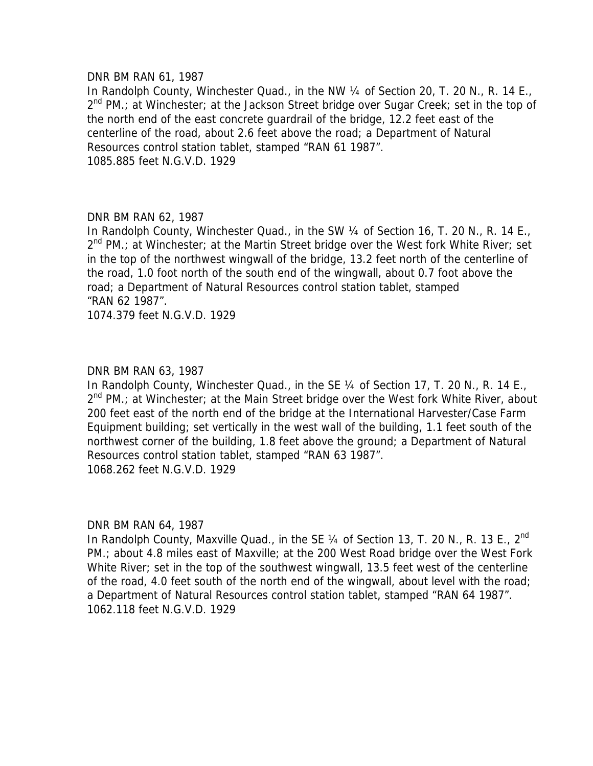#### DNR BM RAN 61, 1987

In Randolph County, Winchester Quad., in the NW 1/4 of Section 20, T. 20 N., R. 14 E.,  $2^{nd}$  PM.; at Winchester; at the Jackson Street bridge over Sugar Creek; set in the top of the north end of the east concrete guardrail of the bridge, 12.2 feet east of the centerline of the road, about 2.6 feet above the road; a Department of Natural Resources control station tablet, stamped "RAN 61 1987". 1085.885 feet N.G.V.D. 1929

### DNR BM RAN 62, 1987

In Randolph County, Winchester Quad., in the SW ¼ of Section 16, T. 20 N., R. 14 E.,  $2^{nd}$  PM.; at Winchester; at the Martin Street bridge over the West fork White River; set in the top of the northwest wingwall of the bridge, 13.2 feet north of the centerline of the road, 1.0 foot north of the south end of the wingwall, about 0.7 foot above the road; a Department of Natural Resources control station tablet, stamped "RAN 62 1987".

1074.379 feet N.G.V.D. 1929

## DNR BM RAN 63, 1987

In Randolph County, Winchester Quad., in the SE 1/4 of Section 17, T. 20 N., R. 14 E.,  $2^{nd}$  PM.; at Winchester; at the Main Street bridge over the West fork White River, about 200 feet east of the north end of the bridge at the International Harvester/Case Farm Equipment building; set vertically in the west wall of the building, 1.1 feet south of the northwest corner of the building, 1.8 feet above the ground; a Department of Natural Resources control station tablet, stamped "RAN 63 1987". 1068.262 feet N.G.V.D. 1929

### DNR BM RAN 64, 1987

In Randolph County, Maxville Quad., in the SE 1/4 of Section 13, T. 20 N., R. 13 E., 2<sup>nd</sup> PM.; about 4.8 miles east of Maxville; at the 200 West Road bridge over the West Fork White River; set in the top of the southwest wingwall, 13.5 feet west of the centerline of the road, 4.0 feet south of the north end of the wingwall, about level with the road; a Department of Natural Resources control station tablet, stamped "RAN 64 1987". 1062.118 feet N.G.V.D. 1929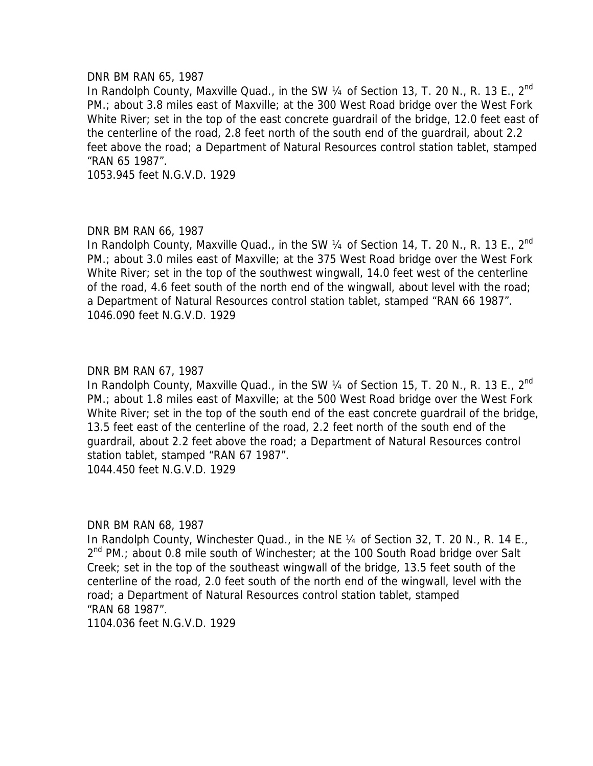#### DNR BM RAN 65, 1987

In Randolph County, Maxville Quad., in the SW 1/4 of Section 13, T. 20 N., R. 13 E., 2<sup>nd</sup> PM.; about 3.8 miles east of Maxville; at the 300 West Road bridge over the West Fork White River; set in the top of the east concrete quardrail of the bridge, 12.0 feet east of the centerline of the road, 2.8 feet north of the south end of the guardrail, about 2.2 feet above the road; a Department of Natural Resources control station tablet, stamped "RAN 65 1987".

1053.945 feet N.G.V.D. 1929

## DNR BM RAN 66, 1987

In Randolph County, Maxville Quad., in the SW  $\frac{1}{4}$  of Section 14, T. 20 N., R. 13 E., 2<sup>nd</sup> PM.; about 3.0 miles east of Maxville; at the 375 West Road bridge over the West Fork White River; set in the top of the southwest wingwall, 14.0 feet west of the centerline of the road, 4.6 feet south of the north end of the wingwall, about level with the road; a Department of Natural Resources control station tablet, stamped "RAN 66 1987". 1046.090 feet N.G.V.D. 1929

## DNR BM RAN 67, 1987

In Randolph County, Maxville Quad., in the SW  $\frac{1}{4}$  of Section 15, T. 20 N., R. 13 E., 2<sup>nd</sup> PM.; about 1.8 miles east of Maxville; at the 500 West Road bridge over the West Fork White River; set in the top of the south end of the east concrete quardrail of the bridge, 13.5 feet east of the centerline of the road, 2.2 feet north of the south end of the guardrail, about 2.2 feet above the road; a Department of Natural Resources control station tablet, stamped "RAN 67 1987".

1044.450 feet N.G.V.D. 1929

### DNR BM RAN 68, 1987

In Randolph County, Winchester Quad., in the NE 1/4 of Section 32, T. 20 N., R. 14 E.,  $2^{nd}$  PM.; about 0.8 mile south of Winchester; at the 100 South Road bridge over Salt Creek; set in the top of the southeast wingwall of the bridge, 13.5 feet south of the centerline of the road, 2.0 feet south of the north end of the wingwall, level with the road; a Department of Natural Resources control station tablet, stamped "RAN 68 1987".

1104.036 feet N.G.V.D. 1929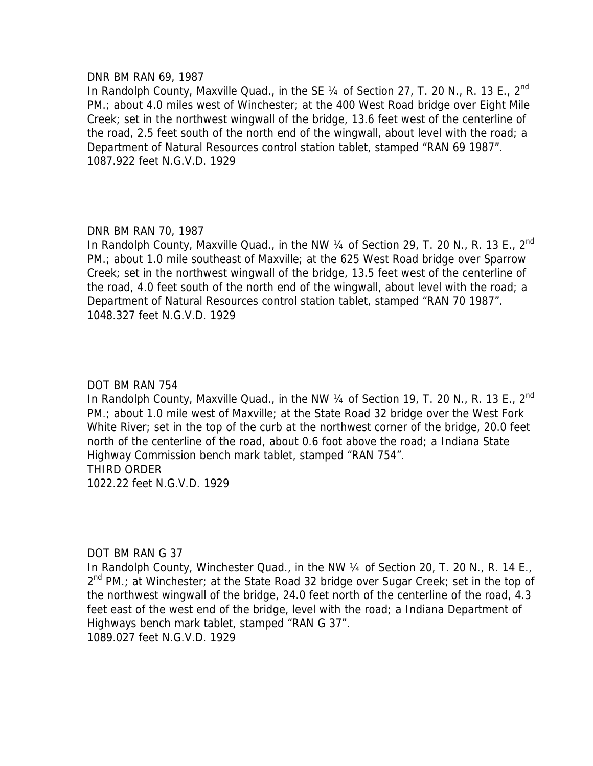#### DNR BM RAN 69, 1987

In Randolph County, Maxville Quad., in the SE 1/4 of Section 27, T. 20 N., R. 13 E., 2<sup>nd</sup> PM.; about 4.0 miles west of Winchester; at the 400 West Road bridge over Eight Mile Creek; set in the northwest wingwall of the bridge, 13.6 feet west of the centerline of the road, 2.5 feet south of the north end of the wingwall, about level with the road; a Department of Natural Resources control station tablet, stamped "RAN 69 1987". 1087.922 feet N.G.V.D. 1929

## DNR BM RAN 70, 1987

In Randolph County, Maxville Quad., in the NW 1/4 of Section 29, T. 20 N., R. 13 E., 2<sup>nd</sup> PM.; about 1.0 mile southeast of Maxville; at the 625 West Road bridge over Sparrow Creek; set in the northwest wingwall of the bridge, 13.5 feet west of the centerline of the road, 4.0 feet south of the north end of the wingwall, about level with the road; a Department of Natural Resources control station tablet, stamped "RAN 70 1987". 1048.327 feet N.G.V.D. 1929

### DOT BM RAN 754

In Randolph County, Maxville Quad., in the NW 1/4 of Section 19, T. 20 N., R. 13 E., 2<sup>nd</sup> PM.; about 1.0 mile west of Maxville; at the State Road 32 bridge over the West Fork White River; set in the top of the curb at the northwest corner of the bridge, 20.0 feet north of the centerline of the road, about 0.6 foot above the road; a Indiana State Highway Commission bench mark tablet, stamped "RAN 754". THIRD ORDER 1022.22 feet N.G.V.D. 1929

### DOT BM RAN G 37

In Randolph County, Winchester Quad., in the NW 1/4 of Section 20, T. 20 N., R. 14 E.,  $2^{nd}$  PM.; at Winchester; at the State Road 32 bridge over Sugar Creek; set in the top of the northwest wingwall of the bridge, 24.0 feet north of the centerline of the road, 4.3 feet east of the west end of the bridge, level with the road; a Indiana Department of Highways bench mark tablet, stamped "RAN G 37". 1089.027 feet N.G.V.D. 1929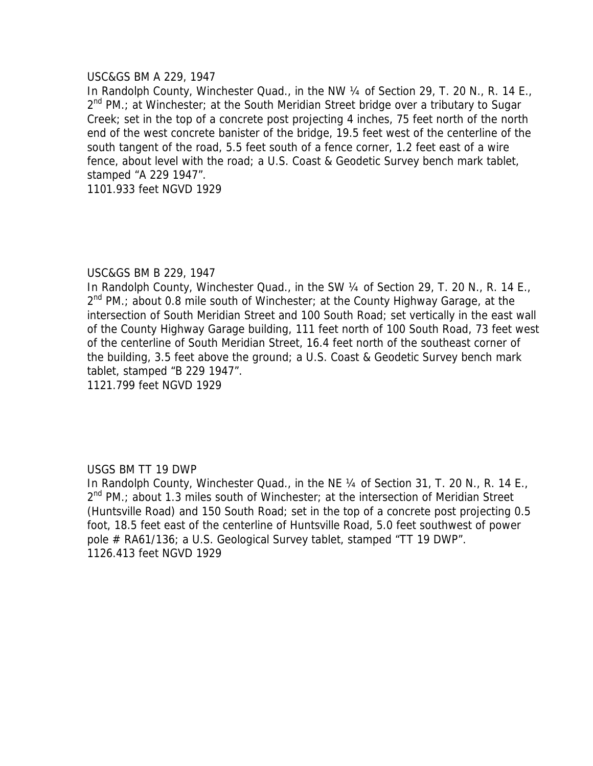### USC&GS BM A 229, 1947

In Randolph County, Winchester Quad., in the NW ¼ of Section 29, T. 20 N., R. 14 E.,  $2^{nd}$  PM.; at Winchester; at the South Meridian Street bridge over a tributary to Sugar Creek; set in the top of a concrete post projecting 4 inches, 75 feet north of the north end of the west concrete banister of the bridge, 19.5 feet west of the centerline of the south tangent of the road, 5.5 feet south of a fence corner, 1.2 feet east of a wire fence, about level with the road; a U.S. Coast & Geodetic Survey bench mark tablet, stamped "A 229 1947".

1101.933 feet NGVD 1929

## USC&GS BM B 229, 1947

In Randolph County, Winchester Quad., in the SW 1/4 of Section 29, T. 20 N., R. 14 E., 2<sup>nd</sup> PM.; about 0.8 mile south of Winchester; at the County Highway Garage, at the intersection of South Meridian Street and 100 South Road; set vertically in the east wall of the County Highway Garage building, 111 feet north of 100 South Road, 73 feet west of the centerline of South Meridian Street, 16.4 feet north of the southeast corner of the building, 3.5 feet above the ground; a U.S. Coast & Geodetic Survey bench mark tablet, stamped "B 229 1947".

1121.799 feet NGVD 1929

# USGS BM TT 19 DWP

In Randolph County, Winchester Quad., in the NE 1/4 of Section 31, T. 20 N., R. 14 E.,  $2^{nd}$  PM.; about 1.3 miles south of Winchester; at the intersection of Meridian Street (Huntsville Road) and 150 South Road; set in the top of a concrete post projecting 0.5 foot, 18.5 feet east of the centerline of Huntsville Road, 5.0 feet southwest of power pole # RA61/136; a U.S. Geological Survey tablet, stamped "TT 19 DWP". 1126.413 feet NGVD 1929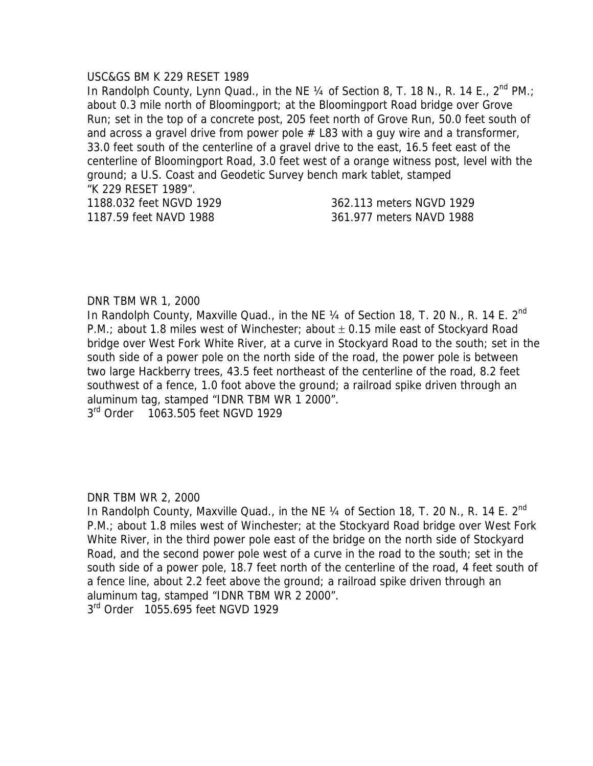#### USC&GS BM K 229 RESET 1989

In Randolph County, Lynn Quad., in the NE 1/4 of Section 8, T. 18 N., R. 14 E., 2<sup>nd</sup> PM.; about 0.3 mile north of Bloomingport; at the Bloomingport Road bridge over Grove Run; set in the top of a concrete post, 205 feet north of Grove Run, 50.0 feet south of and across a gravel drive from power pole  $#$  L83 with a guy wire and a transformer, 33.0 feet south of the centerline of a gravel drive to the east, 16.5 feet east of the centerline of Bloomingport Road, 3.0 feet west of a orange witness post, level with the ground; a U.S. Coast and Geodetic Survey bench mark tablet, stamped "K 229 RESET 1989". 1188.032 feet NGVD 1929 362.113 meters NGVD 1929

1187.59 feet NAVD 1988 361.977 meters NAVD 1988

### DNR TBM WR 1, 2000

In Randolph County, Maxville Quad., in the NE 1/4 of Section 18, T. 20 N., R. 14 E. 2<sup>nd</sup> P.M.; about 1.8 miles west of Winchester; about  $\pm$  0.15 mile east of Stockyard Road bridge over West Fork White River, at a curve in Stockyard Road to the south; set in the south side of a power pole on the north side of the road, the power pole is between two large Hackberry trees, 43.5 feet northeast of the centerline of the road, 8.2 feet southwest of a fence, 1.0 foot above the ground; a railroad spike driven through an aluminum tag, stamped "IDNR TBM WR 1 2000".

3<sup>rd</sup> Order 1063.505 feet NGVD 1929

DNR TBM WR 2, 2000

In Randolph County, Maxville Quad., in the NE  $\frac{1}{4}$  of Section 18, T. 20 N., R. 14 E. 2<sup>nd</sup> P.M.; about 1.8 miles west of Winchester; at the Stockyard Road bridge over West Fork White River, in the third power pole east of the bridge on the north side of Stockyard Road, and the second power pole west of a curve in the road to the south; set in the south side of a power pole, 18.7 feet north of the centerline of the road, 4 feet south of a fence line, about 2.2 feet above the ground; a railroad spike driven through an aluminum tag, stamped "IDNR TBM WR 2 2000".

3<sup>rd</sup> Order 1055.695 feet NGVD 1929